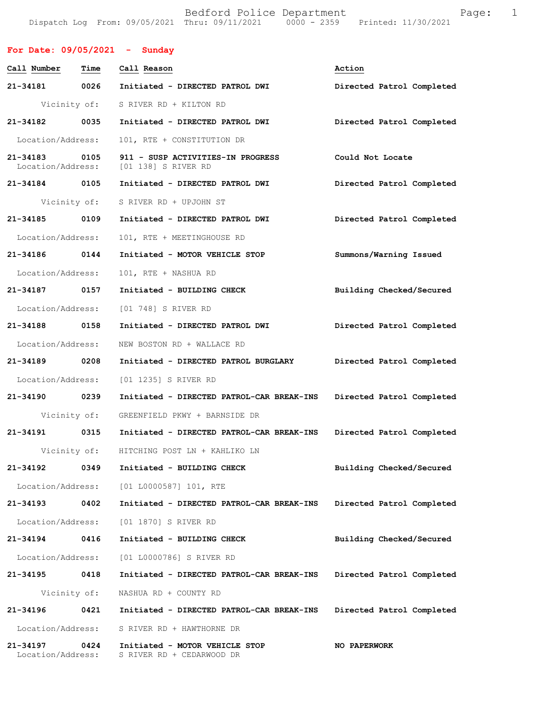Bedford Police Department Fage: 1 Dispatch Log From: 09/05/2021 Thru: 09/11/2021 0000 - 2359 Printed: 11/30/2021

| For Date: $09/05/2021$ - Sunday |      |                                                                            |                           |
|---------------------------------|------|----------------------------------------------------------------------------|---------------------------|
| Call Number Time                |      | Call Reason                                                                | Action                    |
| 21-34181 0026                   |      | Initiated - DIRECTED PATROL DWI                                            | Directed Patrol Completed |
|                                 |      | Vicinity of: S RIVER RD + KILTON RD                                        |                           |
| 21-34182 0035                   |      | Initiated - DIRECTED PATROL DWI                                            | Directed Patrol Completed |
| Location/Address:               |      | 101, RTE + CONSTITUTION DR                                                 |                           |
| 21-34183                        | 0105 | 911 - SUSP ACTIVITIES-IN PROGRESS<br>Location/Address: [01 138] S RIVER RD | Could Not Locate          |
| 21-34184 0105                   |      | Initiated - DIRECTED PATROL DWI                                            | Directed Patrol Completed |
|                                 |      | Vicinity of: S RIVER RD + UPJOHN ST                                        |                           |
| 21-34185 0109                   |      | Initiated - DIRECTED PATROL DWI                                            | Directed Patrol Completed |
| Location/Address:               |      | 101, RTE + MEETINGHOUSE RD                                                 |                           |
| 21-34186 0144                   |      | Initiated - MOTOR VEHICLE STOP                                             | Summons/Warning Issued    |
| Location/Address:               |      | 101, RTE + NASHUA RD                                                       |                           |
| 21-34187 0157                   |      | Initiated - BUILDING CHECK                                                 | Building Checked/Secured  |
|                                 |      | Location/Address: [01 748] S RIVER RD                                      |                           |
| 21-34188 0158                   |      | Initiated - DIRECTED PATROL DWI                                            | Directed Patrol Completed |
| Location/Address:               |      | NEW BOSTON RD + WALLACE RD                                                 |                           |
| 21-34189 0208                   |      | Initiated - DIRECTED PATROL BURGLARY                                       | Directed Patrol Completed |
| Location/Address:               |      | [01 1235] S RIVER RD                                                       |                           |
| 21-34190 0239                   |      | Initiated - DIRECTED PATROL-CAR BREAK-INS                                  | Directed Patrol Completed |
|                                 |      | Vicinity of: GREENFIELD PKWY + BARNSIDE DR                                 |                           |
| 21-34191 0315                   |      | Initiated - DIRECTED PATROL-CAR BREAK-INS                                  | Directed Patrol Completed |
| Vicinity of:                    |      | HITCHING POST LN + KAHLIKO LN                                              |                           |
| 21-34192                        | 0349 | Initiated - BUILDING CHECK                                                 | Building Checked/Secured  |
|                                 |      | Location/Address: [01 L0000587] 101, RTE                                   |                           |
| 21-34193 0402                   |      | Initiated - DIRECTED PATROL-CAR BREAK-INS                                  | Directed Patrol Completed |
| Location/Address:               |      | [01 1870] S RIVER RD                                                       |                           |
| 21-34194                        | 0416 | Initiated - BUILDING CHECK                                                 | Building Checked/Secured  |
| Location/Address:               |      | [01 L0000786] S RIVER RD                                                   |                           |
| 21-34195                        | 0418 | Initiated - DIRECTED PATROL-CAR BREAK-INS                                  | Directed Patrol Completed |
| Vicinity of:                    |      | NASHUA RD + COUNTY RD                                                      |                           |
| 21-34196                        | 0421 | Initiated - DIRECTED PATROL-CAR BREAK-INS                                  | Directed Patrol Completed |
| Location/Address:               |      | S RIVER RD + HAWTHORNE DR                                                  |                           |
| 21-34197<br>Location/Address:   | 0424 | Initiated - MOTOR VEHICLE STOP<br>S RIVER RD + CEDARWOOD DR                | <b>NO PAPERWORK</b>       |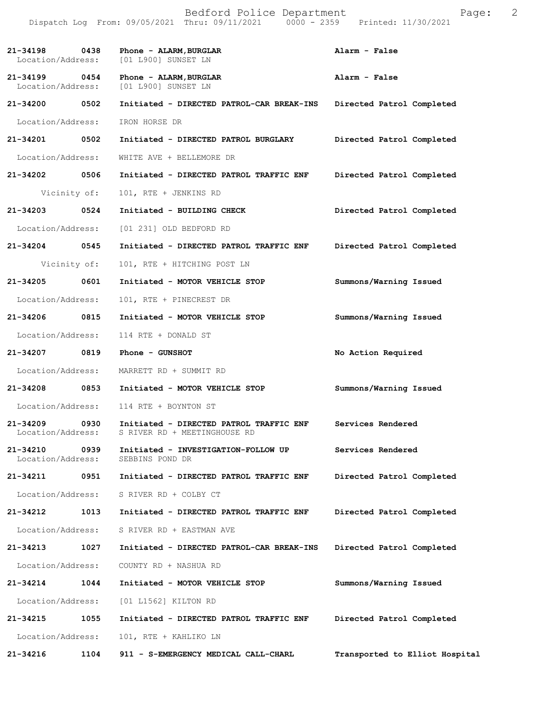| 21-34198<br>Location/Address:      | 0438         | Phone - ALARM, BURGLAR<br>[01 L900] SUNSET LN                           | Alarm - False                  |
|------------------------------------|--------------|-------------------------------------------------------------------------|--------------------------------|
| 21-34199 0454<br>Location/Address: |              | Phone - ALARM, BURGLAR<br>[01 L900] SUNSET LN                           | Alarm - False                  |
| 21-34200 0502                      |              | Initiated - DIRECTED PATROL-CAR BREAK-INS                               | Directed Patrol Completed      |
| Location/Address:                  |              | IRON HORSE DR                                                           |                                |
| 21-34201 0502                      |              | Initiated - DIRECTED PATROL BURGLARY                                    | Directed Patrol Completed      |
| Location/Address:                  |              | WHITE AVE + BELLEMORE DR                                                |                                |
| 21-34202 0506                      |              | Initiated - DIRECTED PATROL TRAFFIC ENF                                 | Directed Patrol Completed      |
|                                    | Vicinity of: | 101, RTE + JENKINS RD                                                   |                                |
| 21-34203                           | 0524         | Initiated - BUILDING CHECK                                              | Directed Patrol Completed      |
| Location/Address:                  |              | [01 231] OLD BEDFORD RD                                                 |                                |
| 21-34204 0545                      |              | Initiated - DIRECTED PATROL TRAFFIC ENF                                 | Directed Patrol Completed      |
|                                    | Vicinity of: | 101, RTE + HITCHING POST LN                                             |                                |
| 21-34205                           | 0601         | Initiated - MOTOR VEHICLE STOP                                          | Summons/Warning Issued         |
| Location/Address:                  |              | 101, RTE + PINECREST DR                                                 |                                |
| 21-34206                           | 0815         | Initiated - MOTOR VEHICLE STOP                                          | Summons/Warning Issued         |
| Location/Address:                  |              | 114 RTE + DONALD ST                                                     |                                |
| 21-34207 0819                      |              | Phone - GUNSHOT                                                         | No Action Required             |
| Location/Address:                  |              | MARRETT RD + SUMMIT RD                                                  |                                |
| 21-34208                           | 0853         | Initiated - MOTOR VEHICLE STOP                                          | Summons/Warning Issued         |
|                                    |              | Location/Address: 114 RTE + BOYNTON ST                                  |                                |
| 21-34209 0930<br>Location/Address: |              | Initiated - DIRECTED PATROL TRAFFIC ENF<br>S RIVER RD + MEETINGHOUSE RD | Services Rendered              |
| Location/Address:                  |              | 21-34210 0939 Initiated - INVESTIGATION-FOLLOW UP<br>SEBBINS POND DR    | Services Rendered              |
| 21-34211                           | 0951         | Initiated - DIRECTED PATROL TRAFFIC ENF                                 | Directed Patrol Completed      |
|                                    |              | Location/Address: S RIVER RD + COLBY CT                                 |                                |
| 21-34212                           | 1013         | Initiated - DIRECTED PATROL TRAFFIC ENF                                 | Directed Patrol Completed      |
|                                    |              | Location/Address: S RIVER RD + EASTMAN AVE                              |                                |
| 21-34213                           | 1027         | Initiated - DIRECTED PATROL-CAR BREAK-INS                               | Directed Patrol Completed      |
| Location/Address:                  |              | COUNTY RD + NASHUA RD                                                   |                                |
| 21-34214                           | 1044         | Initiated - MOTOR VEHICLE STOP                                          | Summons/Warning Issued         |
| Location/Address:                  |              | [01 L1562] KILTON RD                                                    |                                |
| 21-34215                           | 1055         | Initiated - DIRECTED PATROL TRAFFIC ENF                                 | Directed Patrol Completed      |
| Location/Address:                  |              | 101, RTE + KAHLIKO LN                                                   |                                |
| 21-34216                           | 1104         | 911 - S-EMERGENCY MEDICAL CALL-CHARL                                    | Transported to Elliot Hospital |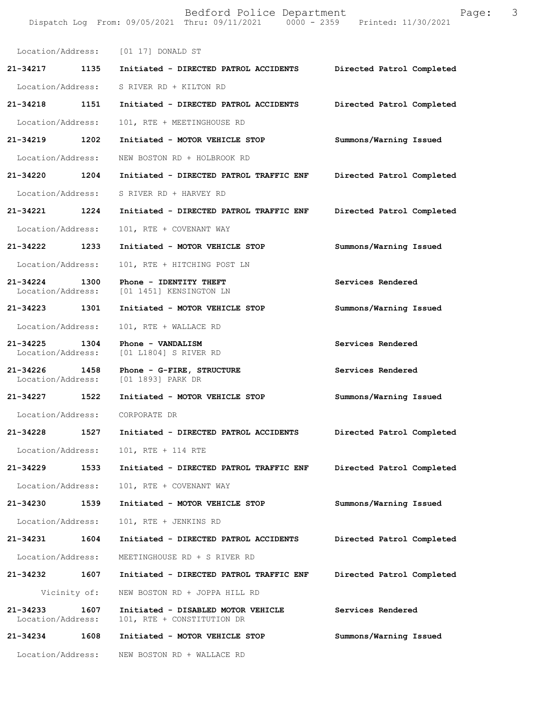|                               |              | Bedford Police Department<br>Dispatch Log From: 09/05/2021 Thru: 09/11/2021 0000 - 2359 Printed: 11/30/2021 | Page:                     | 3 |
|-------------------------------|--------------|-------------------------------------------------------------------------------------------------------------|---------------------------|---|
|                               |              | Location/Address: [01 17] DONALD ST                                                                         |                           |   |
| 21-34217 1135                 |              | Initiated - DIRECTED PATROL ACCIDENTS                                                                       | Directed Patrol Completed |   |
| Location/Address:             |              | S RIVER RD + KILTON RD                                                                                      |                           |   |
| 21-34218                      | 1151         | Initiated - DIRECTED PATROL ACCIDENTS                                                                       | Directed Patrol Completed |   |
| Location/Address:             |              | 101, RTE + MEETINGHOUSE RD                                                                                  |                           |   |
| 21-34219 1202                 |              | Initiated - MOTOR VEHICLE STOP                                                                              | Summons/Warning Issued    |   |
| Location/Address:             |              | NEW BOSTON RD + HOLBROOK RD                                                                                 |                           |   |
| 21-34220 1204                 |              | Initiated - DIRECTED PATROL TRAFFIC ENF                                                                     | Directed Patrol Completed |   |
| Location/Address:             |              | S RIVER RD + HARVEY RD                                                                                      |                           |   |
| 21-34221                      | 1224         | Initiated - DIRECTED PATROL TRAFFIC ENF                                                                     | Directed Patrol Completed |   |
| Location/Address:             |              | 101, RTE + COVENANT WAY                                                                                     |                           |   |
| 21-34222 1233                 |              | Initiated - MOTOR VEHICLE STOP                                                                              | Summons/Warning Issued    |   |
| Location/Address:             |              | 101, RTE + HITCHING POST LN                                                                                 |                           |   |
| 21-34224<br>Location/Address: | 1300         | Phone - IDENTITY THEFT<br>[01 1451] KENSINGTON LN                                                           | Services Rendered         |   |
| 21-34223 1301                 |              | Initiated - MOTOR VEHICLE STOP                                                                              | Summons/Warning Issued    |   |
| Location/Address:             |              | 101, RTE + WALLACE RD                                                                                       |                           |   |
| 21-34225<br>Location/Address: | 1304         | Phone - VANDALISM<br>[01 L1804] S RIVER RD                                                                  | Services Rendered         |   |
| 21-34226<br>Location/Address: | 1458         | Phone - G-FIRE, STRUCTURE<br>[01 1893] PARK DR                                                              | Services Rendered         |   |
| 21-34227 1522                 |              | Initiated - MOTOR VEHICLE STOP                                                                              | Summons/Warning Issued    |   |
| Location/Address:             |              | CORPORATE DR                                                                                                |                           |   |
| 21-34228                      | 1527         | Initiated - DIRECTED PATROL ACCIDENTS                                                                       | Directed Patrol Completed |   |
| Location/Address:             |              | 101, RTE + 114 RTE                                                                                          |                           |   |
| 21-34229                      | 1533         | Initiated - DIRECTED PATROL TRAFFIC ENF                                                                     | Directed Patrol Completed |   |
| Location/Address:             |              | 101, RTE + COVENANT WAY                                                                                     |                           |   |
| 21-34230                      | 1539         | Initiated - MOTOR VEHICLE STOP                                                                              | Summons/Warning Issued    |   |
| Location/Address:             |              | 101, RTE + JENKINS RD                                                                                       |                           |   |
| 21-34231                      | 1604         | Initiated - DIRECTED PATROL ACCIDENTS                                                                       | Directed Patrol Completed |   |
| Location/Address:             |              | MEETINGHOUSE RD + S RIVER RD                                                                                |                           |   |
| 21-34232                      | 1607         | Initiated - DIRECTED PATROL TRAFFIC ENF                                                                     | Directed Patrol Completed |   |
|                               | Vicinity of: | NEW BOSTON RD + JOPPA HILL RD                                                                               |                           |   |
| 21-34233<br>Location/Address: | 1607         | Initiated - DISABLED MOTOR VEHICLE<br>101, RTE + CONSTITUTION DR                                            | Services Rendered         |   |
| 21-34234                      | 1608         | Initiated - MOTOR VEHICLE STOP                                                                              | Summons/Warning Issued    |   |
| Location/Address:             |              | NEW BOSTON RD + WALLACE RD                                                                                  |                           |   |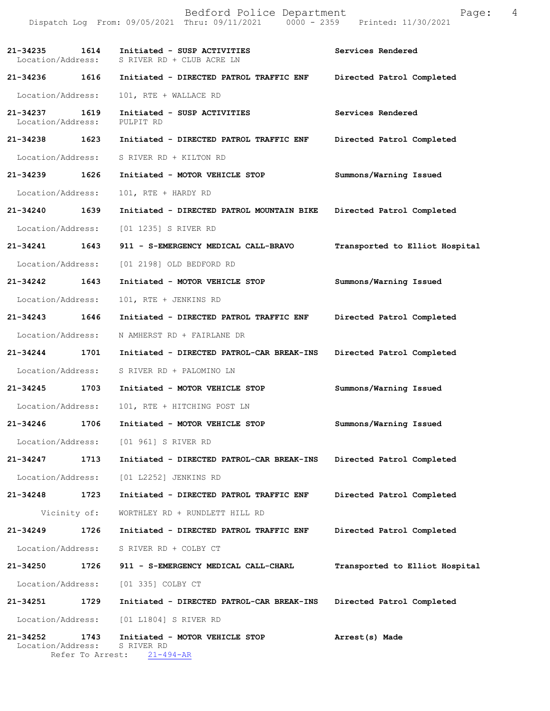Dispatch Log From: 09/05/2021 Thru: 09/11/2021 0000 - 2359 Printed: 11/30/2021 **21-34235 1614 Initiated - SUSP ACTIVITIES Services Rendered**  Location/Address: S RIVER RD + CLUB ACRE LN **21-34236 1616 Initiated - DIRECTED PATROL TRAFFIC ENF Directed Patrol Completed**  Location/Address: 101, RTE + WALLACE RD **21-34237 1619 Initiated - SUSP ACTIVITIES Services Rendered**  Location/Address: PULPIT RD **21-34238 1623 Initiated - DIRECTED PATROL TRAFFIC ENF Directed Patrol Completed**  Location/Address: S RIVER RD + KILTON RD **21-34239 1626 Initiated - MOTOR VEHICLE STOP Summons/Warning Issued**  Location/Address: 101, RTE + HARDY RD **21-34240 1639 Initiated - DIRECTED PATROL MOUNTAIN BIKE Directed Patrol Completed**  Location/Address: [01 1235] S RIVER RD **21-34241 1643 911 - S-EMERGENCY MEDICAL CALL-BRAVO Transported to Elliot Hospital** Location/Address: [01 2198] OLD BEDFORD RD **21-34242 1643 Initiated - MOTOR VEHICLE STOP Summons/Warning Issued**  Location/Address: 101, RTE + JENKINS RD **21-34243 1646 Initiated - DIRECTED PATROL TRAFFIC ENF Directed Patrol Completed**  Location/Address: N AMHERST RD + FAIRLANE DR **21-34244 1701 Initiated - DIRECTED PATROL-CAR BREAK-INS Directed Patrol Completed**  Location/Address: S RIVER RD + PALOMINO LN **21-34245 1703 Initiated - MOTOR VEHICLE STOP Summons/Warning Issued**  Location/Address: 101, RTE + HITCHING POST LN **21-34246 1706 Initiated - MOTOR VEHICLE STOP Summons/Warning Issued**  Location/Address: [01 961] S RIVER RD **21-34247 1713 Initiated - DIRECTED PATROL-CAR BREAK-INS Directed Patrol Completed**  Location/Address: [01 L2252] JENKINS RD **21-34248 1723 Initiated - DIRECTED PATROL TRAFFIC ENF Directed Patrol Completed**  Vicinity of: WORTHLEY RD + RUNDLETT HILL RD **21-34249 1726 Initiated - DIRECTED PATROL TRAFFIC ENF Directed Patrol Completed**  Location/Address: S RIVER RD + COLBY CT **21-34250 1726 911 - S-EMERGENCY MEDICAL CALL-CHARL Transported to Elliot Hospital** Location/Address: [01 335] COLBY CT **21-34251 1729 Initiated - DIRECTED PATROL-CAR BREAK-INS Directed Patrol Completed**  Location/Address: [01 L1804] S RIVER RD **21-34252 1743 Initiated - MOTOR VEHICLE STOP Arrest(s) Made**  Location/Address: S RIVER RD Refer To Arrest: 21-494-AR

Bedford Police Department Page: 4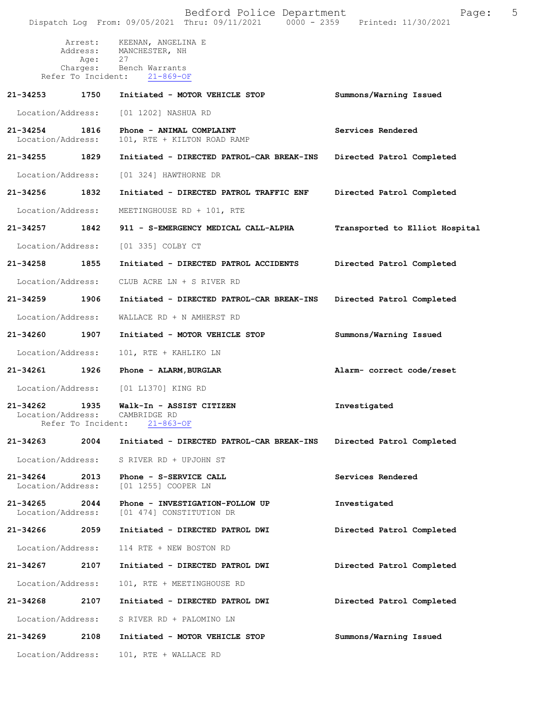|                                    |                            | Bedford Police Department<br>Dispatch Log From: 09/05/2021 Thru: 09/11/2021 0000 - 2359 Printed: 11/30/2021 | Page:                          | 5 |
|------------------------------------|----------------------------|-------------------------------------------------------------------------------------------------------------|--------------------------------|---|
|                                    |                            | Arrest: KEENAN, ANGELINA E<br>Address: MANCHESTER, NH                                                       |                                |   |
|                                    | Age:<br>Refer To Incident: | 27<br>Charges: Bench Warrants<br>$21 - 869 - OF$                                                            |                                |   |
| 21-34253                           | 1750                       | Initiated - MOTOR VEHICLE STOP                                                                              | Summons/Warning Issued         |   |
| Location/Address:                  |                            | [01 1202] NASHUA RD                                                                                         |                                |   |
| 21-34254 1816<br>Location/Address: |                            | Phone - ANIMAL COMPLAINT<br>101, RTE + KILTON ROAD RAMP                                                     | Services Rendered              |   |
| 21-34255                           | 1829                       | Initiated - DIRECTED PATROL-CAR BREAK-INS                                                                   | Directed Patrol Completed      |   |
| Location/Address:                  |                            | [01 324] HAWTHORNE DR                                                                                       |                                |   |
| 21-34256 1832                      |                            | Initiated - DIRECTED PATROL TRAFFIC ENF                                                                     | Directed Patrol Completed      |   |
| Location/Address:                  |                            | MEETINGHOUSE RD + 101, RTE                                                                                  |                                |   |
| 21-34257 1842                      |                            | 911 - S-EMERGENCY MEDICAL CALL-ALPHA                                                                        | Transported to Elliot Hospital |   |
| Location/Address:                  |                            | [01 335] COLBY CT                                                                                           |                                |   |
| 21-34258                           | 1855                       | Initiated - DIRECTED PATROL ACCIDENTS                                                                       | Directed Patrol Completed      |   |
| Location/Address:                  |                            | CLUB ACRE LN + S RIVER RD                                                                                   |                                |   |
| 21-34259                           | 1906                       | Initiated - DIRECTED PATROL-CAR BREAK-INS                                                                   | Directed Patrol Completed      |   |
| Location/Address:                  |                            | WALLACE RD + N AMHERST RD                                                                                   |                                |   |
| 21-34260 1907                      |                            | Initiated - MOTOR VEHICLE STOP                                                                              | Summons/Warning Issued         |   |
| Location/Address:                  |                            | 101, RTE + KAHLIKO LN                                                                                       |                                |   |
| 21-34261 1926                      |                            | Phone - ALARM, BURGLAR                                                                                      | Alarm- correct code/reset      |   |
| Location/Address:                  |                            | [01 L1370] KING RD                                                                                          |                                |   |
| 21-34262<br>Location/Address:      | 1935<br>Refer To Incident: | Walk-In - ASSIST CITIZEN<br>CAMBRIDGE RD<br>$21 - 863 - OF$                                                 | Investigated                   |   |
| 21-34263                           | 2004                       | Initiated - DIRECTED PATROL-CAR BREAK-INS                                                                   | Directed Patrol Completed      |   |
| Location/Address:                  |                            | S RIVER RD + UPJOHN ST                                                                                      |                                |   |
| 21-34264<br>Location/Address:      | 2013                       | Phone - S-SERVICE CALL<br>[01 1255] COOPER LN                                                               | Services Rendered              |   |
| 21-34265<br>Location/Address:      | 2044                       | Phone - INVESTIGATION-FOLLOW UP<br>[01 474] CONSTITUTION DR                                                 | Investigated                   |   |
| 21-34266                           | 2059                       | Initiated - DIRECTED PATROL DWI                                                                             | Directed Patrol Completed      |   |
| Location/Address:                  |                            | 114 RTE + NEW BOSTON RD                                                                                     |                                |   |
| 21-34267                           | 2107                       | Initiated - DIRECTED PATROL DWI                                                                             | Directed Patrol Completed      |   |
| Location/Address:                  |                            | 101, RTE + MEETINGHOUSE RD                                                                                  |                                |   |
| 21-34268                           | 2107                       | Initiated - DIRECTED PATROL DWI                                                                             | Directed Patrol Completed      |   |
| Location/Address:                  |                            | S RIVER RD + PALOMINO LN                                                                                    |                                |   |
| 21-34269                           | 2108                       | Initiated - MOTOR VEHICLE STOP                                                                              | Summons/Warning Issued         |   |
| Location/Address:                  |                            | 101, RTE + WALLACE RD                                                                                       |                                |   |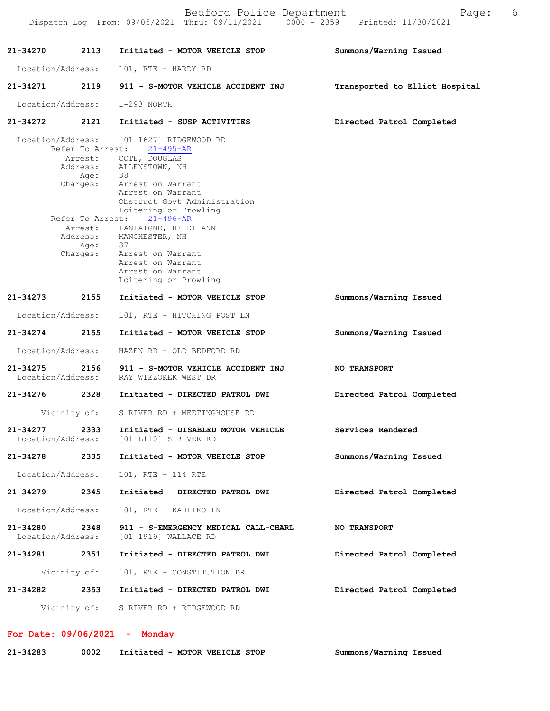|                               |                                        | Bedford Police Department<br>Dispatch Log From: 09/05/2021 Thru: 09/11/2021 0000 - 2359 Printed: 11/30/2021                                                                                                                                                                                                                                                                                  | Page:                          | - 6 |
|-------------------------------|----------------------------------------|----------------------------------------------------------------------------------------------------------------------------------------------------------------------------------------------------------------------------------------------------------------------------------------------------------------------------------------------------------------------------------------------|--------------------------------|-----|
| 21-34270                      |                                        | 2113 Initiated - MOTOR VEHICLE STOP                                                                                                                                                                                                                                                                                                                                                          | Summons/Warning Issued         |     |
| Location/Address:             |                                        | 101, RTE + HARDY RD                                                                                                                                                                                                                                                                                                                                                                          |                                |     |
|                               |                                        | 21-34271 2119 911 - S-MOTOR VEHICLE ACCIDENT INJ                                                                                                                                                                                                                                                                                                                                             | Transported to Elliot Hospital |     |
|                               |                                        | Location/Address: I-293 NORTH                                                                                                                                                                                                                                                                                                                                                                |                                |     |
|                               |                                        | 21-34272 2121 Initiated - SUSP ACTIVITIES                                                                                                                                                                                                                                                                                                                                                    | Directed Patrol Completed      |     |
|                               | Age: 38<br>Refer To Arrest:<br>Age: 37 | Location/Address: [01 1627] RIDGEWOOD RD<br>Refer To Arrest: 21-495-AR<br>Arrest: COTE, DOUGLAS<br>Address: ALLENSTOWN, NH<br>Charges: Arrest on Warrant<br>Arrest on Warrant<br>Obstruct Govt Administration<br>Loitering or Prowling<br>$21 - 496 - AR$<br>Arrest: LANTAIGNE, HEIDI ANN<br>Address: MANCHESTER, NH<br>Charges: Arrest on Warrant<br>Arrest on Warrant<br>Arrest on Warrant |                                |     |
| 21-34273                      |                                        | Loitering or Prowling<br>2155 Initiated - MOTOR VEHICLE STOP                                                                                                                                                                                                                                                                                                                                 | Summons/Warning Issued         |     |
| Location/Address:             |                                        | 101, RTE + HITCHING POST LN                                                                                                                                                                                                                                                                                                                                                                  |                                |     |
| 21-34274 2155                 |                                        | Initiated - MOTOR VEHICLE STOP                                                                                                                                                                                                                                                                                                                                                               | Summons/Warning Issued         |     |
| Location/Address:             |                                        | HAZEN RD + OLD BEDFORD RD                                                                                                                                                                                                                                                                                                                                                                    |                                |     |
| 21-34275                      |                                        | 2156 911 - S-MOTOR VEHICLE ACCIDENT INJ<br>Location/Address: RAY WIEZOREK WEST DR                                                                                                                                                                                                                                                                                                            | <b>NO TRANSPORT</b>            |     |
| 21-34276                      | 2328                                   | Initiated - DIRECTED PATROL DWI                                                                                                                                                                                                                                                                                                                                                              | Directed Patrol Completed      |     |
|                               | Vicinity of:                           | S RIVER RD + MEETINGHOUSE RD                                                                                                                                                                                                                                                                                                                                                                 |                                |     |
| 21-34277<br>Location/Address: | 2333                                   | Initiated - DISABLED MOTOR VEHICLE<br>[01 L110] S RIVER RD                                                                                                                                                                                                                                                                                                                                   | Services Rendered              |     |
| 21-34278 2335                 |                                        | Initiated - MOTOR VEHICLE STOP                                                                                                                                                                                                                                                                                                                                                               | Summons/Warning Issued         |     |
| Location/Address:             |                                        | 101, RTE + 114 RTE                                                                                                                                                                                                                                                                                                                                                                           |                                |     |
| 21-34279 2345                 |                                        | Initiated - DIRECTED PATROL DWI                                                                                                                                                                                                                                                                                                                                                              | Directed Patrol Completed      |     |
| Location/Address:             |                                        | 101, RTE + KAHLIKO LN                                                                                                                                                                                                                                                                                                                                                                        |                                |     |
| 21-34280<br>Location/Address: | 2348                                   | 911 - S-EMERGENCY MEDICAL CALL-CHARL<br>[01 1919] WALLACE RD                                                                                                                                                                                                                                                                                                                                 | <b>NO TRANSPORT</b>            |     |
| 21-34281 2351                 |                                        | Initiated - DIRECTED PATROL DWI                                                                                                                                                                                                                                                                                                                                                              | Directed Patrol Completed      |     |
|                               | Vicinity of:                           | 101, RTE + CONSTITUTION DR                                                                                                                                                                                                                                                                                                                                                                   |                                |     |
| 21-34282                      |                                        | 2353 Initiated - DIRECTED PATROL DWI                                                                                                                                                                                                                                                                                                                                                         | Directed Patrol Completed      |     |
|                               |                                        | Vicinity of: S RIVER RD + RIDGEWOOD RD                                                                                                                                                                                                                                                                                                                                                       |                                |     |

 **For Date: 09/06/2021 - Monday Summons/Warning Issued 21-34283 0002 Initiated - MOTOR VEHICLE STOP**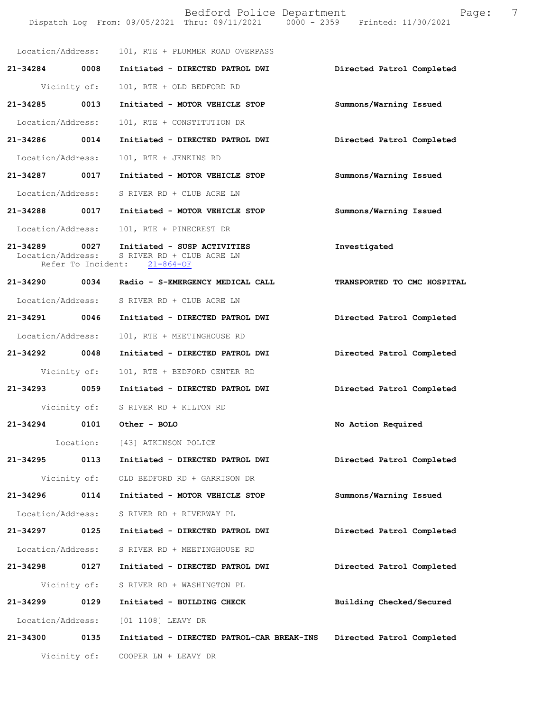|                   |              | Bedford Police Department<br>Dispatch Log From: 09/05/2021 Thru: 09/11/2021 0000 - 2359 Printed: 11/30/2021 | Page: 7                     |  |
|-------------------|--------------|-------------------------------------------------------------------------------------------------------------|-----------------------------|--|
|                   |              | Location/Address: 101, RTE + PLUMMER ROAD OVERPASS                                                          |                             |  |
| 21-34284 0008     |              | Initiated - DIRECTED PATROL DWI                                                                             | Directed Patrol Completed   |  |
|                   | Vicinity of: | 101, RTE + OLD BEDFORD RD                                                                                   |                             |  |
| 21-34285 0013     |              | Initiated - MOTOR VEHICLE STOP                                                                              | Summons/Warning Issued      |  |
| Location/Address: |              | 101, RTE + CONSTITUTION DR                                                                                  |                             |  |
| 21-34286 0014     |              | Initiated - DIRECTED PATROL DWI                                                                             | Directed Patrol Completed   |  |
| Location/Address: |              | 101, RTE + JENKINS RD                                                                                       |                             |  |
| 21-34287 0017     |              | Initiated - MOTOR VEHICLE STOP                                                                              | Summons/Warning Issued      |  |
|                   |              | Location/Address: S RIVER RD + CLUB ACRE LN                                                                 |                             |  |
|                   |              | 21-34288 0017 Initiated - MOTOR VEHICLE STOP                                                                | Summons/Warning Issued      |  |
|                   |              | Location/Address: 101, RTE + PINECREST DR                                                                   |                             |  |
| 21-34289 0027     |              | Initiated - SUSP ACTIVITIES<br>Location/Address: S RIVER RD + CLUB ACRE LN<br>Refer To Incident: 21-864-OF  | Investigated                |  |
|                   |              | 21-34290 0034 Radio - S-EMERGENCY MEDICAL CALL                                                              | TRANSPORTED TO CMC HOSPITAL |  |
|                   |              | Location/Address: S RIVER RD + CLUB ACRE LN                                                                 |                             |  |
| 21-34291 0046     |              | Initiated - DIRECTED PATROL DWI                                                                             | Directed Patrol Completed   |  |
| Location/Address: |              | 101, RTE + MEETINGHOUSE RD                                                                                  |                             |  |
| 21-34292 0048     |              | Initiated - DIRECTED PATROL DWI                                                                             | Directed Patrol Completed   |  |
|                   | Vicinity of: | 101, RTE + BEDFORD CENTER RD                                                                                |                             |  |
| 21-34293          | 0059         | Initiated - DIRECTED PATROL DWI                                                                             | Directed Patrol Completed   |  |
|                   | Vicinity of: | S RIVER RD + KILTON RD                                                                                      |                             |  |
| 21-34294          |              | 0101 Other - BOLO                                                                                           | No Action Required          |  |
|                   |              | Location: [43] ATKINSON POLICE                                                                              |                             |  |
| 21-34295          | 0113         | Initiated - DIRECTED PATROL DWI                                                                             | Directed Patrol Completed   |  |
|                   | Vicinity of: | OLD BEDFORD RD + GARRISON DR                                                                                |                             |  |
| 21-34296          | 0114         | Initiated - MOTOR VEHICLE STOP                                                                              | Summons/Warning Issued      |  |
| Location/Address: |              | S RIVER RD + RIVERWAY PL                                                                                    |                             |  |
| 21-34297 0125     |              | Initiated - DIRECTED PATROL DWI                                                                             | Directed Patrol Completed   |  |
| Location/Address: |              | S RIVER RD + MEETINGHOUSE RD                                                                                |                             |  |
| 21-34298          | 0127         | Initiated - DIRECTED PATROL DWI                                                                             | Directed Patrol Completed   |  |
|                   | Vicinity of: | S RIVER RD + WASHINGTON PL                                                                                  |                             |  |
| 21-34299          | 0129         | Initiated - BUILDING CHECK                                                                                  | Building Checked/Secured    |  |
| Location/Address: |              | [01 1108] LEAVY DR                                                                                          |                             |  |
| 21-34300 0135     |              | Initiated - DIRECTED PATROL-CAR BREAK-INS                                                                   | Directed Patrol Completed   |  |
|                   | Vicinity of: | COOPER LN + LEAVY DR                                                                                        |                             |  |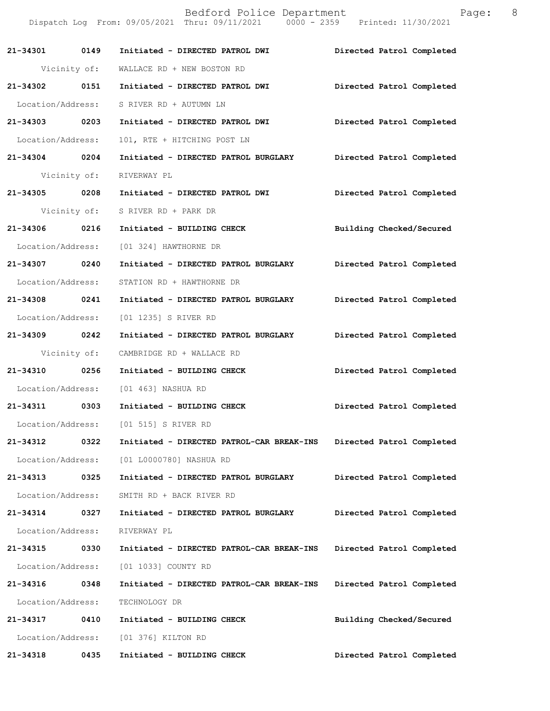Bedford Police Department  $\qquad \qquad$  Page: 8 Dispatch Log From: 09/05/2021 Thru: 09/11/2021 0000 - 2359 Printed: 11/30/2021 **21-34301 0149 Initiated - DIRECTED PATROL DWI Directed Patrol Completed**  Vicinity of: WALLACE RD + NEW BOSTON RD **21-34302 0151 Initiated - DIRECTED PATROL DWI Directed Patrol Completed**  Location/Address: S RIVER RD + AUTUMN LN **21-34303 0203 Initiated - DIRECTED PATROL DWI Directed Patrol Completed**  Location/Address: 101, RTE + HITCHING POST LN **21-34304 0204 Initiated - DIRECTED PATROL BURGLARY Directed Patrol Completed**  Vicinity of: RIVERWAY PL **21-34305 0208 Initiated - DIRECTED PATROL DWI Directed Patrol Completed**  Vicinity of: S RIVER RD + PARK DR **21-34306 0216 Initiated - BUILDING CHECK Building Checked/Secured**  Location/Address: [01 324] HAWTHORNE DR **21-34307 0240 Initiated - DIRECTED PATROL BURGLARY Directed Patrol Completed**  Location/Address: STATION RD + HAWTHORNE DR **21-34308 0241 Initiated - DIRECTED PATROL BURGLARY Directed Patrol Completed**  Location/Address: [01 1235] S RIVER RD **21-34309 0242 Initiated - DIRECTED PATROL BURGLARY Directed Patrol Completed**  Vicinity of: CAMBRIDGE RD + WALLACE RD **21-34310 0256 Initiated - BUILDING CHECK Directed Patrol Completed**  Location/Address: [01 463] NASHUA RD **21-34311 0303 Initiated - BUILDING CHECK Directed Patrol Completed**  Location/Address: [01 515] S RIVER RD **21-34312 0322 Initiated - DIRECTED PATROL-CAR BREAK-INS Directed Patrol Completed**  Location/Address: [01 L0000780] NASHUA RD **21-34313 0325 Initiated - DIRECTED PATROL BURGLARY Directed Patrol Completed**  Location/Address: SMITH RD + BACK RIVER RD **21-34314 0327 Initiated - DIRECTED PATROL BURGLARY Directed Patrol Completed**  Location/Address: RIVERWAY PL **21-34315 0330 Initiated - DIRECTED PATROL-CAR BREAK-INS Directed Patrol Completed**  Location/Address: [01 1033] COUNTY RD **21-34316 0348 Initiated - DIRECTED PATROL-CAR BREAK-INS Directed Patrol Completed**  Location/Address: TECHNOLOGY DR **21-34317 0410 Initiated - BUILDING CHECK Building Checked/Secured**  Location/Address: [01 376] KILTON RD **21-34318 0435 Initiated - BUILDING CHECK Directed Patrol Completed**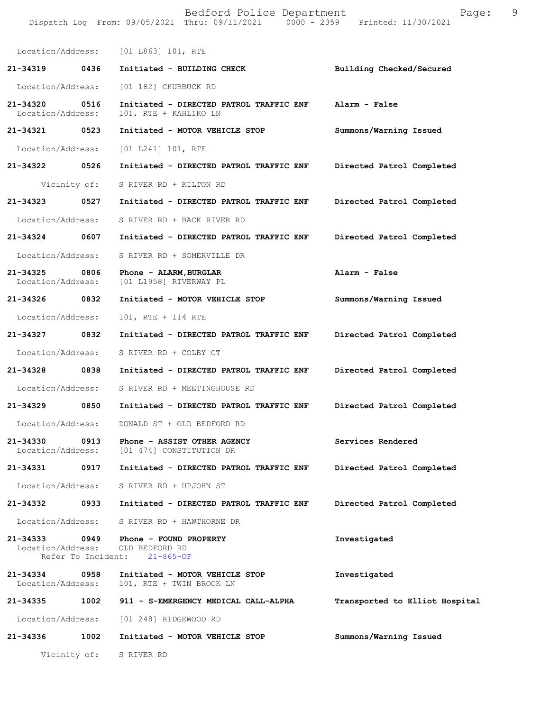Bedford Police Department Page: 9 Dispatch Log From: 09/05/2021 Thru: 09/11/2021 0000 - 2359 Printed: 11/30/2021 Location/Address: [01 L863] 101, RTE **21-34319 0436 Initiated - BUILDING CHECK Building Checked/Secured**  Location/Address: [01 182] CHUBBUCK RD **21-34320 0516 Initiated - DIRECTED PATROL TRAFFIC ENF Alarm - False**  Location/Address: 101, RTE + KAHLIKO LN **21-34321 0523 Initiated - MOTOR VEHICLE STOP Summons/Warning Issued**  Location/Address: [01 L241] 101, RTE **21-34322 0526 Initiated - DIRECTED PATROL TRAFFIC ENF Directed Patrol Completed**  Vicinity of: S RIVER RD + KILTON RD **21-34323 0527 Initiated - DIRECTED PATROL TRAFFIC ENF Directed Patrol Completed**  Location/Address: S RIVER RD + BACK RIVER RD **21-34324 0607 Initiated - DIRECTED PATROL TRAFFIC ENF Directed Patrol Completed**  Location/Address: S RIVER RD + SOMERVILLE DR **21-34325 0806 Phone - ALARM,BURGLAR Alarm - False**  Location/Address: [01 L1958] RIVERWAY PL **21-34326 0832 Initiated - MOTOR VEHICLE STOP Summons/Warning Issued**  Location/Address: 101, RTE + 114 RTE **21-34327 0832 Initiated - DIRECTED PATROL TRAFFIC ENF Directed Patrol Completed**  Location/Address: S RIVER RD + COLBY CT **21-34328 0838 Initiated - DIRECTED PATROL TRAFFIC ENF Directed Patrol Completed**  Location/Address: S RIVER RD + MEETINGHOUSE RD **21-34329 0850 Initiated - DIRECTED PATROL TRAFFIC ENF Directed Patrol Completed**  Location/Address: DONALD ST + OLD BEDFORD RD **21-34330 0913 Phone - ASSIST OTHER AGENCY Services Rendered**  Location/Address: [01 474] CONSTITUTION DR **21-34331 0917 Initiated - DIRECTED PATROL TRAFFIC ENF Directed Patrol Completed**  Location/Address: S RIVER RD + UPJOHN ST **21-34332 0933 Initiated - DIRECTED PATROL TRAFFIC ENF Directed Patrol Completed**  Location/Address: S RIVER RD + HAWTHORNE DR **21-34333 0949 Phone - FOUND PROPERTY Investigated**  Location/Address: OLD BEDFORD RD<br>Refer To Incident: 21-865-OF Refer To Incident: **21-34334 0958 Initiated - MOTOR VEHICLE STOP Investigated**  101, RTE + TWIN BROOK LN **21-34335 1002 911 - S-EMERGENCY MEDICAL CALL-ALPHA Transported to Elliot Hospital** Location/Address: [01 248] RIDGEWOOD RD **21-34336 1002 Initiated - MOTOR VEHICLE STOP Summons/Warning Issued**  Vicinity of: S RIVER RD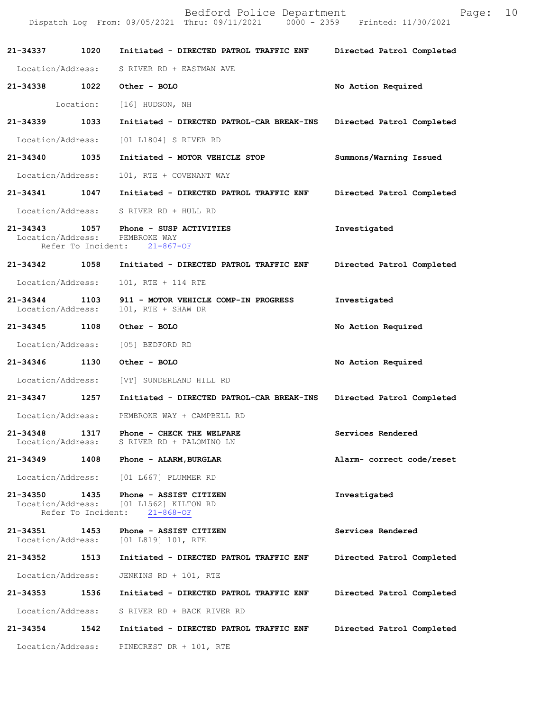|                                    |                            | Dispatch Log From: 09/05/2021 Thru: 09/11/2021 0000 - 2359 Printed: 11/30/2021 |                           |
|------------------------------------|----------------------------|--------------------------------------------------------------------------------|---------------------------|
| 21-34337                           | 1020                       | Initiated - DIRECTED PATROL TRAFFIC ENF                                        | Directed Patrol Completed |
| Location/Address:                  |                            | S RIVER RD + EASTMAN AVE                                                       |                           |
| 21-34338                           | 1022                       | Other - BOLO                                                                   | No Action Required        |
|                                    | Location:                  | [16] HUDSON, NH                                                                |                           |
| 21-34339                           | 1033                       | Initiated - DIRECTED PATROL-CAR BREAK-INS                                      | Directed Patrol Completed |
| Location/Address:                  |                            | [01 L1804] S RIVER RD                                                          |                           |
| 21-34340                           | 1035                       | Initiated - MOTOR VEHICLE STOP                                                 | Summons/Warning Issued    |
| Location/Address:                  |                            | 101, RTE + COVENANT WAY                                                        |                           |
| 21-34341                           | 1047                       | Initiated - DIRECTED PATROL TRAFFIC ENF                                        | Directed Patrol Completed |
|                                    |                            | Location/Address: S RIVER RD + HULL RD                                         |                           |
| 21-34343 1057<br>Location/Address: | Refer To Incident:         | Phone - SUSP ACTIVITIES<br>PEMBROKE WAY<br>$21 - 867 - OF$                     | Investigated              |
| 21-34342                           | 1058                       | Initiated - DIRECTED PATROL TRAFFIC ENF                                        | Directed Patrol Completed |
| Location/Address:                  |                            | 101, RTE + 114 RTE                                                             |                           |
| 21-34344<br>Location/Address:      | 1103                       | 911 - MOTOR VEHICLE COMP-IN PROGRESS<br>101, RTE + SHAW DR                     | Investigated              |
| 21-34345                           | 1108                       | Other - BOLO                                                                   | No Action Required        |
| Location/Address:                  |                            | [05] BEDFORD RD                                                                |                           |
| 21-34346                           | 1130                       | Other - BOLO                                                                   | No Action Required        |
| Location/Address:                  |                            | [VT] SUNDERLAND HILL RD                                                        |                           |
| 21-34347                           | 1257                       | Initiated - DIRECTED PATROL-CAR BREAK-INS                                      | Directed Patrol Completed |
| Location/Address:                  |                            | PEMBROKE WAY + CAMPBELL RD                                                     |                           |
| 21-34348<br>Location/Address:      | 1317                       | Phone - CHECK THE WELFARE<br>S RIVER RD + PALOMINO LN                          | Services Rendered         |
| 21-34349                           |                            | 1408 Phone - ALARM, BURGLAR                                                    | Alarm- correct code/reset |
| Location/Address:                  |                            | [01 L667] PLUMMER RD                                                           |                           |
| 21-34350<br>Location/Address:      | 1435<br>Refer To Incident: | Phone - ASSIST CITIZEN<br>[01 L1562] KILTON RD<br>$21 - 868 - OF$              | Investigated              |
| 21-34351<br>Location/Address:      | 1453                       | Phone - ASSIST CITIZEN<br>[01 L819] 101, RTE                                   | Services Rendered         |
| 21-34352                           | 1513                       | Initiated - DIRECTED PATROL TRAFFIC ENF                                        | Directed Patrol Completed |
| Location/Address:                  |                            | JENKINS RD + 101, RTE                                                          |                           |
| 21-34353                           | 1536                       | Initiated - DIRECTED PATROL TRAFFIC ENF                                        | Directed Patrol Completed |
| Location/Address:                  |                            | S RIVER RD + BACK RIVER RD                                                     |                           |
| 21-34354                           | 1542                       | Initiated - DIRECTED PATROL TRAFFIC ENF                                        | Directed Patrol Completed |
| Location/Address:                  |                            | PINECREST DR + 101, RTE                                                        |                           |

Bedford Police Department Fage: 10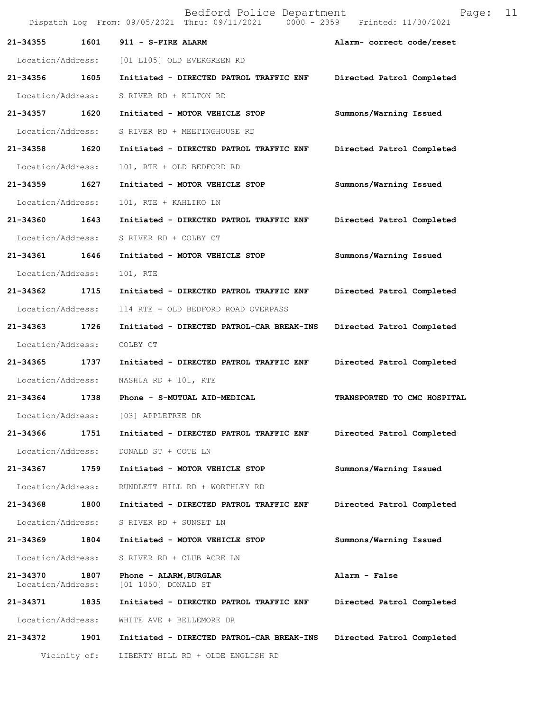|                               |              | Bedford Police Department<br>Dispatch Log From: 09/05/2021 Thru: 09/11/2021 0000 - 2359 Printed: 11/30/2021 | Page:                       | 11 |
|-------------------------------|--------------|-------------------------------------------------------------------------------------------------------------|-----------------------------|----|
| 21-34355                      | 1601         | 911 - S-FIRE ALARM                                                                                          | Alarm- correct code/reset   |    |
| Location/Address:             |              | [01 L105] OLD EVERGREEN RD                                                                                  |                             |    |
| 21-34356                      | 1605         | Initiated - DIRECTED PATROL TRAFFIC ENF                                                                     | Directed Patrol Completed   |    |
| Location/Address:             |              | S RIVER RD + KILTON RD                                                                                      |                             |    |
| 21-34357                      | 1620         | Initiated - MOTOR VEHICLE STOP                                                                              | Summons/Warning Issued      |    |
| Location/Address:             |              | S RIVER RD + MEETINGHOUSE RD                                                                                |                             |    |
| 21-34358                      | 1620         | Initiated - DIRECTED PATROL TRAFFIC ENF                                                                     | Directed Patrol Completed   |    |
| Location/Address:             |              | 101, RTE + OLD BEDFORD RD                                                                                   |                             |    |
| 21-34359 1627                 |              | Initiated - MOTOR VEHICLE STOP                                                                              | Summons/Warning Issued      |    |
| Location/Address:             |              | 101, RTE + KAHLIKO LN                                                                                       |                             |    |
| 21-34360                      | 1643         | Initiated - DIRECTED PATROL TRAFFIC ENF                                                                     | Directed Patrol Completed   |    |
| Location/Address:             |              | S RIVER RD + COLBY CT                                                                                       |                             |    |
| 21-34361                      | 1646         | Initiated - MOTOR VEHICLE STOP                                                                              | Summons/Warning Issued      |    |
| Location/Address:             |              | 101, RTE                                                                                                    |                             |    |
| 21-34362 1715                 |              | Initiated - DIRECTED PATROL TRAFFIC ENF                                                                     | Directed Patrol Completed   |    |
| Location/Address:             |              | 114 RTE + OLD BEDFORD ROAD OVERPASS                                                                         |                             |    |
| 21-34363                      | 1726         | Initiated - DIRECTED PATROL-CAR BREAK-INS                                                                   | Directed Patrol Completed   |    |
| Location/Address:             |              | COLBY CT                                                                                                    |                             |    |
| 21-34365                      | 1737         | Initiated - DIRECTED PATROL TRAFFIC ENF                                                                     | Directed Patrol Completed   |    |
| Location/Address:             |              | NASHUA RD + 101, RTE                                                                                        |                             |    |
| 21-34364                      | 1738         | Phone - S-MUTUAL AID-MEDICAL                                                                                | TRANSPORTED TO CMC HOSPITAL |    |
| Location/Address:             |              | [03] APPLETREE DR                                                                                           |                             |    |
| 21-34366                      | 1751         | Initiated - DIRECTED PATROL TRAFFIC ENF                                                                     | Directed Patrol Completed   |    |
| Location/Address:             |              | DONALD ST + COTE LN                                                                                         |                             |    |
| 21-34367                      | 1759         | Initiated - MOTOR VEHICLE STOP                                                                              | Summons/Warning Issued      |    |
| Location/Address:             |              | RUNDLETT HILL RD + WORTHLEY RD                                                                              |                             |    |
| 21-34368                      | 1800         | Initiated - DIRECTED PATROL TRAFFIC ENF                                                                     | Directed Patrol Completed   |    |
| Location/Address:             |              | S RIVER RD + SUNSET LN                                                                                      |                             |    |
| 21-34369                      | 1804         | Initiated - MOTOR VEHICLE STOP                                                                              | Summons/Warning Issued      |    |
| Location/Address:             |              | S RIVER RD + CLUB ACRE LN                                                                                   |                             |    |
| 21-34370<br>Location/Address: | 1807         | Phone - ALARM, BURGLAR<br>[01 1050] DONALD ST                                                               | Alarm - False               |    |
| 21-34371                      | 1835         | Initiated - DIRECTED PATROL TRAFFIC ENF                                                                     | Directed Patrol Completed   |    |
| Location/Address:             |              | WHITE AVE + BELLEMORE DR                                                                                    |                             |    |
| 21-34372                      | 1901         | Initiated - DIRECTED PATROL-CAR BREAK-INS                                                                   | Directed Patrol Completed   |    |
|                               | Vicinity of: | LIBERTY HILL RD + OLDE ENGLISH RD                                                                           |                             |    |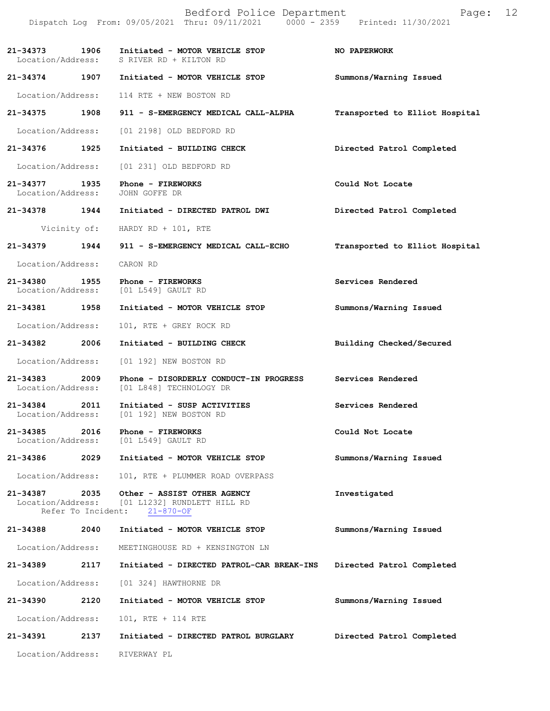|                                    |                            | Bedford Police Department<br>Dispatch Log From: 09/05/2021 Thru: 09/11/2021 0000 - 2359 Printed: 11/30/2021 | Page:                          | 12 |
|------------------------------------|----------------------------|-------------------------------------------------------------------------------------------------------------|--------------------------------|----|
|                                    |                            | 21-34373 1906 Initiated - MOTOR VEHICLE STOP<br>Location/Address: S RIVER RD + KILTON RD                    | <b>NO PAPERWORK</b>            |    |
|                                    |                            | 21-34374 1907 Initiated - MOTOR VEHICLE STOP                                                                | Summons/Warning Issued         |    |
| Location/Address:                  |                            | 114 RTE + NEW BOSTON RD                                                                                     |                                |    |
| 21-34375 1908                      |                            | 911 - S-EMERGENCY MEDICAL CALL-ALPHA                                                                        | Transported to Elliot Hospital |    |
| Location/Address:                  |                            | [01 2198] OLD BEDFORD RD                                                                                    |                                |    |
| 21-34376 1925                      |                            | Initiated - BUILDING CHECK                                                                                  | Directed Patrol Completed      |    |
| Location/Address:                  |                            | [01 231] OLD BEDFORD RD                                                                                     |                                |    |
| 21-34377 1935<br>Location/Address: |                            | Phone - FIREWORKS<br>JOHN GOFFE DR                                                                          | Could Not Locate               |    |
| 21-34378 1944                      |                            | Initiated - DIRECTED PATROL DWI                                                                             | Directed Patrol Completed      |    |
|                                    |                            | Vicinity of: HARDY RD + 101, RTE                                                                            |                                |    |
| 21-34379 1944                      |                            | 911 - S-EMERGENCY MEDICAL CALL-ECHO                                                                         | Transported to Elliot Hospital |    |
| Location/Address:                  |                            | CARON RD                                                                                                    |                                |    |
| 21-34380 1955                      |                            | Phone - FIREWORKS<br>Location/Address: [01 L549] GAULT RD                                                   | Services Rendered              |    |
| 21-34381 1958                      |                            | Initiated - MOTOR VEHICLE STOP                                                                              | Summons/Warning Issued         |    |
| Location/Address:                  |                            | 101, RTE + GREY ROCK RD                                                                                     |                                |    |
| 21-34382 2006                      |                            | Initiated - BUILDING CHECK                                                                                  | Building Checked/Secured       |    |
| Location/Address:                  |                            | [01 192] NEW BOSTON RD                                                                                      |                                |    |
| 21-34383 2009<br>Location/Address: |                            | Phone - DISORDERLY CONDUCT-IN PROGRESS<br>[01 L848] TECHNOLOGY DR                                           | Services Rendered              |    |
| 21-34384<br>Location/Address:      | 2011                       | Initiated - SUSP ACTIVITIES<br>[01 192] NEW BOSTON RD                                                       | Services Rendered              |    |
| 21-34385<br>Location/Address:      | 2016                       | Phone - FIREWORKS<br>[01 L549] GAULT RD                                                                     | Could Not Locate               |    |
| 21-34386                           | 2029                       | Initiated - MOTOR VEHICLE STOP                                                                              | Summons/Warning Issued         |    |
| Location/Address:                  |                            | 101, RTE + PLUMMER ROAD OVERPASS                                                                            |                                |    |
| 21-34387<br>Location/Address:      | 2035<br>Refer To Incident: | Other - ASSIST OTHER AGENCY<br>[01 L1232] RUNDLETT HILL RD<br>$21 - 870 - OF$                               | Investigated                   |    |
| 21-34388                           | 2040                       | Initiated - MOTOR VEHICLE STOP                                                                              | Summons/Warning Issued         |    |
| Location/Address:                  |                            | MEETINGHOUSE RD + KENSINGTON LN                                                                             |                                |    |
| 21-34389                           | 2117                       | Initiated - DIRECTED PATROL-CAR BREAK-INS                                                                   | Directed Patrol Completed      |    |
| Location/Address:                  |                            | [01 324] HAWTHORNE DR                                                                                       |                                |    |
| 21-34390                           | 2120                       | Initiated - MOTOR VEHICLE STOP                                                                              | Summons/Warning Issued         |    |
| Location/Address:                  |                            | 101, RTE + 114 RTE                                                                                          |                                |    |
| 21-34391                           | 2137                       | Initiated - DIRECTED PATROL BURGLARY                                                                        | Directed Patrol Completed      |    |
| Location/Address:                  |                            | RIVERWAY PL                                                                                                 |                                |    |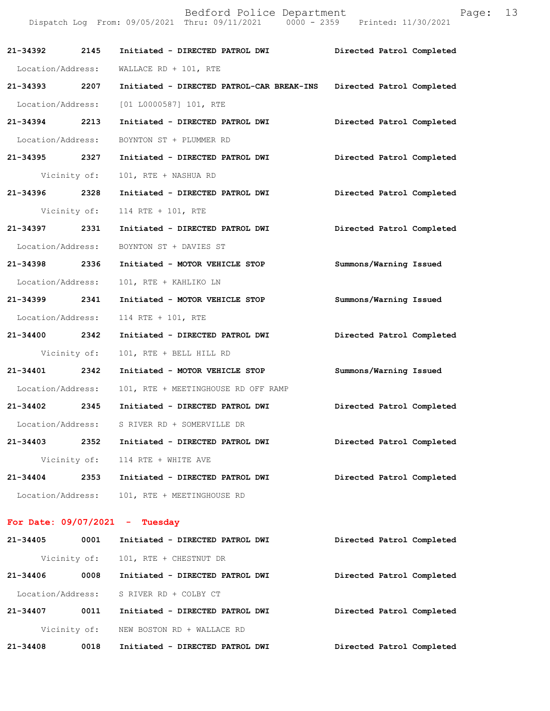Bedford Police Department Fage: 13 Dispatch Log From: 09/05/2021 Thru: 09/11/2021 0000 - 2359 Printed: 11/30/2021 **21-34392 2145 Initiated - DIRECTED PATROL DWI Directed Patrol Completed**  Location/Address: WALLACE RD + 101, RTE **21-34393 2207 Initiated - DIRECTED PATROL-CAR BREAK-INS Directed Patrol Completed**  Location/Address: [01 L0000587] 101, RTE **21-34394 2213 Initiated - DIRECTED PATROL DWI Directed Patrol Completed**  Location/Address: BOYNTON ST + PLUMMER RD **21-34395 2327 Initiated - DIRECTED PATROL DWI Directed Patrol Completed**  Vicinity of: 101, RTE + NASHUA RD **21-34396 2328 Initiated - DIRECTED PATROL DWI Directed Patrol Completed**  Vicinity of: 114 RTE + 101, RTE **21-34397 2331 Initiated - DIRECTED PATROL DWI Directed Patrol Completed**  Location/Address: BOYNTON ST + DAVIES ST **21-34398 2336 Initiated - MOTOR VEHICLE STOP Summons/Warning Issued**  Location/Address: 101, RTE + KAHLIKO LN **21-34399 2341 Initiated - MOTOR VEHICLE STOP Summons/Warning Issued**  Location/Address: 114 RTE + 101, RTE **21-34400 2342 Initiated - DIRECTED PATROL DWI Directed Patrol Completed**  Vicinity of: 101, RTE + BELL HILL RD **21-34401 2342 Initiated - MOTOR VEHICLE STOP Summons/Warning Issued**  Location/Address: 101, RTE + MEETINGHOUSE RD OFF RAMP **21-34402 2345 Initiated - DIRECTED PATROL DWI Directed Patrol Completed**  Location/Address: S RIVER RD + SOMERVILLE DR **21-34403 2352 Initiated - DIRECTED PATROL DWI Directed Patrol Completed**  Vicinity of: 114 RTE + WHITE AVE **21-34404 2353 Initiated - DIRECTED PATROL DWI Directed Patrol Completed**  Location/Address: 101, RTE + MEETINGHOUSE RD **For Date: 09/07/2021 - Tuesday 21-34405 0001 Initiated - DIRECTED PATROL DWI Directed Patrol Completed** 

 Vicinity of: 101, RTE + CHESTNUT DR **21-34406 0008 Initiated - DIRECTED PATROL DWI Directed Patrol Completed**  Location/Address: S RIVER RD + COLBY CT **21-34407 0011 Initiated - DIRECTED PATROL DWI Directed Patrol Completed**  Vicinity of: NEW BOSTON RD + WALLACE RD **21-34408 0018 Initiated - DIRECTED PATROL DWI Directed Patrol Completed**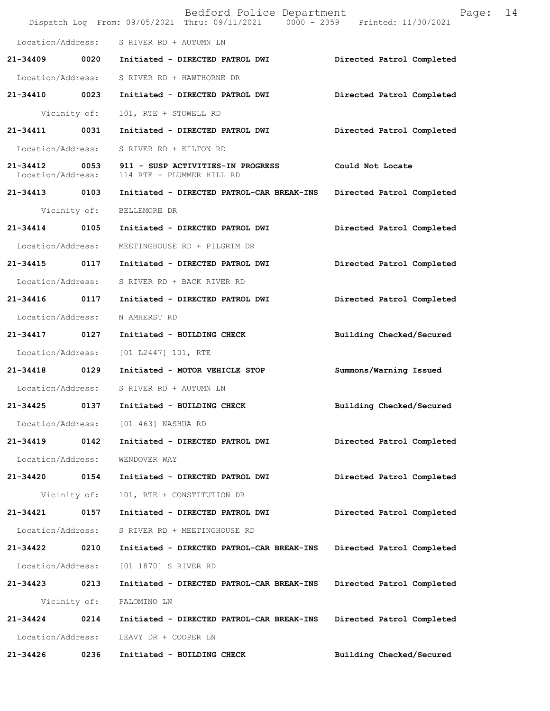|                   |              | Bedford Police Department<br>Dispatch Log From: 09/05/2021 Thru: 09/11/2021   0000 - 2359   Printed: 11/30/2021 | 14<br>Page:               |  |
|-------------------|--------------|-----------------------------------------------------------------------------------------------------------------|---------------------------|--|
|                   |              | Location/Address: S RIVER RD + AUTUMN LN                                                                        |                           |  |
|                   |              |                                                                                                                 | Directed Patrol Completed |  |
|                   |              | Location/Address: S RIVER RD + HAWTHORNE DR                                                                     |                           |  |
|                   |              | 21-34410 0023 Initiated - DIRECTED PATROL DWI                                                                   | Directed Patrol Completed |  |
|                   | Vicinity of: | 101, RTE + STOWELL RD                                                                                           |                           |  |
| 21-34411 0031     |              | Initiated - DIRECTED PATROL DWI                                                                                 | Directed Patrol Completed |  |
|                   |              | Location/Address: S RIVER RD + KILTON RD                                                                        |                           |  |
|                   |              | 21-34412 0053 911 - SUSP ACTIVITIES-IN PROGRESS<br>Location/Address: 114 RTE + PLUMMER HILL RD                  | Could Not Locate          |  |
| 21-34413 0103     |              | Initiated - DIRECTED PATROL-CAR BREAK-INS                                                                       | Directed Patrol Completed |  |
|                   |              | Vicinity of: BELLEMORE DR                                                                                       |                           |  |
| 21-34414 0105     |              | Initiated - DIRECTED PATROL DWI                                                                                 | Directed Patrol Completed |  |
| Location/Address: |              | MEETINGHOUSE RD + PILGRIM DR                                                                                    |                           |  |
|                   |              |                                                                                                                 | Directed Patrol Completed |  |
|                   |              | Location/Address: S RIVER RD + BACK RIVER RD                                                                    |                           |  |
|                   |              | 21-34416 0117 Initiated - DIRECTED PATROL DWI                                                                   | Directed Patrol Completed |  |
| Location/Address: |              | N AMHERST RD                                                                                                    |                           |  |
| 21-34417 0127     |              | Initiated - BUILDING CHECK                                                                                      | Building Checked/Secured  |  |
|                   |              | Location/Address: [01 L2447] 101, RTE                                                                           |                           |  |
| 21-34418 0129     |              | Initiated - MOTOR VEHICLE STOP                                                                                  | Summons/Warning Issued    |  |
|                   |              | Location/Address: S RIVER RD + AUTUMN LN                                                                        |                           |  |
|                   |              | 21-34425 0137 Initiated - BUILDING CHECK                                                                        | Building Checked/Secured  |  |
|                   |              | Location/Address: [01 463] NASHUA RD                                                                            |                           |  |
| 21-34419 0142     |              | Initiated - DIRECTED PATROL DWI                                                                                 | Directed Patrol Completed |  |
| Location/Address: |              | WENDOVER WAY                                                                                                    |                           |  |
| 21-34420 0154     |              | Initiated - DIRECTED PATROL DWI                                                                                 | Directed Patrol Completed |  |
|                   | Vicinity of: | 101, RTE + CONSTITUTION DR                                                                                      |                           |  |
| 21-34421 0157     |              | Initiated - DIRECTED PATROL DWI                                                                                 | Directed Patrol Completed |  |
| Location/Address: |              | S RIVER RD + MEETINGHOUSE RD                                                                                    |                           |  |
| 21-34422 0210     |              | Initiated - DIRECTED PATROL-CAR BREAK-INS                                                                       | Directed Patrol Completed |  |
| Location/Address: |              | [01 1870] S RIVER RD                                                                                            |                           |  |
| 21-34423 0213     |              | Initiated - DIRECTED PATROL-CAR BREAK-INS                                                                       | Directed Patrol Completed |  |
|                   | Vicinity of: | PALOMINO LN                                                                                                     |                           |  |
| 21-34424 0214     |              | Initiated - DIRECTED PATROL-CAR BREAK-INS                                                                       | Directed Patrol Completed |  |
| Location/Address: |              | LEAVY DR + COOPER LN                                                                                            |                           |  |
| 21-34426          | 0236         | Initiated - BUILDING CHECK                                                                                      | Building Checked/Secured  |  |
|                   |              |                                                                                                                 |                           |  |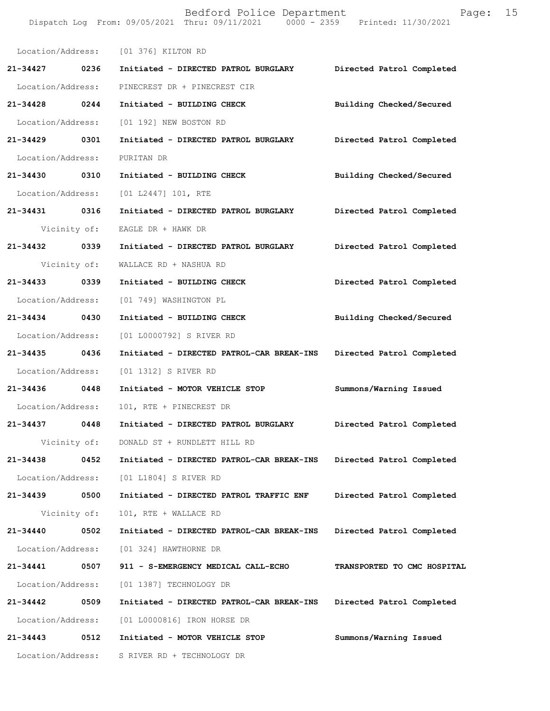Dispatch Log From: 09/05/2021 Thru: 09/11/2021 0000 - 2359 Printed: 11/30/2021 Location/Address: [01 376] KILTON RD **21-34427 0236 Initiated - DIRECTED PATROL BURGLARY Directed Patrol Completed**  Location/Address: PINECREST DR + PINECREST CIR **21-34428 0244 Initiated - BUILDING CHECK Building Checked/Secured**  Location/Address: [01 192] NEW BOSTON RD **21-34429 0301 Initiated - DIRECTED PATROL BURGLARY Directed Patrol Completed**  Location/Address: PURITAN DR **21-34430 0310 Initiated - BUILDING CHECK Building Checked/Secured**  Location/Address: [01 L2447] 101, RTE **21-34431 0316 Initiated - DIRECTED PATROL BURGLARY Directed Patrol Completed**  Vicinity of: EAGLE DR + HAWK DR **21-34432 0339 Initiated - DIRECTED PATROL BURGLARY Directed Patrol Completed**  Vicinity of: WALLACE RD + NASHUA RD **21-34433 0339 Initiated - BUILDING CHECK Directed Patrol Completed**  Location/Address: [01 749] WASHINGTON PL **21-34434 0430 Initiated - BUILDING CHECK Building Checked/Secured**  Location/Address: [01 L0000792] S RIVER RD **21-34435 0436 Initiated - DIRECTED PATROL-CAR BREAK-INS Directed Patrol Completed**  Location/Address: [01 1312] S RIVER RD **21-34436 0448 Initiated - MOTOR VEHICLE STOP Summons/Warning Issued**  Location/Address: 101, RTE + PINECREST DR **21-34437 0448 Initiated - DIRECTED PATROL BURGLARY Directed Patrol Completed**  Vicinity of: DONALD ST + RUNDLETT HILL RD **21-34438 0452 Initiated - DIRECTED PATROL-CAR BREAK-INS Directed Patrol Completed**  Location/Address: [01 L1804] S RIVER RD **21-34439 0500 Initiated - DIRECTED PATROL TRAFFIC ENF Directed Patrol Completed**  Vicinity of: 101, RTE + WALLACE RD **21-34440 0502 Initiated - DIRECTED PATROL-CAR BREAK-INS Directed Patrol Completed**  Location/Address: [01 324] HAWTHORNE DR **21-34441 0507 911 - S-EMERGENCY MEDICAL CALL-ECHO TRANSPORTED TO CMC HOSPITAL**  Location/Address: [01 1387] TECHNOLOGY DR **21-34442 0509 Initiated - DIRECTED PATROL-CAR BREAK-INS Directed Patrol Completed**  Location/Address: [01 L0000816] IRON HORSE DR **21-34443 0512 Initiated - MOTOR VEHICLE STOP Summons/Warning Issued**  Location/Address: S RIVER RD + TECHNOLOGY DR

Bedford Police Department Fage: 15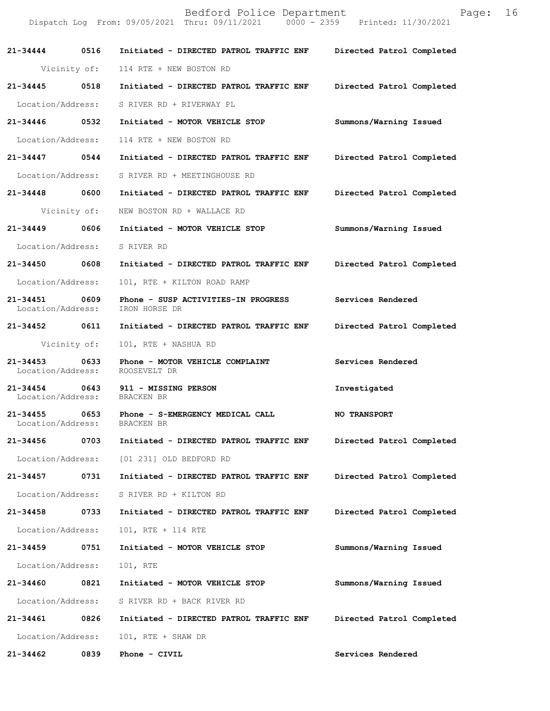|                                    |              | Bedford Police Department<br>Dispatch Log From: 09/05/2021 Thru: 09/11/2021 0000 - 2359 Printed: 11/30/2021 | Page:                     | 16 |
|------------------------------------|--------------|-------------------------------------------------------------------------------------------------------------|---------------------------|----|
|                                    |              | 21-34444   0516   Initiated - DIRECTED PATROL TRAFFIC ENF                                                   | Directed Patrol Completed |    |
|                                    |              | Vicinity of: 114 RTE + NEW BOSTON RD                                                                        |                           |    |
| 21-34445                           | 0518         | Initiated - DIRECTED PATROL TRAFFIC ENF                                                                     | Directed Patrol Completed |    |
| Location/Address:                  |              | S RIVER RD + RIVERWAY PL                                                                                    |                           |    |
| 21-34446 0532                      |              | Initiated - MOTOR VEHICLE STOP                                                                              | Summons/Warning Issued    |    |
| Location/Address:                  |              | 114 RTE + NEW BOSTON RD                                                                                     |                           |    |
| 21-34447                           | 0544         | Initiated - DIRECTED PATROL TRAFFIC ENF                                                                     | Directed Patrol Completed |    |
| Location/Address:                  |              | S RIVER RD + MEETINGHOUSE RD                                                                                |                           |    |
| 21-34448 0600                      |              | Initiated - DIRECTED PATROL TRAFFIC ENF                                                                     | Directed Patrol Completed |    |
|                                    | Vicinity of: | NEW BOSTON RD + WALLACE RD                                                                                  |                           |    |
| 21-34449 0606                      |              | Initiated - MOTOR VEHICLE STOP                                                                              | Summons/Warning Issued    |    |
| Location/Address:                  |              | S RIVER RD                                                                                                  |                           |    |
| 21-34450 0608                      |              | Initiated - DIRECTED PATROL TRAFFIC ENF                                                                     | Directed Patrol Completed |    |
| Location/Address:                  |              | 101, RTE + KILTON ROAD RAMP                                                                                 |                           |    |
| 21-34451 0609<br>Location/Address: |              | Phone - SUSP ACTIVITIES-IN PROGRESS<br>IRON HORSE DR                                                        | Services Rendered         |    |
| 21-34452 0611                      |              | Initiated - DIRECTED PATROL TRAFFIC ENF                                                                     | Directed Patrol Completed |    |
|                                    | Vicinity of: | 101, RTE + NASHUA RD                                                                                        |                           |    |
| 21-34453<br>Location/Address:      | 0633         | Phone - MOTOR VEHICLE COMPLAINT<br>ROOSEVELT DR                                                             | Services Rendered         |    |
| Location/Address:                  |              | 21-34454 0643 911 - MISSING PERSON<br>BRACKEN BR                                                            | Investigated              |    |
| 21-34455<br>Location/Address:      | 0653         | Phone - S-EMERGENCY MEDICAL CALL<br>BRACKEN BR                                                              | <b>NO TRANSPORT</b>       |    |
| 21-34456                           | 0703         | Initiated - DIRECTED PATROL TRAFFIC ENF                                                                     | Directed Patrol Completed |    |
| Location/Address:                  |              | [01 231] OLD BEDFORD RD                                                                                     |                           |    |
| 21-34457                           | 0731         | Initiated - DIRECTED PATROL TRAFFIC ENF                                                                     | Directed Patrol Completed |    |
| Location/Address:                  |              | S RIVER RD + KILTON RD                                                                                      |                           |    |
| 21-34458                           | 0733         | Initiated - DIRECTED PATROL TRAFFIC ENF                                                                     | Directed Patrol Completed |    |
| Location/Address:                  |              | 101, RTE + 114 RTE                                                                                          |                           |    |
| 21-34459                           | 0751         | Initiated - MOTOR VEHICLE STOP                                                                              | Summons/Warning Issued    |    |
| Location/Address:                  |              | 101, RTE                                                                                                    |                           |    |
| 21-34460                           | 0821         | Initiated - MOTOR VEHICLE STOP                                                                              | Summons/Warning Issued    |    |
| Location/Address:                  |              | S RIVER RD + BACK RIVER RD                                                                                  |                           |    |
| 21-34461                           | 0826         | Initiated - DIRECTED PATROL TRAFFIC ENF                                                                     | Directed Patrol Completed |    |
| Location/Address:                  |              | 101, RTE + SHAW DR                                                                                          |                           |    |
|                                    |              |                                                                                                             | Services Rendered         |    |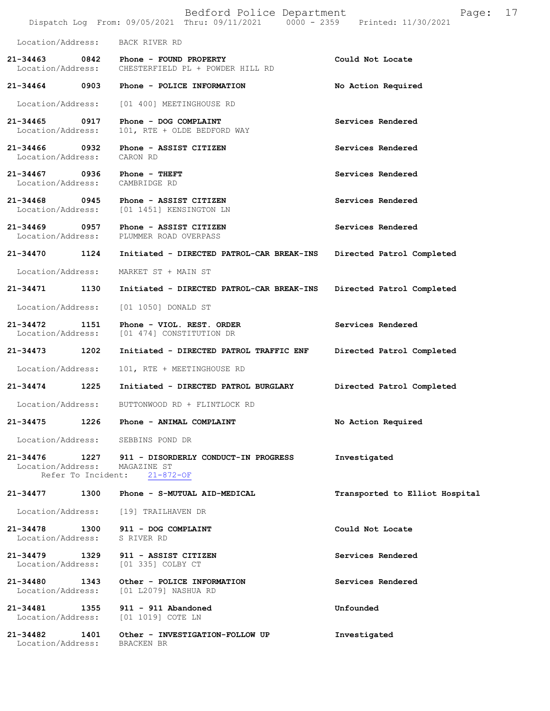|                                   |                            | Bedford Police Department<br>Dispatch Log From: 09/05/2021 Thru: 09/11/2021 0000 - 2359 | 17<br>Page:<br>Printed: 11/30/2021 |
|-----------------------------------|----------------------------|-----------------------------------------------------------------------------------------|------------------------------------|
| Location/Address:                 |                            | BACK RIVER RD                                                                           |                                    |
| 21-34463<br>Location/Address:     | 0842                       | Phone - FOUND PROPERTY<br>CHESTERFIELD PL + POWDER HILL RD                              | Could Not Locate                   |
| 21-34464                          | 0903                       | Phone - POLICE INFORMATION                                                              | No Action Required                 |
| Location/Address:                 |                            | [01 400] MEETINGHOUSE RD                                                                |                                    |
| 21-34465<br>Location/Address:     | 0917                       | Phone - DOG COMPLAINT<br>101, RTE + OLDE BEDFORD WAY                                    | Services Rendered                  |
| 21-34466<br>Location/Address:     | 0932                       | Phone - ASSIST CITIZEN<br>CARON RD                                                      | Services Rendered                  |
| $21 - 34467$<br>Location/Address: | 0936                       | Phone - THEFT<br>CAMBRIDGE RD                                                           | Services Rendered                  |
| 21-34468<br>Location/Address:     | 0945                       | Phone - ASSIST CITIZEN<br>[01 1451] KENSINGTON LN                                       | Services Rendered                  |
| 21-34469<br>Location/Address:     | 0957                       | Phone - ASSIST CITIZEN<br>PLUMMER ROAD OVERPASS                                         | Services Rendered                  |
| 21-34470                          | 1124                       | Initiated - DIRECTED PATROL-CAR BREAK-INS                                               | Directed Patrol Completed          |
| Location/Address:                 |                            | MARKET ST + MAIN ST                                                                     |                                    |
| 21-34471                          | 1130                       | Initiated - DIRECTED PATROL-CAR BREAK-INS                                               | Directed Patrol Completed          |
| Location/Address:                 |                            | [01 1050] DONALD ST                                                                     |                                    |
| 21-34472<br>Location/Address:     | 1151                       | Phone - VIOL. REST. ORDER<br>[01 474] CONSTITUTION DR                                   | Services Rendered                  |
| 21-34473                          | 1202                       | Initiated - DIRECTED PATROL TRAFFIC ENF                                                 | Directed Patrol Completed          |
| Location/Address:                 |                            | 101, RTE + MEETINGHOUSE RD                                                              |                                    |
| 21-34474                          | 1225                       | Initiated - DIRECTED PATROL BURGLARY                                                    | Directed Patrol Completed          |
| Location/Address:                 |                            | BUTTONWOOD RD + FLINTLOCK RD                                                            |                                    |
| 21-34475                          | 1226                       | Phone - ANIMAL COMPLAINT                                                                | No Action Required                 |
| Location/Address:                 |                            | SEBBINS POND DR                                                                         |                                    |
| 21-34476<br>Location/Address:     | 1227<br>Refer To Incident: | 911 - DISORDERLY CONDUCT-IN PROGRESS<br>MAGAZINE ST<br>$21 - 872 - OF$                  | Investigated                       |
| 21-34477                          | 1300                       | Phone - S-MUTUAL AID-MEDICAL                                                            | Transported to Elliot Hospital     |
| Location/Address:                 |                            | [19] TRAILHAVEN DR                                                                      |                                    |
| 21-34478<br>Location/Address:     | 1300                       | 911 - DOG COMPLAINT<br>S RIVER RD                                                       | Could Not Locate                   |
| $21 - 34479$<br>Location/Address: | 1329                       | 911 - ASSIST CITIZEN<br>[01 335] COLBY CT                                               | Services Rendered                  |
| 21-34480<br>Location/Address:     | 1343                       | Other - POLICE INFORMATION<br>[01 L2079] NASHUA RD                                      | Services Rendered                  |
| 21-34481<br>Location/Address:     | 1355                       | 911 - 911 Abandoned<br>[01 1019] COTE LN                                                | Unfounded                          |
| $21 - 34482$<br>Location/Address: | 1401                       | Other - INVESTIGATION-FOLLOW UP<br>BRACKEN BR                                           | Investigated                       |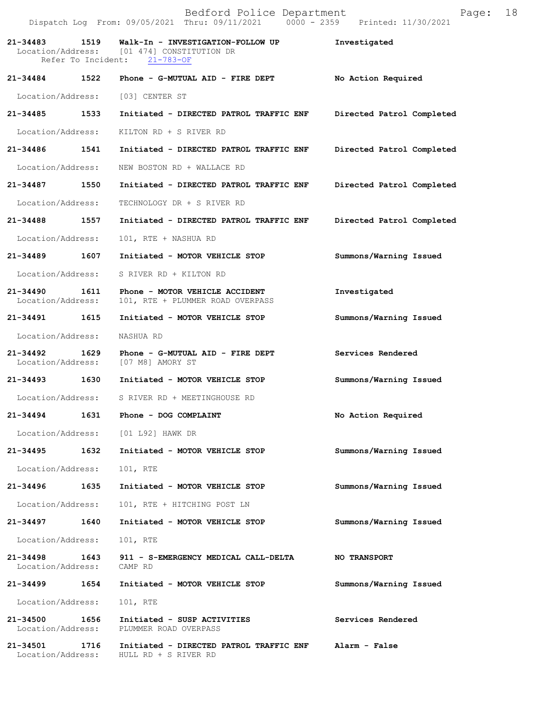|                                    |      | Bedford Police Department<br>Dispatch Log From: 09/05/2021 Thru: 09/11/2021 0000 - 2359 Printed: 11/30/2021          | Page:                     | 18 |
|------------------------------------|------|----------------------------------------------------------------------------------------------------------------------|---------------------------|----|
| 21-34483                           |      | 1519 Walk-In - INVESTIGATION-FOLLOW UP<br>Location/Address: [01 474] CONSTITUTION DR<br>Refer To Incident: 21-783-OF | Investigated              |    |
|                                    |      | 21-34484 1522 Phone - G-MUTUAL AID - FIRE DEPT                                                                       | No Action Required        |    |
| Location/Address:                  |      | [03] CENTER ST                                                                                                       |                           |    |
| 21-34485 1533                      |      | Initiated - DIRECTED PATROL TRAFFIC ENF                                                                              | Directed Patrol Completed |    |
| Location/Address:                  |      | KILTON RD + S RIVER RD                                                                                               |                           |    |
| 21-34486 1541                      |      | Initiated - DIRECTED PATROL TRAFFIC ENF                                                                              | Directed Patrol Completed |    |
| Location/Address:                  |      | NEW BOSTON RD + WALLACE RD                                                                                           |                           |    |
| 21-34487 1550                      |      | Initiated - DIRECTED PATROL TRAFFIC ENF                                                                              | Directed Patrol Completed |    |
| Location/Address:                  |      | TECHNOLOGY DR + S RIVER RD                                                                                           |                           |    |
| 21-34488 1557                      |      | Initiated - DIRECTED PATROL TRAFFIC ENF                                                                              | Directed Patrol Completed |    |
| Location/Address:                  |      | 101, RTE + NASHUA RD                                                                                                 |                           |    |
| 21-34489 1607                      |      | Initiated - MOTOR VEHICLE STOP                                                                                       | Summons/Warning Issued    |    |
| Location/Address:                  |      | S RIVER RD + KILTON RD                                                                                               |                           |    |
| 21-34490 1611<br>Location/Address: |      | Phone - MOTOR VEHICLE ACCIDENT<br>101, RTE + PLUMMER ROAD OVERPASS                                                   | Investigated              |    |
| 21-34491 1615                      |      | Initiated - MOTOR VEHICLE STOP                                                                                       | Summons/Warning Issued    |    |
| Location/Address:                  |      | NASHUA RD                                                                                                            |                           |    |
| Location/Address:                  |      | 21-34492 1629 Phone - G-MUTUAL AID - FIRE DEPT<br>[07 M8] AMORY ST                                                   | Services Rendered         |    |
| 21-34493 1630                      |      | Initiated - MOTOR VEHICLE STOP                                                                                       | Summons/Warning Issued    |    |
|                                    |      | Location/Address: S RIVER RD + MEETINGHOUSE RD                                                                       |                           |    |
| 21-34494                           | 1631 | Phone - DOG COMPLAINT                                                                                                | No Action Required        |    |
|                                    |      | Location/Address: [01 L92] HAWK DR                                                                                   |                           |    |
|                                    |      | 21-34495   1632   Initiated - MOTOR VEHICLE STOP                                                                     | Summons/Warning Issued    |    |
| Location/Address:                  |      | 101, RTE                                                                                                             |                           |    |
| 21-34496                           | 1635 | Initiated - MOTOR VEHICLE STOP                                                                                       | Summons/Warning Issued    |    |
| Location/Address:                  |      | 101, RTE + HITCHING POST LN                                                                                          |                           |    |
| 21-34497 1640                      |      | Initiated - MOTOR VEHICLE STOP                                                                                       | Summons/Warning Issued    |    |
| Location/Address:                  |      | 101, RTE                                                                                                             |                           |    |
| Location/Address: CAMP RD          |      | 21-34498 1643 911 - S-EMERGENCY MEDICAL CALL-DELTA                                                                   | <b>NO TRANSPORT</b>       |    |
| 21-34499                           | 1654 | Initiated - MOTOR VEHICLE STOP                                                                                       | Summons/Warning Issued    |    |
| Location/Address:                  |      | 101, RTE                                                                                                             |                           |    |
| 21-34500 1656<br>Location/Address: |      | Initiated - SUSP ACTIVITIES<br>PLUMMER ROAD OVERPASS                                                                 | Services Rendered         |    |
| 21-34501 1716                      |      | Initiated - DIRECTED PATROL TRAFFIC ENF Alarm - False<br>Location/Address: HULL RD + S RIVER RD                      |                           |    |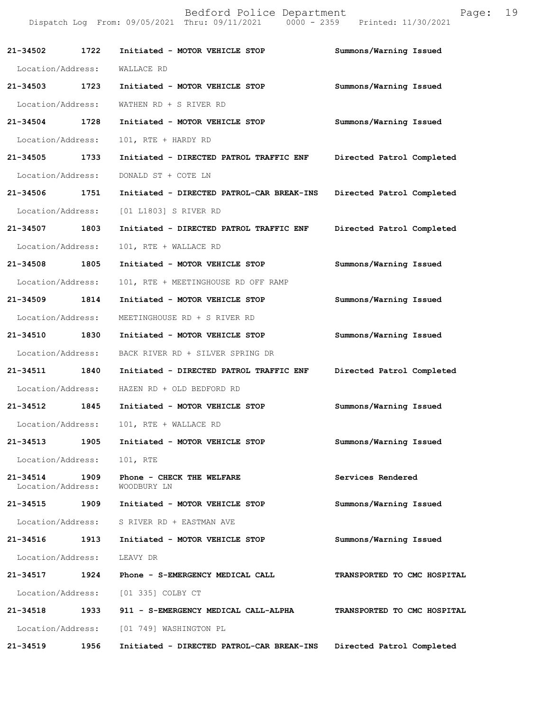|                                   | Bedford Police Department<br>19<br>Page:<br>Dispatch Log From: 09/05/2021 Thru: 09/11/2021 0000 - 2359 Printed: 11/30/2021 |                                           |                             |  |
|-----------------------------------|----------------------------------------------------------------------------------------------------------------------------|-------------------------------------------|-----------------------------|--|
| 21-34502                          | 1722                                                                                                                       | Initiated - MOTOR VEHICLE STOP            | Summons/Warning Issued      |  |
| Location/Address:                 |                                                                                                                            | WALLACE RD                                |                             |  |
| 21-34503                          | 1723                                                                                                                       | Initiated - MOTOR VEHICLE STOP            | Summons/Warning Issued      |  |
| Location/Address:                 |                                                                                                                            | WATHEN RD + S RIVER RD                    |                             |  |
| 21-34504                          | 1728                                                                                                                       | Initiated - MOTOR VEHICLE STOP            | Summons/Warning Issued      |  |
| Location/Address:                 |                                                                                                                            | 101, RTE + HARDY RD                       |                             |  |
| 21-34505                          | 1733                                                                                                                       | Initiated - DIRECTED PATROL TRAFFIC ENF   | Directed Patrol Completed   |  |
| Location/Address:                 |                                                                                                                            | DONALD ST + COTE LN                       |                             |  |
| 21-34506                          | 1751                                                                                                                       | Initiated - DIRECTED PATROL-CAR BREAK-INS | Directed Patrol Completed   |  |
| Location/Address:                 |                                                                                                                            | [01 L1803] S RIVER RD                     |                             |  |
| 21-34507                          | 1803                                                                                                                       | Initiated - DIRECTED PATROL TRAFFIC ENF   | Directed Patrol Completed   |  |
| Location/Address:                 |                                                                                                                            | 101, RTE + WALLACE RD                     |                             |  |
| 21-34508                          | 1805                                                                                                                       | Initiated - MOTOR VEHICLE STOP            | Summons/Warning Issued      |  |
| Location/Address:                 |                                                                                                                            | 101, RTE + MEETINGHOUSE RD OFF RAMP       |                             |  |
| 21-34509                          | 1814                                                                                                                       | Initiated - MOTOR VEHICLE STOP            | Summons/Warning Issued      |  |
| Location/Address:                 |                                                                                                                            | MEETINGHOUSE RD + S RIVER RD              |                             |  |
| 21-34510                          | 1830                                                                                                                       | Initiated - MOTOR VEHICLE STOP            | Summons/Warning Issued      |  |
| Location/Address:                 |                                                                                                                            | BACK RIVER RD + SILVER SPRING DR          |                             |  |
| 21-34511                          | 1840                                                                                                                       | Initiated - DIRECTED PATROL TRAFFIC ENF   | Directed Patrol Completed   |  |
| Location/Address:                 |                                                                                                                            | HAZEN RD + OLD BEDFORD RD                 |                             |  |
| 21-34512                          | 1845                                                                                                                       | Initiated - MOTOR VEHICLE STOP            | Summons/Warning Issued      |  |
|                                   |                                                                                                                            | Location/Address: 101, RTE + WALLACE RD   |                             |  |
| 21-34513                          | 1905                                                                                                                       | Initiated - MOTOR VEHICLE STOP            | Summons/Warning Issued      |  |
| Location/Address:                 |                                                                                                                            | 101, RTE                                  |                             |  |
| $21 - 34514$<br>Location/Address: | 1909                                                                                                                       | Phone - CHECK THE WELFARE<br>WOODBURY LN  | Services Rendered           |  |
| 21-34515 1909                     |                                                                                                                            | Initiated - MOTOR VEHICLE STOP            | Summons/Warning Issued      |  |
| Location/Address:                 |                                                                                                                            | S RIVER RD + EASTMAN AVE                  |                             |  |
| 21-34516                          | 1913                                                                                                                       | Initiated - MOTOR VEHICLE STOP            | Summons/Warning Issued      |  |
| Location/Address:                 |                                                                                                                            | LEAVY DR                                  |                             |  |
| 21-34517                          | 1924                                                                                                                       | Phone - S-EMERGENCY MEDICAL CALL          | TRANSPORTED TO CMC HOSPITAL |  |
| Location/Address:                 |                                                                                                                            | [01 335] COLBY CT                         |                             |  |
| 21-34518                          | 1933                                                                                                                       | 911 - S-EMERGENCY MEDICAL CALL-ALPHA      | TRANSPORTED TO CMC HOSPITAL |  |
| Location/Address:                 |                                                                                                                            | [01 749] WASHINGTON PL                    |                             |  |
| 21-34519                          | 1956                                                                                                                       | Initiated - DIRECTED PATROL-CAR BREAK-INS | Directed Patrol Completed   |  |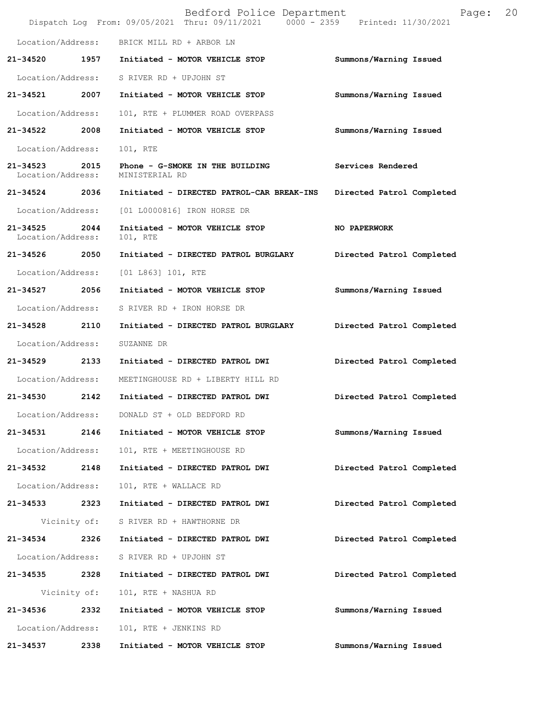|                               |              | Bedford Police Department<br>Dispatch Log From: 09/05/2021 Thru: 09/11/2021 0000 - 2359 Printed: 11/30/2021 | Page:                     | 20 |
|-------------------------------|--------------|-------------------------------------------------------------------------------------------------------------|---------------------------|----|
| Location/Address:             |              | BRICK MILL RD + ARBOR LN                                                                                    |                           |    |
| 21-34520                      | 1957         | Initiated - MOTOR VEHICLE STOP                                                                              | Summons/Warning Issued    |    |
| Location/Address:             |              | S RIVER RD + UPJOHN ST                                                                                      |                           |    |
| 21-34521                      | 2007         | Initiated - MOTOR VEHICLE STOP                                                                              | Summons/Warning Issued    |    |
| Location/Address:             |              | 101, RTE + PLUMMER ROAD OVERPASS                                                                            |                           |    |
| 21-34522                      | 2008         | Initiated - MOTOR VEHICLE STOP                                                                              | Summons/Warning Issued    |    |
| Location/Address:             |              | 101, RTE                                                                                                    |                           |    |
| 21-34523<br>Location/Address: | 2015         | Phone - G-SMOKE IN THE BUILDING<br>MINISTERIAL RD                                                           | Services Rendered         |    |
| 21-34524 2036                 |              | Initiated - DIRECTED PATROL-CAR BREAK-INS                                                                   | Directed Patrol Completed |    |
| Location/Address:             |              | [01 L0000816] IRON HORSE DR                                                                                 |                           |    |
| 21-34525<br>Location/Address: | 2044         | Initiated - MOTOR VEHICLE STOP<br>101, RTE                                                                  | NO PAPERWORK              |    |
| 21-34526 2050                 |              | Initiated - DIRECTED PATROL BURGLARY                                                                        | Directed Patrol Completed |    |
| Location/Address:             |              | [01 L863] 101, RTE                                                                                          |                           |    |
| 21-34527 2056                 |              | Initiated - MOTOR VEHICLE STOP                                                                              | Summons/Warning Issued    |    |
| Location/Address:             |              | S RIVER RD + IRON HORSE DR                                                                                  |                           |    |
| 21-34528                      | 2110         | Initiated - DIRECTED PATROL BURGLARY                                                                        | Directed Patrol Completed |    |
| Location/Address:             |              | SUZANNE DR                                                                                                  |                           |    |
| 21-34529                      | 2133         | Initiated - DIRECTED PATROL DWI                                                                             | Directed Patrol Completed |    |
| Location/Address:             |              | MEETINGHOUSE RD + LIBERTY HILL RD                                                                           |                           |    |
| 21-34530                      | 2142         | Initiated - DIRECTED PATROL DWI                                                                             | Directed Patrol Completed |    |
| Location/Address:             |              | DONALD ST + OLD BEDFORD RD                                                                                  |                           |    |
| 21-34531                      | 2146         | Initiated - MOTOR VEHICLE STOP                                                                              | Summons/Warning Issued    |    |
| Location/Address:             |              | 101, RTE + MEETINGHOUSE RD                                                                                  |                           |    |
| 21-34532                      | 2148         | Initiated - DIRECTED PATROL DWI                                                                             | Directed Patrol Completed |    |
| Location/Address:             |              | 101, RTE + WALLACE RD                                                                                       |                           |    |
| 21-34533                      | 2323         | Initiated - DIRECTED PATROL DWI                                                                             | Directed Patrol Completed |    |
|                               | Vicinity of: | S RIVER RD + HAWTHORNE DR                                                                                   |                           |    |
| 21-34534                      | 2326         | Initiated - DIRECTED PATROL DWI                                                                             | Directed Patrol Completed |    |
| Location/Address:             |              | S RIVER RD + UPJOHN ST                                                                                      |                           |    |
| 21-34535                      | 2328         | Initiated - DIRECTED PATROL DWI                                                                             | Directed Patrol Completed |    |
|                               | Vicinity of: | 101, RTE + NASHUA RD                                                                                        |                           |    |
| 21-34536                      | 2332         | Initiated - MOTOR VEHICLE STOP                                                                              | Summons/Warning Issued    |    |
| Location/Address:             |              | 101, RTE + JENKINS RD                                                                                       |                           |    |
| 21-34537                      | 2338         | Initiated - MOTOR VEHICLE STOP                                                                              | Summons/Warning Issued    |    |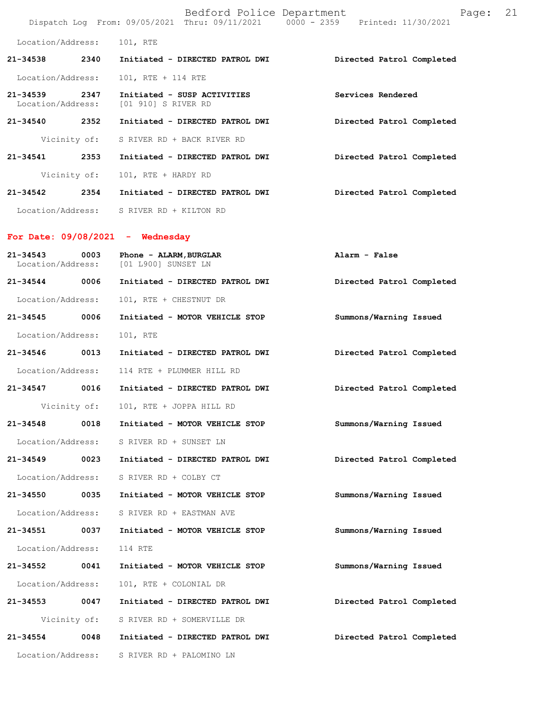|                               |              | Bedford Police Department<br>Dispatch Log From: 09/05/2021 Thru: 09/11/2021 0000 - 2359 Printed: 11/30/2021 | 21<br>Page:               |
|-------------------------------|--------------|-------------------------------------------------------------------------------------------------------------|---------------------------|
| Location/Address:             |              | 101, RTE                                                                                                    |                           |
| 21-34538                      | 2340         | Initiated - DIRECTED PATROL DWI                                                                             | Directed Patrol Completed |
| Location/Address:             |              | 101, RTE + 114 RTE                                                                                          |                           |
| 21-34539<br>Location/Address: | 2347         | Initiated - SUSP ACTIVITIES<br>[01 910] S RIVER RD                                                          | Services Rendered         |
| 21-34540 2352                 |              | Initiated - DIRECTED PATROL DWI                                                                             | Directed Patrol Completed |
|                               | Vicinity of: | S RIVER RD + BACK RIVER RD                                                                                  |                           |
| 21-34541 2353                 |              | Initiated - DIRECTED PATROL DWI                                                                             | Directed Patrol Completed |
|                               | Vicinity of: | 101, RTE + HARDY RD                                                                                         |                           |
| 21-34542                      | 2354         | Initiated - DIRECTED PATROL DWI                                                                             | Directed Patrol Completed |
| Location/Address:             |              | S RIVER RD + KILTON RD                                                                                      |                           |
|                               |              | For Date: $09/08/2021$ - Wednesday                                                                          |                           |
| 21-34543<br>Location/Address: | 0003         | Phone - ALARM, BURGLAR<br>[01 L900] SUNSET LN                                                               | Alarm - False             |
| 21-34544 0006                 |              | Initiated - DIRECTED PATROL DWI                                                                             | Directed Patrol Completed |
| Location/Address:             |              | 101, RTE + CHESTNUT DR                                                                                      |                           |
| 21-34545                      | 0006         | Initiated - MOTOR VEHICLE STOP                                                                              | Summons/Warning Issued    |
| Location/Address:             |              | 101, RTE                                                                                                    |                           |
| 21-34546                      | 0013         | Initiated - DIRECTED PATROL DWI                                                                             | Directed Patrol Completed |
| Location/Address:             |              | 114 RTE + PLUMMER HILL RD                                                                                   |                           |
| 21-34547 0016                 |              | Initiated - DIRECTED PATROL DWI                                                                             | Directed Patrol Completed |
|                               | Vicinity of: | 101, RTE + JOPPA HILL RD                                                                                    |                           |
| 21-34548                      | 0018         | Initiated - MOTOR VEHICLE STOP                                                                              | Summons/Warning Issued    |
| Location/Address:             |              | S RIVER RD + SUNSET LN                                                                                      |                           |
| 21-34549                      | 0023         | Initiated - DIRECTED PATROL DWI                                                                             | Directed Patrol Completed |
| Location/Address:             |              | S RIVER RD + COLBY CT                                                                                       |                           |
| 21-34550                      | 0035         | Initiated - MOTOR VEHICLE STOP                                                                              | Summons/Warning Issued    |
| Location/Address:             |              | S RIVER RD + EASTMAN AVE                                                                                    |                           |
| 21-34551                      | 0037         | Initiated - MOTOR VEHICLE STOP                                                                              | Summons/Warning Issued    |
| Location/Address:             |              | 114 RTE                                                                                                     |                           |
| 21-34552                      | 0041         | Initiated - MOTOR VEHICLE STOP                                                                              | Summons/Warning Issued    |
| Location/Address:             |              | 101, RTE + COLONIAL DR                                                                                      |                           |
| 21-34553                      | 0047         | Initiated - DIRECTED PATROL DWI                                                                             | Directed Patrol Completed |
|                               | Vicinity of: | S RIVER RD + SOMERVILLE DR                                                                                  |                           |
| 21-34554                      | 0048         | Initiated - DIRECTED PATROL DWI                                                                             | Directed Patrol Completed |
| Location/Address:             |              | S RIVER RD + PALOMINO LN                                                                                    |                           |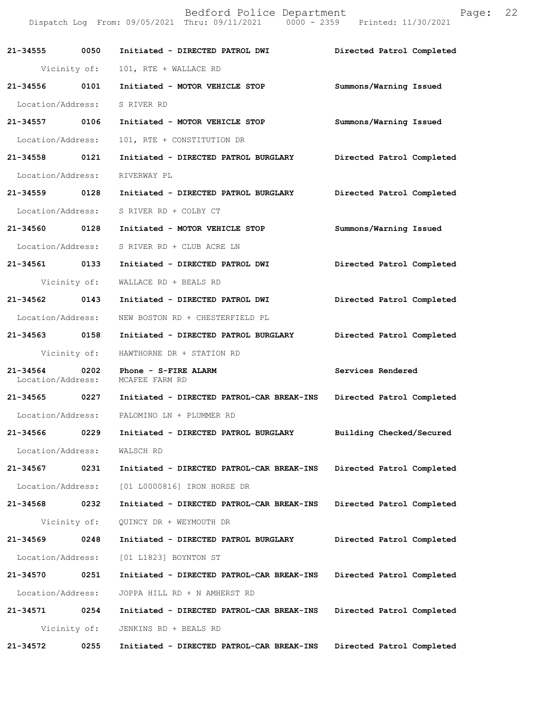|                               |              | Bedford Police Department<br>Dispatch Log From: 09/05/2021 Thru: 09/11/2021 0000 - 2359 Printed: 11/30/2021 | Page:                     | 22 |
|-------------------------------|--------------|-------------------------------------------------------------------------------------------------------------|---------------------------|----|
|                               |              | 21-34555 0050 Initiated - DIRECTED PATROL DWI                                                               | Directed Patrol Completed |    |
|                               | Vicinity of: | 101, RTE + WALLACE RD                                                                                       |                           |    |
|                               |              | 21-34556 0101 Initiated - MOTOR VEHICLE STOP                                                                | Summons/Warning Issued    |    |
| Location/Address: S RIVER RD  |              |                                                                                                             |                           |    |
| 21-34557 0106                 |              | Initiated - MOTOR VEHICLE STOP                                                                              | Summons/Warning Issued    |    |
| Location/Address:             |              | 101, RTE + CONSTITUTION DR                                                                                  |                           |    |
| 21-34558 0121                 |              | Initiated - DIRECTED PATROL BURGLARY                                                                        | Directed Patrol Completed |    |
| Location/Address:             |              | RIVERWAY PL                                                                                                 |                           |    |
|                               |              | 21-34559 0128 Initiated - DIRECTED PATROL BURGLARY                                                          | Directed Patrol Completed |    |
| Location/Address:             |              | S RIVER RD + COLBY CT                                                                                       |                           |    |
| 21-34560 0128                 |              | Initiated - MOTOR VEHICLE STOP                                                                              | Summons/Warning Issued    |    |
|                               |              | Location/Address: S RIVER RD + CLUB ACRE LN                                                                 |                           |    |
| 21-34561 0133                 |              | Initiated - DIRECTED PATROL DWI                                                                             | Directed Patrol Completed |    |
|                               | Vicinity of: | WALLACE RD + BEALS RD                                                                                       |                           |    |
| 21-34562 0143                 |              | Initiated - DIRECTED PATROL DWI                                                                             | Directed Patrol Completed |    |
| Location/Address:             |              | NEW BOSTON RD + CHESTERFIELD PL                                                                             |                           |    |
| 21-34563 0158                 |              | Initiated - DIRECTED PATROL BURGLARY                                                                        | Directed Patrol Completed |    |
|                               | Vicinity of: | HAWTHORNE DR + STATION RD                                                                                   |                           |    |
| 21-34564<br>Location/Address: | 0202         | Phone - S-FIRE ALARM<br>MCAFEE FARM RD                                                                      | Services Rendered         |    |
|                               |              | 21-34565 0227 Initiated - DIRECTED PATROL-CAR BREAK-INS                                                     | Directed Patrol Completed |    |
| Location/Address:             |              | PALOMINO LN + PLUMMER RD                                                                                    |                           |    |
| 21-34566                      | 0229         | Initiated - DIRECTED PATROL BURGLARY                                                                        | Building Checked/Secured  |    |
| Location/Address:             |              | WALSCH RD                                                                                                   |                           |    |
| 21-34567                      | 0231         | Initiated - DIRECTED PATROL-CAR BREAK-INS                                                                   | Directed Patrol Completed |    |
| Location/Address:             |              | [01 L0000816] IRON HORSE DR                                                                                 |                           |    |
| 21-34568                      | 0232         | Initiated - DIRECTED PATROL-CAR BREAK-INS                                                                   | Directed Patrol Completed |    |
|                               | Vicinity of: | QUINCY DR + WEYMOUTH DR                                                                                     |                           |    |
| 21-34569                      | 0248         | Initiated - DIRECTED PATROL BURGLARY                                                                        | Directed Patrol Completed |    |
| Location/Address:             |              | [01 L1823] BOYNTON ST                                                                                       |                           |    |
| 21-34570                      | 0251         | Initiated - DIRECTED PATROL-CAR BREAK-INS                                                                   | Directed Patrol Completed |    |
| Location/Address:             |              | JOPPA HILL RD + N AMHERST RD                                                                                |                           |    |
| 21-34571                      | 0254         | Initiated - DIRECTED PATROL-CAR BREAK-INS                                                                   | Directed Patrol Completed |    |
|                               | Vicinity of: | JENKINS RD + BEALS RD                                                                                       |                           |    |
| 21-34572                      | 0255         | Initiated - DIRECTED PATROL-CAR BREAK-INS                                                                   | Directed Patrol Completed |    |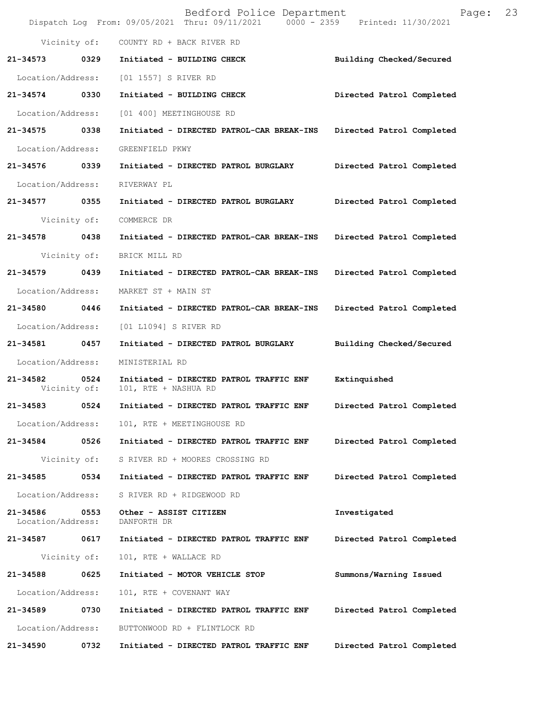|                               |      | Bedford Police Department<br>Dispatch Log From: 09/05/2021 Thru: 09/11/2021 0000 - 2359 Printed: 11/30/2021 | Page:                     | 23 |
|-------------------------------|------|-------------------------------------------------------------------------------------------------------------|---------------------------|----|
|                               |      | Vicinity of: COUNTY RD + BACK RIVER RD                                                                      |                           |    |
|                               |      | 21-34573 0329 Initiated - BUILDING CHECK                                                                    | Building Checked/Secured  |    |
|                               |      | Location/Address: [01 1557] S RIVER RD                                                                      |                           |    |
| 21-34574 0330                 |      | Initiated - BUILDING CHECK                                                                                  | Directed Patrol Completed |    |
| Location/Address:             |      | [01 400] MEETINGHOUSE RD                                                                                    |                           |    |
| 21-34575 0338                 |      | Initiated - DIRECTED PATROL-CAR BREAK-INS Directed Patrol Completed                                         |                           |    |
| Location/Address:             |      | GREENFIELD PKWY                                                                                             |                           |    |
| 21-34576 0339                 |      | Initiated - DIRECTED PATROL BURGLARY Directed Patrol Completed                                              |                           |    |
| Location/Address:             |      | RIVERWAY PL                                                                                                 |                           |    |
| 21-34577 0355                 |      | Initiated - DIRECTED PATROL BURGLARY Directed Patrol Completed                                              |                           |    |
| Vicinity of:                  |      | COMMERCE DR                                                                                                 |                           |    |
| 21-34578 0438                 |      | Initiated - DIRECTED PATROL-CAR BREAK-INS Directed Patrol Completed                                         |                           |    |
| Vicinity of:                  |      | BRICK MILL RD                                                                                               |                           |    |
| 21-34579 0439                 |      | Initiated - DIRECTED PATROL-CAR BREAK-INS                                                                   | Directed Patrol Completed |    |
| Location/Address:             |      | MARKET ST + MAIN ST                                                                                         |                           |    |
| 21-34580 0446                 |      | Initiated - DIRECTED PATROL-CAR BREAK-INS Directed Patrol Completed                                         |                           |    |
| Location/Address:             |      | [01 L1094] S RIVER RD                                                                                       |                           |    |
| 21-34581 0457                 |      | Initiated - DIRECTED PATROL BURGLARY Building Checked/Secured                                               |                           |    |
| Location/Address:             |      | MINISTERIAL RD                                                                                              |                           |    |
| 21-34582<br>Vicinity of:      | 0524 | Initiated - DIRECTED PATROL TRAFFIC ENF Extinquished<br>101, RTE + NASHUA RD                                |                           |    |
| 21-34583                      | 0524 | Initiated - DIRECTED PATROL TRAFFIC ENF                                                                     | Directed Patrol Completed |    |
| Location/Address:             |      | 101, RTE + MEETINGHOUSE RD                                                                                  |                           |    |
| 21-34584                      | 0526 | Initiated - DIRECTED PATROL TRAFFIC ENF                                                                     | Directed Patrol Completed |    |
| Vicinity of:                  |      | S RIVER RD + MOORES CROSSING RD                                                                             |                           |    |
| 21-34585                      | 0534 | Initiated - DIRECTED PATROL TRAFFIC ENF                                                                     | Directed Patrol Completed |    |
| Location/Address:             |      | S RIVER RD + RIDGEWOOD RD                                                                                   |                           |    |
| 21-34586<br>Location/Address: | 0553 | Other - ASSIST CITIZEN<br>DANFORTH DR                                                                       | Investigated              |    |
| 21-34587                      | 0617 | Initiated - DIRECTED PATROL TRAFFIC ENF                                                                     | Directed Patrol Completed |    |
| Vicinity of:                  |      | 101, RTE + WALLACE RD                                                                                       |                           |    |
| 21-34588                      | 0625 | Initiated - MOTOR VEHICLE STOP                                                                              | Summons/Warning Issued    |    |
| Location/Address:             |      | 101, RTE + COVENANT WAY                                                                                     |                           |    |
| 21-34589                      | 0730 | Initiated - DIRECTED PATROL TRAFFIC ENF                                                                     | Directed Patrol Completed |    |
| Location/Address:             |      | BUTTONWOOD RD + FLINTLOCK RD                                                                                |                           |    |
| 21-34590                      | 0732 | Initiated - DIRECTED PATROL TRAFFIC ENF                                                                     | Directed Patrol Completed |    |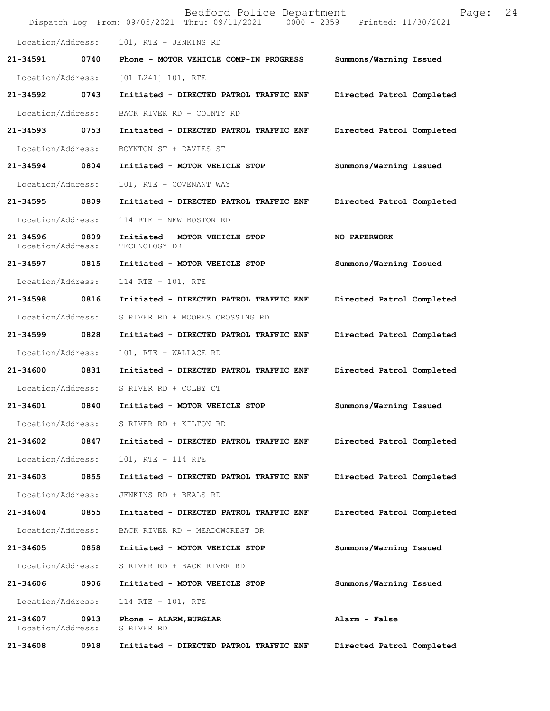|                                    |      | Bedford Police Department<br>Dispatch Log From: 09/05/2021 Thru: 09/11/2021 0000 - 2359 Printed: 11/30/2021 | Page:                     | 24 |
|------------------------------------|------|-------------------------------------------------------------------------------------------------------------|---------------------------|----|
| Location/Address:                  |      | 101, RTE + JENKINS RD                                                                                       |                           |    |
| 21-34591                           |      | 0740 Phone - MOTOR VEHICLE COMP-IN PROGRESS                                                                 | Summons/Warning Issued    |    |
| Location/Address:                  |      | $[01 L241] 101$ , RTE                                                                                       |                           |    |
| 21-34592 0743                      |      | Initiated - DIRECTED PATROL TRAFFIC ENF                                                                     | Directed Patrol Completed |    |
| Location/Address:                  |      | BACK RIVER RD + COUNTY RD                                                                                   |                           |    |
| 21-34593 0753                      |      | Initiated - DIRECTED PATROL TRAFFIC ENF                                                                     | Directed Patrol Completed |    |
| Location/Address:                  |      | BOYNTON ST + DAVIES ST                                                                                      |                           |    |
| 21-34594                           | 0804 | Initiated - MOTOR VEHICLE STOP                                                                              | Summons/Warning Issued    |    |
| Location/Address:                  |      | 101, RTE + COVENANT WAY                                                                                     |                           |    |
| 21-34595 0809                      |      | Initiated - DIRECTED PATROL TRAFFIC ENF                                                                     | Directed Patrol Completed |    |
| Location/Address:                  |      | 114 RTE + NEW BOSTON RD                                                                                     |                           |    |
| 21-34596 0809<br>Location/Address: |      | Initiated - MOTOR VEHICLE STOP<br>TECHNOLOGY DR                                                             | NO PAPERWORK              |    |
| 21-34597                           | 0815 | Initiated - MOTOR VEHICLE STOP                                                                              | Summons/Warning Issued    |    |
| Location/Address:                  |      | 114 RTE + 101, RTE                                                                                          |                           |    |
| 21-34598 0816                      |      | Initiated - DIRECTED PATROL TRAFFIC ENF                                                                     | Directed Patrol Completed |    |
| Location/Address:                  |      | S RIVER RD + MOORES CROSSING RD                                                                             |                           |    |
| 21-34599 0828                      |      | Initiated - DIRECTED PATROL TRAFFIC ENF                                                                     | Directed Patrol Completed |    |
| Location/Address:                  |      | 101, RTE + WALLACE RD                                                                                       |                           |    |
| 21-34600                           | 0831 | Initiated - DIRECTED PATROL TRAFFIC ENF                                                                     | Directed Patrol Completed |    |
|                                    |      | Location/Address: S RIVER RD + COLBY CT                                                                     |                           |    |
|                                    |      | 21-34601 0840 Initiated - MOTOR VEHICLE STOP                                                                | Summons/Warning Issued    |    |
|                                    |      | Location/Address: S RIVER RD + KILTON RD                                                                    |                           |    |
| 21-34602 0847                      |      | Initiated - DIRECTED PATROL TRAFFIC ENF                                                                     | Directed Patrol Completed |    |
| Location/Address:                  |      | 101, RTE + 114 RTE                                                                                          |                           |    |
| 21-34603 0855                      |      | Initiated - DIRECTED PATROL TRAFFIC ENF                                                                     | Directed Patrol Completed |    |
| Location/Address:                  |      | JENKINS RD + BEALS RD                                                                                       |                           |    |
| 21-34604 0855                      |      | Initiated - DIRECTED PATROL TRAFFIC ENF                                                                     | Directed Patrol Completed |    |
| Location/Address:                  |      | BACK RIVER RD + MEADOWCREST DR                                                                              |                           |    |
| 21-34605                           | 0858 | Initiated - MOTOR VEHICLE STOP                                                                              | Summons/Warning Issued    |    |
| Location/Address:                  |      | S RIVER RD + BACK RIVER RD                                                                                  |                           |    |
| 21-34606                           | 0906 | Initiated - MOTOR VEHICLE STOP                                                                              | Summons/Warning Issued    |    |
| Location/Address:                  |      | 114 RTE + 101, RTE                                                                                          |                           |    |
| 21-34607 0913<br>Location/Address: |      | Phone - ALARM,BURGLAR<br>S RIVER RD                                                                         | Alarm - False             |    |
| 21-34608                           | 0918 | Initiated - DIRECTED PATROL TRAFFIC ENF                                                                     | Directed Patrol Completed |    |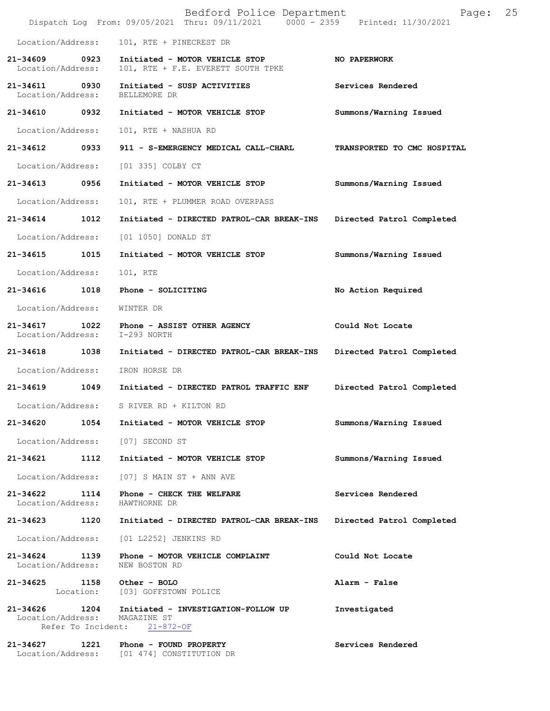|                                    |      | Bedford Police Department<br>Dispatch Log From: 09/05/2021 Thru: 09/11/2021 0000 - 2359 Printed: 11/30/2021                 | 25<br>Page:                 |
|------------------------------------|------|-----------------------------------------------------------------------------------------------------------------------------|-----------------------------|
| Location/Address:                  |      | 101, RTE + PINECREST DR                                                                                                     |                             |
| 21-34609<br>Location/Address:      | 0923 | Initiated - MOTOR VEHICLE STOP<br>101, RTE + F.E. EVERETT SOUTH TPKE                                                        | NO PAPERWORK                |
| 21-34611 0930<br>Location/Address: |      | Initiated - SUSP ACTIVITIES<br>BELLEMORE DR                                                                                 | Services Rendered           |
| 21-34610 0932                      |      | Initiated - MOTOR VEHICLE STOP                                                                                              | Summons/Warning Issued      |
| Location/Address:                  |      | 101, RTE + NASHUA RD                                                                                                        |                             |
| 21-34612                           | 0933 | 911 - S-EMERGENCY MEDICAL CALL-CHARL                                                                                        | TRANSPORTED TO CMC HOSPITAL |
| Location/Address:                  |      | [01 335] COLBY CT                                                                                                           |                             |
| 21-34613                           | 0956 | Initiated - MOTOR VEHICLE STOP                                                                                              | Summons/Warning Issued      |
| Location/Address:                  |      | 101, RTE + PLUMMER ROAD OVERPASS                                                                                            |                             |
| 21-34614                           | 1012 | Initiated - DIRECTED PATROL-CAR BREAK-INS                                                                                   | Directed Patrol Completed   |
| Location/Address:                  |      | [01 1050] DONALD ST                                                                                                         |                             |
| 21-34615                           | 1015 | Initiated - MOTOR VEHICLE STOP                                                                                              | Summons/Warning Issued      |
| Location/Address:                  |      | 101, RTE                                                                                                                    |                             |
| 21-34616                           | 1018 | Phone - SOLICITING                                                                                                          | No Action Required          |
| Location/Address:                  |      | WINTER DR                                                                                                                   |                             |
| 21-34617<br>Location/Address:      | 1022 | Phone - ASSIST OTHER AGENCY<br>I-293 NORTH                                                                                  | Could Not Locate            |
| 21-34618                           | 1038 | Initiated - DIRECTED PATROL-CAR BREAK-INS                                                                                   | Directed Patrol Completed   |
| Location/Address:                  |      | IRON HORSE DR                                                                                                               |                             |
| 21-34619                           | 1049 | Initiated - DIRECTED PATROL TRAFFIC ENF                                                                                     | Directed Patrol Completed   |
| Location/Address:                  |      | S RIVER RD + KILTON RD                                                                                                      |                             |
| 21-34620                           | 1054 | Initiated - MOTOR VEHICLE STOP                                                                                              | Summons/Warning Issued      |
|                                    |      | Location/Address: [07] SECOND ST                                                                                            |                             |
| 21-34621 1112                      |      | Initiated - MOTOR VEHICLE STOP                                                                                              | Summons/Warning Issued      |
| Location/Address:                  |      | $[07]$ S MAIN ST + ANN AVE                                                                                                  |                             |
| 21-34622<br>Location/Address:      | 1114 | Phone - CHECK THE WELFARE<br>HAWTHORNE DR                                                                                   | Services Rendered           |
| 21-34623                           | 1120 | Initiated - DIRECTED PATROL-CAR BREAK-INS                                                                                   | Directed Patrol Completed   |
| Location/Address:                  |      | [01 L2252] JENKINS RD                                                                                                       |                             |
| 21-34624 1139<br>Location/Address: |      | Phone - MOTOR VEHICLE COMPLAINT<br>NEW BOSTON RD                                                                            | Could Not Locate            |
| 21-34625 1158                      |      | Other - BOLO<br>Location: [03] GOFFSTOWN POLICE                                                                             | Alarm - False               |
|                                    |      | 21-34626 1204 Initiated - INVESTIGATION-FOLLOW UP<br>Location/Address: MAGAZINE ST<br>Refer To Incident:<br>$21 - 872 - OF$ | Investigated                |
| 21-34627 1221                      |      | Phone - FOUND PROPERTY<br>Location/Address: [01 474] CONSTITUTION DR                                                        | Services Rendered           |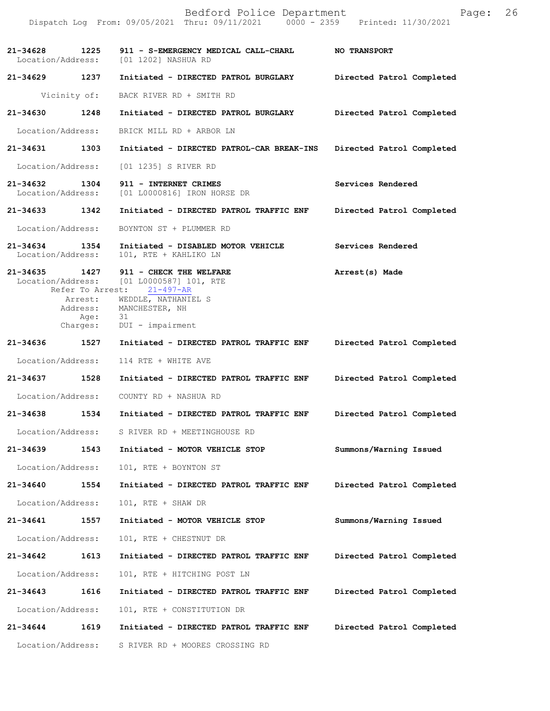|                                   |                                                             | Bedford Police Department<br>Dispatch Log From: 09/05/2021 Thru: 09/11/2021 0000 - 2359 Printed: 11/30/2021                                               | Page:                     | 26 |
|-----------------------------------|-------------------------------------------------------------|-----------------------------------------------------------------------------------------------------------------------------------------------------------|---------------------------|----|
| 21-34628                          | 1225                                                        | 911 - S-EMERGENCY MEDICAL CALL-CHARL<br>Location/Address: [01 1202] NASHUA RD                                                                             | <b>NO TRANSPORT</b>       |    |
| 21-34629                          | 1237                                                        | Initiated - DIRECTED PATROL BURGLARY                                                                                                                      | Directed Patrol Completed |    |
|                                   | Vicinity of:                                                | BACK RIVER RD + SMITH RD                                                                                                                                  |                           |    |
| 21-34630                          | 1248                                                        | Initiated - DIRECTED PATROL BURGLARY                                                                                                                      | Directed Patrol Completed |    |
| Location/Address:                 |                                                             | BRICK MILL RD + ARBOR LN                                                                                                                                  |                           |    |
| 21-34631                          | 1303                                                        | Initiated - DIRECTED PATROL-CAR BREAK-INS                                                                                                                 | Directed Patrol Completed |    |
| Location/Address:                 |                                                             | [01 1235] S RIVER RD                                                                                                                                      |                           |    |
| 21-34632<br>Location/Address:     | 1304                                                        | 911 - INTERNET CRIMES<br>[01 L0000816] IRON HORSE DR                                                                                                      | Services Rendered         |    |
| 21-34633 1342                     |                                                             | Initiated - DIRECTED PATROL TRAFFIC ENF                                                                                                                   | Directed Patrol Completed |    |
| Location/Address:                 |                                                             | BOYNTON ST + PLUMMER RD                                                                                                                                   |                           |    |
| $21 - 34634$<br>Location/Address: | 1354                                                        | Initiated - DISABLED MOTOR VEHICLE<br>101, RTE + KAHLIKO LN                                                                                               | Services Rendered         |    |
| 21-34635 1427                     | Refer To Arrest:<br>Arrest:<br>Address:<br>Age:<br>Charges: | 911 - CHECK THE WELFARE<br>Location/Address: [01 L0000587] 101, RTE<br>$21 - 497 - AR$<br>WEDDLE, NATHANIEL S<br>MANCHESTER, NH<br>31<br>DUI - impairment | Arrest(s) Made            |    |
| 21-34636                          | 1527                                                        | Initiated - DIRECTED PATROL TRAFFIC ENF                                                                                                                   | Directed Patrol Completed |    |
| Location/Address:                 |                                                             | 114 RTE + WHITE AVE                                                                                                                                       |                           |    |
| 21-34637                          | 1528                                                        | Initiated - DIRECTED PATROL TRAFFIC ENF                                                                                                                   | Directed Patrol Completed |    |
| Location/Address:                 |                                                             | COUNTY RD + NASHUA RD                                                                                                                                     |                           |    |
| 21-34638                          | 1534                                                        | Initiated - DIRECTED PATROL TRAFFIC ENF                                                                                                                   | Directed Patrol Completed |    |
| Location/Address:                 |                                                             | S RIVER RD + MEETINGHOUSE RD                                                                                                                              |                           |    |
| 21-34639                          | 1543                                                        | Initiated - MOTOR VEHICLE STOP                                                                                                                            | Summons/Warning Issued    |    |
| Location/Address:                 |                                                             | 101, RTE + BOYNTON ST                                                                                                                                     |                           |    |
| 21-34640                          | 1554                                                        | Initiated - DIRECTED PATROL TRAFFIC ENF                                                                                                                   | Directed Patrol Completed |    |
| Location/Address:                 |                                                             | 101, RTE + SHAW DR                                                                                                                                        |                           |    |
| 21-34641                          | 1557                                                        | Initiated - MOTOR VEHICLE STOP                                                                                                                            | Summons/Warning Issued    |    |
| Location/Address:                 |                                                             | 101, RTE + CHESTNUT DR                                                                                                                                    |                           |    |
| 21-34642                          | 1613                                                        | Initiated - DIRECTED PATROL TRAFFIC ENF                                                                                                                   | Directed Patrol Completed |    |
| Location/Address:                 |                                                             | 101, RTE + HITCHING POST LN                                                                                                                               |                           |    |
| 21-34643                          | 1616                                                        | Initiated - DIRECTED PATROL TRAFFIC ENF                                                                                                                   | Directed Patrol Completed |    |
| Location/Address:                 |                                                             | 101, RTE + CONSTITUTION DR                                                                                                                                |                           |    |
| 21-34644                          | 1619                                                        | Initiated - DIRECTED PATROL TRAFFIC ENF                                                                                                                   | Directed Patrol Completed |    |
| Location/Address:                 |                                                             | S RIVER RD + MOORES CROSSING RD                                                                                                                           |                           |    |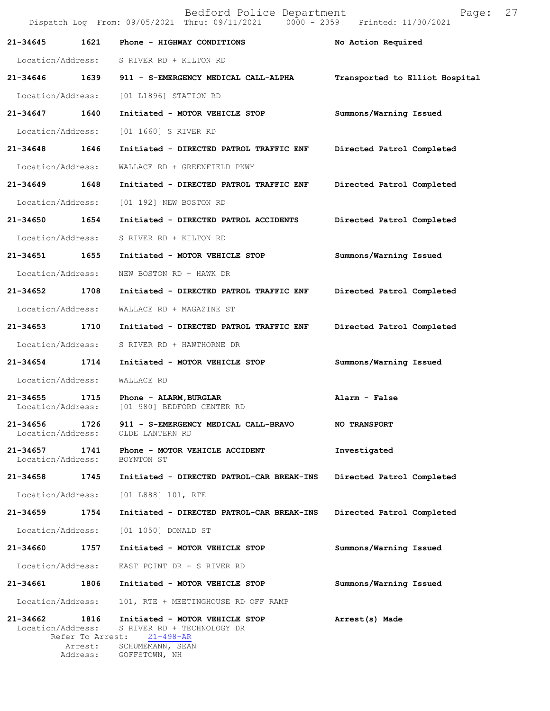|                                    | Bedford Police Department<br>27<br>Page:<br>Dispatch Log From: 09/05/2021 Thru: 09/11/2021 0000 - 2359 Printed: 11/30/2021 |                                                                                                                      |                                |  |  |
|------------------------------------|----------------------------------------------------------------------------------------------------------------------------|----------------------------------------------------------------------------------------------------------------------|--------------------------------|--|--|
| 21-34645                           | 1621                                                                                                                       | Phone - HIGHWAY CONDITIONS                                                                                           | No Action Required             |  |  |
| Location/Address:                  |                                                                                                                            | S RIVER RD + KILTON RD                                                                                               |                                |  |  |
| 21-34646 1639                      |                                                                                                                            | 911 - S-EMERGENCY MEDICAL CALL-ALPHA                                                                                 | Transported to Elliot Hospital |  |  |
| Location/Address:                  |                                                                                                                            | [01 L1896] STATION RD                                                                                                |                                |  |  |
| 21-34647                           | 1640                                                                                                                       | Initiated - MOTOR VEHICLE STOP                                                                                       | Summons/Warning Issued         |  |  |
| Location/Address:                  |                                                                                                                            | [01 1660] S RIVER RD                                                                                                 |                                |  |  |
| 21-34648                           | 1646                                                                                                                       | Initiated - DIRECTED PATROL TRAFFIC ENF                                                                              | Directed Patrol Completed      |  |  |
| Location/Address:                  |                                                                                                                            | WALLACE RD + GREENFIELD PKWY                                                                                         |                                |  |  |
| 21-34649 1648                      |                                                                                                                            | Initiated - DIRECTED PATROL TRAFFIC ENF                                                                              | Directed Patrol Completed      |  |  |
| Location/Address:                  |                                                                                                                            | [01 192] NEW BOSTON RD                                                                                               |                                |  |  |
| 21-34650                           | 1654                                                                                                                       | Initiated - DIRECTED PATROL ACCIDENTS                                                                                | Directed Patrol Completed      |  |  |
| Location/Address:                  |                                                                                                                            | S RIVER RD + KILTON RD                                                                                               |                                |  |  |
| 21-34651                           | 1655                                                                                                                       | Initiated - MOTOR VEHICLE STOP                                                                                       | Summons/Warning Issued         |  |  |
| Location/Address:                  |                                                                                                                            | NEW BOSTON RD + HAWK DR                                                                                              |                                |  |  |
| 21-34652                           | 1708                                                                                                                       | Initiated - DIRECTED PATROL TRAFFIC ENF                                                                              | Directed Patrol Completed      |  |  |
| Location/Address:                  |                                                                                                                            | WALLACE RD + MAGAZINE ST                                                                                             |                                |  |  |
| 21-34653                           | 1710                                                                                                                       | Initiated - DIRECTED PATROL TRAFFIC ENF                                                                              | Directed Patrol Completed      |  |  |
| Location/Address:                  |                                                                                                                            | S RIVER RD + HAWTHORNE DR                                                                                            |                                |  |  |
| $21 - 34654$                       | 1714                                                                                                                       | Initiated - MOTOR VEHICLE STOP                                                                                       | Summons/Warning Issued         |  |  |
| Location/Address:                  |                                                                                                                            | WALLACE RD                                                                                                           |                                |  |  |
| 21-34655<br>Location/Address:      | 1715                                                                                                                       | Phone - ALARM, BURGLAR<br>[01 980] BEDFORD CENTER RD                                                                 | Alarm - False                  |  |  |
| 21-34656<br>Location/Address:      | 1726                                                                                                                       | 911 - S-EMERGENCY MEDICAL CALL-BRAVO<br>OLDE LANTERN RD                                                              | <b>NO TRANSPORT</b>            |  |  |
| 21-34657 1741<br>Location/Address: |                                                                                                                            | Phone - MOTOR VEHICLE ACCIDENT<br>BOYNTON ST                                                                         | Investigated                   |  |  |
| 21-34658                           | 1745                                                                                                                       | Initiated - DIRECTED PATROL-CAR BREAK-INS                                                                            | Directed Patrol Completed      |  |  |
| Location/Address:                  |                                                                                                                            | [01 L888] 101, RTE                                                                                                   |                                |  |  |
| 21-34659 1754                      |                                                                                                                            | Initiated - DIRECTED PATROL-CAR BREAK-INS                                                                            | Directed Patrol Completed      |  |  |
| Location/Address:                  |                                                                                                                            | [01 1050] DONALD ST                                                                                                  |                                |  |  |
| 21-34660                           | 1757                                                                                                                       | Initiated - MOTOR VEHICLE STOP                                                                                       | Summons/Warning Issued         |  |  |
| Location/Address:                  |                                                                                                                            | EAST POINT DR + S RIVER RD                                                                                           |                                |  |  |
| 21-34661                           | 1806                                                                                                                       | Initiated - MOTOR VEHICLE STOP                                                                                       | Summons/Warning Issued         |  |  |
| Location/Address:                  |                                                                                                                            | 101, RTE + MEETINGHOUSE RD OFF RAMP                                                                                  |                                |  |  |
| 21-34662 1816<br>Location/Address: | Refer To Arrest:<br>Arrest:<br>Address:                                                                                    | Initiated - MOTOR VEHICLE STOP<br>S RIVER RD + TECHNOLOGY DR<br>$21 - 498 - AR$<br>SCHUMEMANN, SEAN<br>GOFFSTOWN, NH | Arrest(s) Made                 |  |  |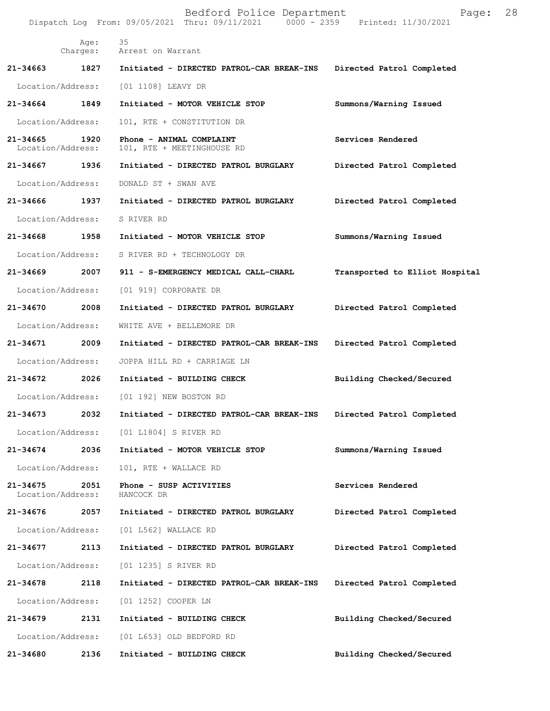|                               |                   | Bedford Police Department<br>Dispatch Log From: 09/05/2021 Thru: 09/11/2021 0000 - 2359 Printed: 11/30/2021 | Page:                          | 28 |
|-------------------------------|-------------------|-------------------------------------------------------------------------------------------------------------|--------------------------------|----|
|                               | Age:              | 35<br>Charges: Arrest on Warrant                                                                            |                                |    |
| 21-34663                      | 1827              | Initiated - DIRECTED PATROL-CAR BREAK-INS                                                                   | Directed Patrol Completed      |    |
|                               | Location/Address: | [01 1108] LEAVY DR                                                                                          |                                |    |
| 21-34664                      | 1849              | Initiated - MOTOR VEHICLE STOP                                                                              | Summons/Warning Issued         |    |
| Location/Address:             |                   | 101, RTE + CONSTITUTION DR                                                                                  |                                |    |
| 21-34665<br>Location/Address: | 1920              | Phone - ANIMAL COMPLAINT<br>101, RTE + MEETINGHOUSE RD                                                      | Services Rendered              |    |
| 21-34667 1936                 |                   | Initiated - DIRECTED PATROL BURGLARY                                                                        | Directed Patrol Completed      |    |
| Location/Address:             |                   | DONALD ST + SWAN AVE                                                                                        |                                |    |
| 21-34666                      | 1937              | Initiated - DIRECTED PATROL BURGLARY                                                                        | Directed Patrol Completed      |    |
| Location/Address:             |                   | S RIVER RD                                                                                                  |                                |    |
| 21-34668 1958                 |                   | Initiated - MOTOR VEHICLE STOP                                                                              | Summons/Warning Issued         |    |
| Location/Address:             |                   | S RIVER RD + TECHNOLOGY DR                                                                                  |                                |    |
| 21-34669                      | 2007              | 911 - S-EMERGENCY MEDICAL CALL-CHARL                                                                        | Transported to Elliot Hospital |    |
| Location/Address:             |                   | [01 919] CORPORATE DR                                                                                       |                                |    |
| 21-34670                      | 2008              | Initiated - DIRECTED PATROL BURGLARY                                                                        | Directed Patrol Completed      |    |
| Location/Address:             |                   | WHITE AVE + BELLEMORE DR                                                                                    |                                |    |
| 21-34671                      | 2009              | Initiated - DIRECTED PATROL-CAR BREAK-INS                                                                   | Directed Patrol Completed      |    |
| Location/Address:             |                   | JOPPA HILL RD + CARRIAGE LN                                                                                 |                                |    |
| 21-34672 2026                 |                   | Initiated - BUILDING CHECK                                                                                  | Building Checked/Secured       |    |
| Location/Address:             |                   | [01 192] NEW BOSTON RD                                                                                      |                                |    |
| 21-34673                      | 2032              | Initiated - DIRECTED PATROL-CAR BREAK-INS                                                                   | Directed Patrol Completed      |    |
| Location/Address:             |                   | [01 L1804] S RIVER RD                                                                                       |                                |    |
| 21-34674                      | 2036              | Initiated - MOTOR VEHICLE STOP                                                                              | Summons/Warning Issued         |    |
| Location/Address:             |                   | 101, RTE + WALLACE RD                                                                                       |                                |    |
| 21-34675<br>Location/Address: | 2051              | Phone - SUSP ACTIVITIES<br>HANCOCK DR                                                                       | Services Rendered              |    |
| 21-34676                      | 2057              | Initiated - DIRECTED PATROL BURGLARY                                                                        | Directed Patrol Completed      |    |
| Location/Address:             |                   | [01 L562] WALLACE RD                                                                                        |                                |    |
| 21-34677                      | 2113              | Initiated - DIRECTED PATROL BURGLARY                                                                        | Directed Patrol Completed      |    |
| Location/Address:             |                   | [01 1235] S RIVER RD                                                                                        |                                |    |
| 21-34678                      | 2118              | Initiated - DIRECTED PATROL-CAR BREAK-INS                                                                   | Directed Patrol Completed      |    |
| Location/Address:             |                   | [01 1252] COOPER LN                                                                                         |                                |    |
| 21-34679                      | 2131              | Initiated - BUILDING CHECK                                                                                  | Building Checked/Secured       |    |
| Location/Address:             |                   | [01 L653] OLD BEDFORD RD                                                                                    |                                |    |
| 21-34680                      | 2136              | Initiated - BUILDING CHECK                                                                                  | Building Checked/Secured       |    |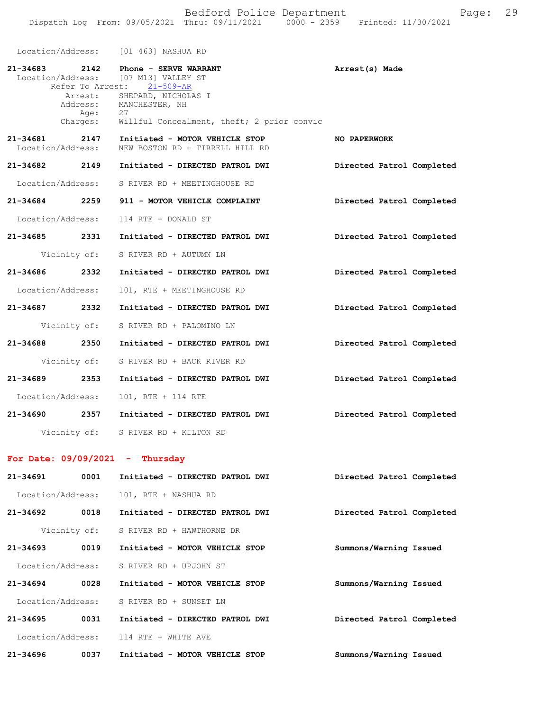Bedford Police Department Fage: 29 Dispatch Log From: 09/05/2021 Thru: 09/11/2021 0000 - 2359 Printed: 11/30/2021

|                                   |                  | Location/Address: [01 463] NASHUA RD                                                                                                                                                                                    |                           |
|-----------------------------------|------------------|-------------------------------------------------------------------------------------------------------------------------------------------------------------------------------------------------------------------------|---------------------------|
|                                   | Age:<br>Charges: | 21-34683 2142 Phone - SERVE WARRANT<br>Location/Address: [07 M13] VALLEY ST<br>Refer To Arrest: 21-509-AR<br>Arrest: SHEPARD, NICHOLAS I<br>Address: MANCHESTER, NH<br>27<br>Willful Concealment, theft; 2 prior convic | Arrest(s) Made            |
| Location/Address:                 |                  | 21-34681 2147 Initiated - MOTOR VEHICLE STOP<br>NEW BOSTON RD + TIRRELL HILL RD                                                                                                                                         | <b>NO PAPERWORK</b>       |
|                                   |                  | 21-34682 2149 Initiated - DIRECTED PATROL DWI                                                                                                                                                                           | Directed Patrol Completed |
|                                   |                  | Location/Address: S RIVER RD + MEETINGHOUSE RD                                                                                                                                                                          |                           |
|                                   |                  | 21-34684 2259 911 - MOTOR VEHICLE COMPLAINT                                                                                                                                                                             | Directed Patrol Completed |
|                                   |                  | Location/Address: 114 RTE + DONALD ST                                                                                                                                                                                   |                           |
|                                   |                  | 21-34685 2331 Initiated - DIRECTED PATROL DWI                                                                                                                                                                           | Directed Patrol Completed |
|                                   |                  | Vicinity of: S RIVER RD + AUTUMN LN                                                                                                                                                                                     |                           |
| 21-34686 2332                     |                  | Initiated - DIRECTED PATROL DWI                                                                                                                                                                                         | Directed Patrol Completed |
| Location/Address:                 |                  | 101, RTE + MEETINGHOUSE RD                                                                                                                                                                                              |                           |
| 21-34687 2332                     |                  | Initiated - DIRECTED PATROL DWI                                                                                                                                                                                         | Directed Patrol Completed |
|                                   |                  | Vicinity of: S RIVER RD + PALOMINO LN                                                                                                                                                                                   |                           |
| 21-34688 2350                     |                  | Initiated - DIRECTED PATROL DWI                                                                                                                                                                                         | Directed Patrol Completed |
| Vicinity of:                      |                  | S RIVER RD + BACK RIVER RD                                                                                                                                                                                              |                           |
| 21–34689 2353                     |                  | Initiated - DIRECTED PATROL DWI                                                                                                                                                                                         | Directed Patrol Completed |
| Location/Address:                 |                  | 101, RTE + 114 RTE                                                                                                                                                                                                      |                           |
|                                   |                  | 21-34690 2357 Initiated - DIRECTED PATROL DWI                                                                                                                                                                           | Directed Patrol Completed |
|                                   |                  | Vicinity of: S RIVER RD + KILTON RD                                                                                                                                                                                     |                           |
| For Date: $09/09/2021$ - Thursday |                  |                                                                                                                                                                                                                         |                           |
| 21-34691                          | 0001             | Initiated - DIRECTED PATROL DWI                                                                                                                                                                                         | Directed Patrol Completed |
| Location/Address:                 |                  | 101, RTE + NASHUA RD                                                                                                                                                                                                    |                           |
| 21-34692                          | 0018             | Initiated - DIRECTED PATROL DWI                                                                                                                                                                                         | Directed Patrol Completed |
| Vicinity of:                      |                  | S RIVER RD + HAWTHORNE DR                                                                                                                                                                                               |                           |
| 21-34693                          | 0019             | Initiated - MOTOR VEHICLE STOP                                                                                                                                                                                          | Summons/Warning Issued    |
| Location/Address:                 |                  | S RIVER RD + UPJOHN ST                                                                                                                                                                                                  |                           |
| 21-34694                          | 0028             | Initiated - MOTOR VEHICLE STOP                                                                                                                                                                                          | Summons/Warning Issued    |
| Location/Address:                 |                  | S RIVER RD + SUNSET LN                                                                                                                                                                                                  |                           |

**Directed Patrol Completed 21-34695 0031 Initiated - DIRECTED PATROL DWI** Location/Address: 114 RTE + WHITE AVE

**21-34696 0037 Initiated - MOTOR VEHICLE STOP**

**Summons/Warning Issued**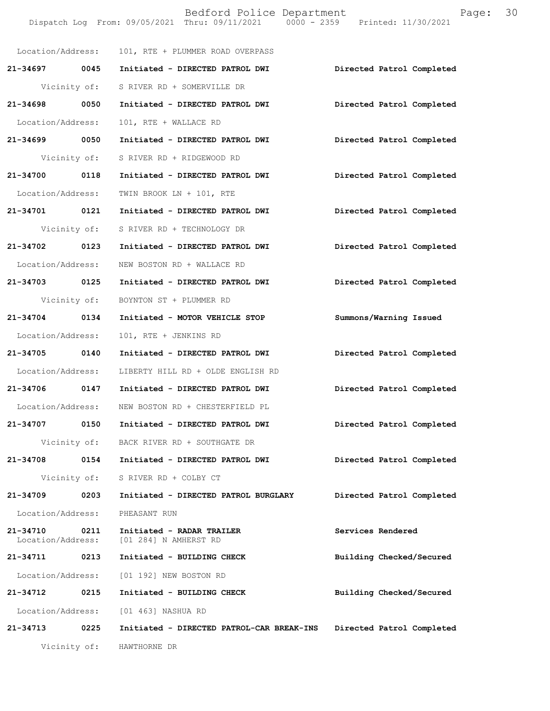Bedford Police Department Fage: 30 Dispatch Log From: 09/05/2021 Thru: 09/11/2021 0000 - 2359 Printed: 11/30/2021 Location/Address: 101, RTE + PLUMMER ROAD OVERPASS **21-34697 0045 Initiated - DIRECTED PATROL DWI Directed Patrol Completed**  Vicinity of: S RIVER RD + SOMERVILLE DR **21-34698 0050 Initiated - DIRECTED PATROL DWI Directed Patrol Completed**  Location/Address: 101, RTE + WALLACE RD **21-34699 0050 Initiated - DIRECTED PATROL DWI Directed Patrol Completed**  Vicinity of: S RIVER RD + RIDGEWOOD RD **21-34700 0118 Initiated - DIRECTED PATROL DWI Directed Patrol Completed**  Location/Address: TWIN BROOK LN + 101, RTE **21-34701 0121 Initiated - DIRECTED PATROL DWI Directed Patrol Completed**  Vicinity of: S RIVER RD + TECHNOLOGY DR **21-34702 0123 Initiated - DIRECTED PATROL DWI Directed Patrol Completed**  Location/Address: NEW BOSTON RD + WALLACE RD **21-34703 0125 Initiated - DIRECTED PATROL DWI Directed Patrol Completed**  Vicinity of: BOYNTON ST + PLUMMER RD **21-34704 0134 Initiated - MOTOR VEHICLE STOP Summons/Warning Issued**  Location/Address: 101, RTE + JENKINS RD **21-34705 0140 Initiated - DIRECTED PATROL DWI Directed Patrol Completed**  Location/Address: LIBERTY HILL RD + OLDE ENGLISH RD **21-34706 0147 Initiated - DIRECTED PATROL DWI Directed Patrol Completed**  Location/Address: NEW BOSTON RD + CHESTERFIELD PL **21-34707 0150 Initiated - DIRECTED PATROL DWI Directed Patrol Completed**  Vicinity of: BACK RIVER RD + SOUTHGATE DR **21-34708 0154 Initiated - DIRECTED PATROL DWI Directed Patrol Completed**  Vicinity of: S RIVER RD + COLBY CT **21-34709 0203 Initiated - DIRECTED PATROL BURGLARY Directed Patrol Completed**  Location/Address: PHEASANT RUN **21-34710 0211 Initiated - RADAR TRAILER Services Rendered**  [01 284] N AMHERST RD **21-34711 0213 Initiated - BUILDING CHECK Building Checked/Secured**  Location/Address: [01 192] NEW BOSTON RD **21-34712 0215 Initiated - BUILDING CHECK Building Checked/Secured**  Location/Address: [01 463] NASHUA RD **21-34713 0225 Initiated - DIRECTED PATROL-CAR BREAK-INS Directed Patrol Completed**  Vicinity of: HAWTHORNE DR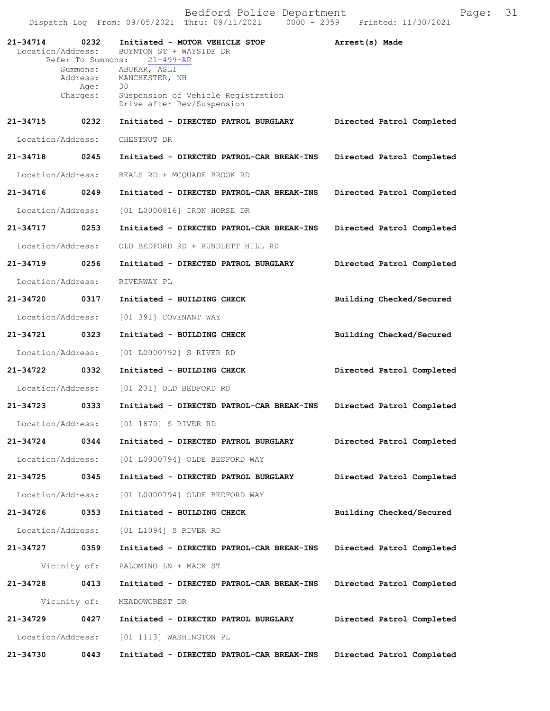| 21-34714          | 0232                 | Initiated - MOTOR VEHICLE STOP                                               | Arrest(s) Made            |
|-------------------|----------------------|------------------------------------------------------------------------------|---------------------------|
| Location/Address: | Refer To Summons:    | BOYNTON ST + WAYSIDE DR<br>$21 - 499 - AR$                                   |                           |
|                   | Summons:<br>Address: | ABUKAR, ASLI<br>MANCHESTER, NH                                               |                           |
|                   | Age:<br>Charges:     | 30<br>Suspension of Vehicle Registration                                     |                           |
|                   |                      | Drive after Rev/Suspension                                                   |                           |
| 21-34715          | 0232                 | Initiated - DIRECTED PATROL BURGLARY                                         | Directed Patrol Completed |
| Location/Address: |                      | CHESTNUT DR                                                                  |                           |
| 21-34718          | 0245                 | Initiated - DIRECTED PATROL-CAR BREAK-INS                                    | Directed Patrol Completed |
| Location/Address: |                      | BEALS RD + MCQUADE BROOK RD                                                  |                           |
| 21-34716          | 0249                 | Initiated - DIRECTED PATROL-CAR BREAK-INS                                    | Directed Patrol Completed |
| Location/Address: |                      | [01 L0000816] IRON HORSE DR                                                  |                           |
| 21-34717          | 0253                 | Initiated - DIRECTED PATROL-CAR BREAK-INS                                    | Directed Patrol Completed |
| Location/Address: |                      | OLD BEDFORD RD + RUNDLETT HILL RD                                            |                           |
| 21-34719          | 0256                 | Initiated - DIRECTED PATROL BURGLARY                                         | Directed Patrol Completed |
| Location/Address: |                      | RIVERWAY PL                                                                  |                           |
| 21-34720          | 0317                 | Initiated - BUILDING CHECK                                                   | Building Checked/Secured  |
| Location/Address: |                      | [01 391] COVENANT WAY                                                        |                           |
| 21-34721          | 0323                 | Initiated - BUILDING CHECK                                                   | Building Checked/Secured  |
| Location/Address: |                      | [01 L0000792] S RIVER RD                                                     |                           |
| 21-34722          | 0332                 | Initiated - BUILDING CHECK                                                   | Directed Patrol Completed |
| Location/Address: |                      | [01 231] OLD BEDFORD RD                                                      |                           |
| 21-34723          | 0333                 | Initiated - DIRECTED PATROL-CAR BREAK-INS                                    | Directed Patrol Completed |
|                   |                      | Location/Address: [01 1870] S RIVER RD                                       |                           |
|                   |                      | 21-34724 0344 Initiated - DIRECTED PATROL BURGLARY Directed Patrol Completed |                           |
|                   |                      | Location/Address: [01 L0000794] OLDE BEDFORD WAY                             |                           |
| 21-34725 0345     |                      | Initiated - DIRECTED PATROL BURGLARY                                         | Directed Patrol Completed |
|                   |                      | Location/Address: [01 L0000794] OLDE BEDFORD WAY                             |                           |
| 21-34726 0353     |                      | Initiated - BUILDING CHECK                                                   | Building Checked/Secured  |
|                   |                      | Location/Address: [01 L1094] S RIVER RD                                      |                           |
| 21-34727 0359     |                      | Initiated - DIRECTED PATROL-CAR BREAK-INS                                    | Directed Patrol Completed |
|                   | Vicinity of:         | PALOMINO LN + MACK ST                                                        |                           |
| 21-34728 0413     |                      | Initiated - DIRECTED PATROL-CAR BREAK-INS                                    | Directed Patrol Completed |
|                   | Vicinity of:         | MEADOWCREST DR                                                               |                           |
| 21-34729 0427     |                      | Initiated - DIRECTED PATROL BURGLARY                                         | Directed Patrol Completed |
|                   |                      | Location/Address: [01 1113] WASHINGTON PL                                    |                           |
| 21-34730          | 0443                 | Initiated - DIRECTED PATROL-CAR BREAK-INS                                    | Directed Patrol Completed |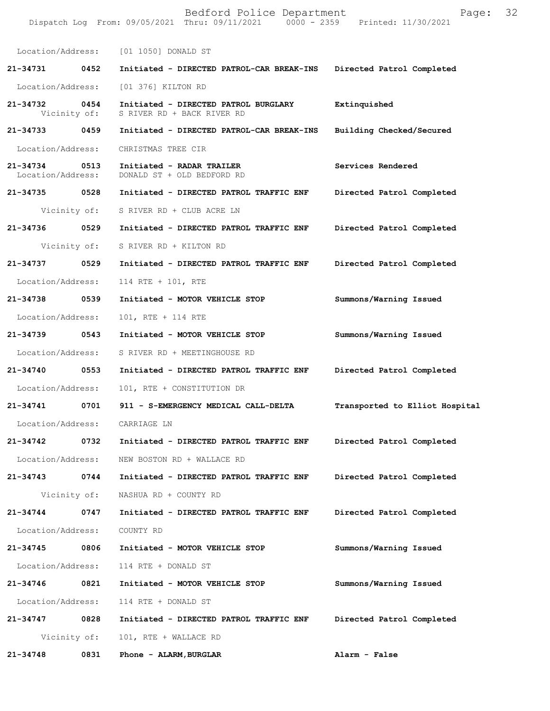Bedford Police Department Fage: 32 Dispatch Log From: 09/05/2021 Thru: 09/11/2021 0000 - 2359 Printed: 11/30/2021 Location/Address: [01 1050] DONALD ST **21-34731 0452 Initiated - DIRECTED PATROL-CAR BREAK-INS Directed Patrol Completed**  Location/Address: [01 376] KILTON RD **21-34732 0454 Initiated - DIRECTED PATROL BURGLARY Extinquished**  Vicinity of: S RIVER RD + BACK RIVER RD **21-34733 0459 Initiated - DIRECTED PATROL-CAR BREAK-INS Building Checked/Secured**  Location/Address: CHRISTMAS TREE CIR **21-34734 0513 Initiated - RADAR TRAILER Services Rendered**  Location/Address: DONALD ST + OLD BEDFORD RD **21-34735 0528 Initiated - DIRECTED PATROL TRAFFIC ENF Directed Patrol Completed**  Vicinity of: S RIVER RD + CLUB ACRE LN **21-34736 0529 Initiated - DIRECTED PATROL TRAFFIC ENF Directed Patrol Completed**  Vicinity of: S RIVER RD + KILTON RD **21-34737 0529 Initiated - DIRECTED PATROL TRAFFIC ENF Directed Patrol Completed**  Location/Address: 114 RTE + 101, RTE **21-34738 0539 Initiated - MOTOR VEHICLE STOP Summons/Warning Issued**  Location/Address: 101, RTE + 114 RTE **21-34739 0543 Initiated - MOTOR VEHICLE STOP Summons/Warning Issued**  Location/Address: S RIVER RD + MEETINGHOUSE RD **21-34740 0553 Initiated - DIRECTED PATROL TRAFFIC ENF Directed Patrol Completed**  Location/Address: 101, RTE + CONSTITUTION DR **21-34741 0701 911 - S-EMERGENCY MEDICAL CALL-DELTA Transported to Elliot Hospital** Location/Address: CARRIAGE LN **21-34742 0732 Initiated - DIRECTED PATROL TRAFFIC ENF Directed Patrol Completed**  Location/Address: NEW BOSTON RD + WALLACE RD **21-34743 0744 Initiated - DIRECTED PATROL TRAFFIC ENF Directed Patrol Completed**  Vicinity of: NASHUA RD + COUNTY RD **21-34744 0747 Initiated - DIRECTED PATROL TRAFFIC ENF Directed Patrol Completed**  Location/Address: COUNTY RD **21-34745 0806 Initiated - MOTOR VEHICLE STOP Summons/Warning Issued**  Location/Address: 114 RTE + DONALD ST **21-34746 0821 Initiated - MOTOR VEHICLE STOP Summons/Warning Issued**  Location/Address: 114 RTE + DONALD ST **21-34747 0828 Initiated - DIRECTED PATROL TRAFFIC ENF Directed Patrol Completed**  Vicinity of: 101, RTE + WALLACE RD **21-34748 0831 Phone - ALARM,BURGLAR Alarm - False**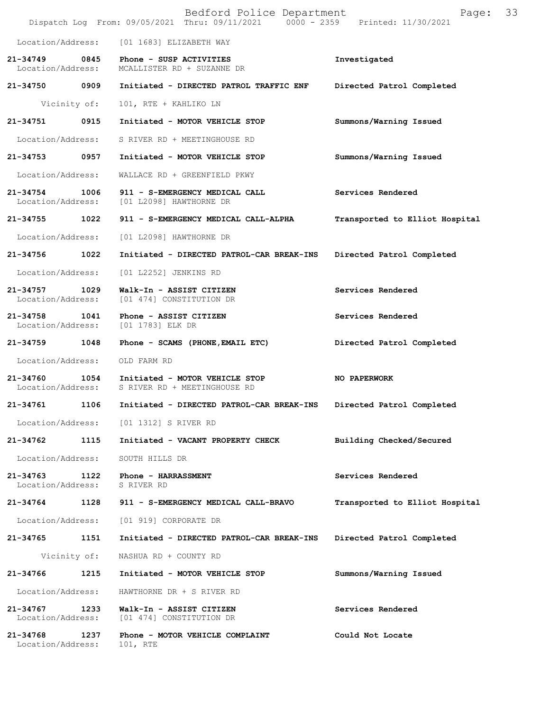|                                    |              | Bedford Police Department<br>Dispatch Log From: 09/05/2021 Thru: 09/11/2021 0000 - 2359 Printed: 11/30/2021 | 33<br>Page:                    |
|------------------------------------|--------------|-------------------------------------------------------------------------------------------------------------|--------------------------------|
| Location/Address:                  |              | [01 1683] ELIZABETH WAY                                                                                     |                                |
| 21-34749<br>Location/Address:      | 0845         | Phone - SUSP ACTIVITIES<br>MCALLISTER RD + SUZANNE DR                                                       | Investigated                   |
| 21-34750                           | 0909         | Initiated - DIRECTED PATROL TRAFFIC ENF                                                                     | Directed Patrol Completed      |
|                                    | Vicinity of: | 101, RTE + KAHLIKO LN                                                                                       |                                |
| 21-34751                           | 0915         | Initiated - MOTOR VEHICLE STOP                                                                              | Summons/Warning Issued         |
| Location/Address:                  |              | S RIVER RD + MEETINGHOUSE RD                                                                                |                                |
| 21-34753                           | 0957         | Initiated - MOTOR VEHICLE STOP                                                                              | Summons/Warning Issued         |
| Location/Address:                  |              | WALLACE RD + GREENFIELD PKWY                                                                                |                                |
| 21-34754 1006<br>Location/Address: |              | 911 - S-EMERGENCY MEDICAL CALL<br>[01 L2098] HAWTHORNE DR                                                   | Services Rendered              |
| 21-34755 1022                      |              | 911 - S-EMERGENCY MEDICAL CALL-ALPHA                                                                        | Transported to Elliot Hospital |
| Location/Address:                  |              | [01 L2098] HAWTHORNE DR                                                                                     |                                |
| 21-34756                           | 1022         | Initiated - DIRECTED PATROL-CAR BREAK-INS                                                                   | Directed Patrol Completed      |
| Location/Address:                  |              | [01 L2252] JENKINS RD                                                                                       |                                |
| 21-34757 1029<br>Location/Address: |              | Walk-In - ASSIST CITIZEN<br>[01 474] CONSTITUTION DR                                                        | Services Rendered              |
| $21 - 34758$<br>Location/Address:  | 1041         | Phone - ASSIST CITIZEN<br>[01 1783] ELK DR                                                                  | Services Rendered              |
| 21-34759                           | 1048         | Phone - SCAMS (PHONE, EMAIL ETC)                                                                            | Directed Patrol Completed      |
| Location/Address:                  |              | OLD FARM RD                                                                                                 |                                |
| 21-34760<br>Location/Address:      | 1054         | Initiated - MOTOR VEHICLE STOP<br>S RIVER RD + MEETINGHOUSE RD                                              | NO PAPERWORK                   |
| 21-34761                           | 1106         | Initiated - DIRECTED PATROL-CAR BREAK-INS                                                                   | Directed Patrol Completed      |
|                                    |              | Location/Address: [01 1312] S RIVER RD                                                                      |                                |
| 21-34762                           | 1115         | Initiated - VACANT PROPERTY CHECK                                                                           | Building Checked/Secured       |
| Location/Address:                  |              | SOUTH HILLS DR                                                                                              |                                |
| 21-34763<br>Location/Address:      | 1122         | Phone - HARRASSMENT<br>S RIVER RD                                                                           | Services Rendered              |
| 21-34764                           | 1128         | 911 - S-EMERGENCY MEDICAL CALL-BRAVO                                                                        | Transported to Elliot Hospital |
| Location/Address:                  |              | [01 919] CORPORATE DR                                                                                       |                                |
| 21-34765                           | 1151         | Initiated - DIRECTED PATROL-CAR BREAK-INS                                                                   | Directed Patrol Completed      |
|                                    | Vicinity of: | NASHUA RD + COUNTY RD                                                                                       |                                |
| 21-34766                           | 1215         | Initiated - MOTOR VEHICLE STOP                                                                              | Summons/Warning Issued         |
| Location/Address:                  |              | HAWTHORNE DR + S RIVER RD                                                                                   |                                |
| 21-34767<br>Location/Address:      | 1233         | Walk-In - ASSIST CITIZEN<br>[01 474] CONSTITUTION DR                                                        | Services Rendered              |
| 21-34768<br>Location/Address:      | 1237         | Phone - MOTOR VEHICLE COMPLAINT<br>101, RTE                                                                 | Could Not Locate               |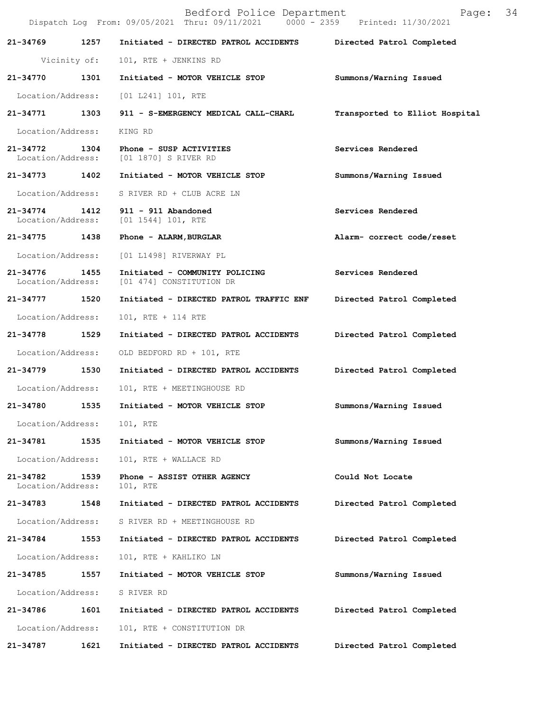|                                    |              | Bedford Police Department<br>Dispatch Log From: 09/05/2021 Thru: 09/11/2021 0000 - 2359 Printed: 11/30/2021 | Page:                          | 34 |
|------------------------------------|--------------|-------------------------------------------------------------------------------------------------------------|--------------------------------|----|
| 21-34769                           | 1257         | Initiated - DIRECTED PATROL ACCIDENTS                                                                       | Directed Patrol Completed      |    |
|                                    | Vicinity of: | 101, RTE + JENKINS RD                                                                                       |                                |    |
| 21-34770                           | 1301         | Initiated - MOTOR VEHICLE STOP                                                                              | Summons/Warning Issued         |    |
| Location/Address:                  |              | [01 L241] 101, RTE                                                                                          |                                |    |
| 21-34771                           | 1303         | 911 - S-EMERGENCY MEDICAL CALL-CHARL                                                                        | Transported to Elliot Hospital |    |
| Location/Address:                  |              | KING RD                                                                                                     |                                |    |
| 21-34772 1304                      |              | Phone - SUSP ACTIVITIES<br>Location/Address: [01 1870] S RIVER RD                                           | Services Rendered              |    |
| 21-34773 1402                      |              | Initiated - MOTOR VEHICLE STOP                                                                              | Summons/Warning Issued         |    |
|                                    |              | Location/Address: S RIVER RD + CLUB ACRE LN                                                                 |                                |    |
| 21-34774 1412<br>Location/Address: |              | 911 - 911 Abandoned<br>$[01\;1544]\;101$ , RTE                                                              | Services Rendered              |    |
| 21-34775 1438                      |              | Phone - ALARM, BURGLAR                                                                                      | Alarm- correct code/reset      |    |
| Location/Address:                  |              | [01 L1498] RIVERWAY PL                                                                                      |                                |    |
| 21-34776 1455<br>Location/Address: |              | Initiated - COMMUNITY POLICING<br>[01 474] CONSTITUTION DR                                                  | Services Rendered              |    |
| 21-34777                           | 1520         | Initiated - DIRECTED PATROL TRAFFIC ENF Directed Patrol Completed                                           |                                |    |
| Location/Address:                  |              | 101, RTE + 114 RTE                                                                                          |                                |    |
| 21-34778 1529                      |              | Initiated - DIRECTED PATROL ACCIDENTS                                                                       | Directed Patrol Completed      |    |
| Location/Address:                  |              | OLD BEDFORD RD + 101, RTE                                                                                   |                                |    |
| 21-34779 1530                      |              | Initiated - DIRECTED PATROL ACCIDENTS                                                                       | Directed Patrol Completed      |    |
| Location/Address:                  |              | 101, RTE + MEETINGHOUSE RD                                                                                  |                                |    |
| 21-34780                           | 1535         | Initiated - MOTOR VEHICLE STOP                                                                              | Summons/Warning Issued         |    |
| Location/Address:                  |              | 101, RTE                                                                                                    |                                |    |
| 21-34781                           | 1535         | Initiated - MOTOR VEHICLE STOP                                                                              | Summons/Warning Issued         |    |
| Location/Address:                  |              | 101, RTE + WALLACE RD                                                                                       |                                |    |
| 21-34782<br>Location/Address:      | 1539         | Phone - ASSIST OTHER AGENCY<br>101, RTE                                                                     | Could Not Locate               |    |
| 21-34783                           | 1548         | Initiated - DIRECTED PATROL ACCIDENTS                                                                       | Directed Patrol Completed      |    |
| Location/Address:                  |              | S RIVER RD + MEETINGHOUSE RD                                                                                |                                |    |
| 21-34784                           | 1553         | Initiated - DIRECTED PATROL ACCIDENTS                                                                       | Directed Patrol Completed      |    |
| Location/Address:                  |              | 101, RTE + KAHLIKO LN                                                                                       |                                |    |
| 21-34785                           | 1557         | Initiated - MOTOR VEHICLE STOP                                                                              | Summons/Warning Issued         |    |
| Location/Address:                  |              | S RIVER RD                                                                                                  |                                |    |
| 21-34786                           | 1601         | Initiated - DIRECTED PATROL ACCIDENTS                                                                       | Directed Patrol Completed      |    |
| Location/Address:                  |              | 101, RTE + CONSTITUTION DR                                                                                  |                                |    |
| 21-34787                           | 1621         | Initiated - DIRECTED PATROL ACCIDENTS                                                                       | Directed Patrol Completed      |    |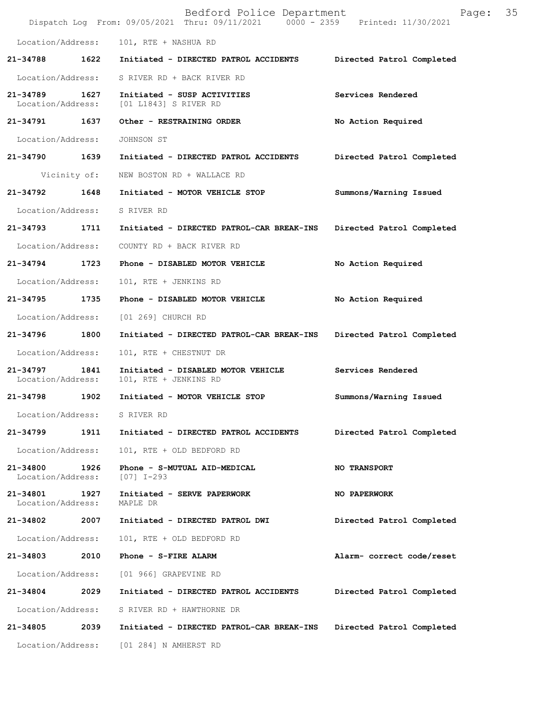|                                    |              | Bedford Police Department<br>Dispatch Log From: 09/05/2021 Thru: 09/11/2021 0000 - 2359 Printed: 11/30/2021 | Page:                     | 35 |
|------------------------------------|--------------|-------------------------------------------------------------------------------------------------------------|---------------------------|----|
| Location/Address:                  |              | 101, RTE + NASHUA RD                                                                                        |                           |    |
| $21 - 34788$                       | 1622         | Initiated - DIRECTED PATROL ACCIDENTS                                                                       | Directed Patrol Completed |    |
| Location/Address:                  |              | S RIVER RD + BACK RIVER RD                                                                                  |                           |    |
| 21-34789 1627<br>Location/Address: |              | Initiated - SUSP ACTIVITIES<br>[01 L1843] S RIVER RD                                                        | Services Rendered         |    |
| 21-34791 1637                      |              | Other - RESTRAINING ORDER                                                                                   | No Action Required        |    |
| Location/Address:                  |              | JOHNSON ST                                                                                                  |                           |    |
| 21-34790 1639                      |              | Initiated - DIRECTED PATROL ACCIDENTS                                                                       | Directed Patrol Completed |    |
|                                    | Vicinity of: | NEW BOSTON RD + WALLACE RD                                                                                  |                           |    |
| 21-34792                           | 1648         | Initiated - MOTOR VEHICLE STOP                                                                              | Summons/Warning Issued    |    |
| Location/Address:                  |              | S RIVER RD                                                                                                  |                           |    |
| 21-34793 1711                      |              | Initiated - DIRECTED PATROL-CAR BREAK-INS                                                                   | Directed Patrol Completed |    |
| Location/Address:                  |              | COUNTY RD + BACK RIVER RD                                                                                   |                           |    |
| 21-34794                           | 1723         | Phone - DISABLED MOTOR VEHICLE                                                                              | No Action Required        |    |
| Location/Address:                  |              | 101, RTE + JENKINS RD                                                                                       |                           |    |
| 21-34795                           | 1735         | Phone - DISABLED MOTOR VEHICLE                                                                              | No Action Required        |    |
| Location/Address:                  |              | [01 269] CHURCH RD                                                                                          |                           |    |
| 21-34796 1800                      |              | Initiated - DIRECTED PATROL-CAR BREAK-INS                                                                   | Directed Patrol Completed |    |
| Location/Address:                  |              | 101, RTE + CHESTNUT DR                                                                                      |                           |    |
| 21-34797<br>Location/Address:      | 1841         | Initiated - DISABLED MOTOR VEHICLE<br>101, RTE + JENKINS RD                                                 | Services Rendered         |    |
| 21-34798                           | 1902         | Initiated - MOTOR VEHICLE STOP                                                                              | Summons/Warning Issued    |    |
| Location/Address:                  |              | S RIVER RD                                                                                                  |                           |    |
| 21-34799                           | 1911         | Initiated - DIRECTED PATROL ACCIDENTS                                                                       | Directed Patrol Completed |    |
| Location/Address:                  |              | 101, RTE + OLD BEDFORD RD                                                                                   |                           |    |
| 21-34800<br>Location/Address:      | 1926         | Phone - S-MUTUAL AID-MEDICAL<br>[07] I-293                                                                  | <b>NO TRANSPORT</b>       |    |
| 21-34801<br>Location/Address:      | 1927         | Initiated - SERVE PAPERWORK<br>MAPLE DR                                                                     | NO PAPERWORK              |    |
| 21-34802                           | 2007         | Initiated - DIRECTED PATROL DWI                                                                             | Directed Patrol Completed |    |
| Location/Address:                  |              | 101, RTE + OLD BEDFORD RD                                                                                   |                           |    |
| 21-34803                           | 2010         | Phone - S-FIRE ALARM                                                                                        | Alarm- correct code/reset |    |
| Location/Address:                  |              | [01 966] GRAPEVINE RD                                                                                       |                           |    |
| 21-34804                           | 2029         | Initiated - DIRECTED PATROL ACCIDENTS                                                                       | Directed Patrol Completed |    |
| Location/Address:                  |              | S RIVER RD + HAWTHORNE DR                                                                                   |                           |    |
| 21-34805                           | 2039         | Initiated - DIRECTED PATROL-CAR BREAK-INS                                                                   | Directed Patrol Completed |    |
| Location/Address:                  |              | [01 284] N AMHERST RD                                                                                       |                           |    |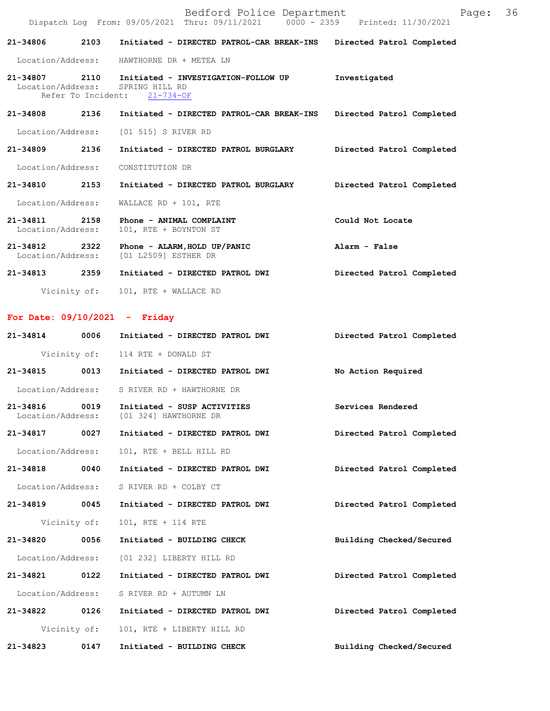|                                       | Bedford Police Department<br>Dispatch Log From: 09/05/2021 Thru: 09/11/2021 0000 - 2359 Printed: 11/30/2021 | 36<br>Page:               |
|---------------------------------------|-------------------------------------------------------------------------------------------------------------|---------------------------|
| 21-34806<br>2103                      | Initiated - DIRECTED PATROL-CAR BREAK-INS                                                                   | Directed Patrol Completed |
| Location/Address:                     | HAWTHORNE DR + METEA LN                                                                                     |                           |
| 21-34807<br>Location/Address:         | 2110 Initiated - INVESTIGATION-FOLLOW UP<br>SPRING HILL RD<br>Refer To Incident: 21-734-OF                  | Investigated              |
| 2136<br>21-34808                      | Initiated - DIRECTED PATROL-CAR BREAK-INS                                                                   | Directed Patrol Completed |
| Location/Address:                     | [01 515] S RIVER RD                                                                                         |                           |
| 2136<br>21-34809                      | Initiated - DIRECTED PATROL BURGLARY                                                                        | Directed Patrol Completed |
| Location/Address:                     | CONSTITUTION DR                                                                                             |                           |
| 2153<br>21-34810                      | Initiated - DIRECTED PATROL BURGLARY                                                                        | Directed Patrol Completed |
| Location/Address:                     | WALLACE RD + 101, RTE                                                                                       |                           |
| 2158<br>21-34811<br>Location/Address: | Phone - ANIMAL COMPLAINT<br>101, RTE + BOYNTON ST                                                           | Could Not Locate          |
| 2322<br>21-34812<br>Location/Address: | Phone - ALARM, HOLD UP/PANIC<br>[01 L2509] ESTHER DR                                                        | Alarm - False             |
| 2359<br>21-34813                      | Initiated - DIRECTED PATROL DWI                                                                             | Directed Patrol Completed |

Vicinity of: 101, RTE + WALLACE RD

## **For Date: 09/10/2021 - Friday**

| $21 - 34814$      | 0006         | Initiated - DIRECTED PATROL DWI                                        | Directed Patrol Completed |
|-------------------|--------------|------------------------------------------------------------------------|---------------------------|
|                   |              | Vicinity of: 114 RTE + DONALD ST                                       |                           |
| 21-34815 0013     |              | Initiated - DIRECTED PATROL DWI                                        | No Action Required        |
| Location/Address: |              | S RIVER RD + HAWTHORNE DR                                              |                           |
| 21-34816 0019     |              | Initiated - SUSP ACTIVITIES<br>Location/Address: [01 324] HAWTHORNE DR | Services Rendered         |
| 21-34817 0027     |              | Initiated - DIRECTED PATROL DWI                                        | Directed Patrol Completed |
| Location/Address: |              | 101, RTE + BELL HILL RD                                                |                           |
| 21-34818 0040     |              | Initiated - DIRECTED PATROL DWI                                        | Directed Patrol Completed |
| Location/Address: |              | S RIVER RD + COLBY CT                                                  |                           |
| 21-34819 0045     |              | Initiated - DIRECTED PATROL DWI                                        | Directed Patrol Completed |
|                   | Vicinity of: | 101, RTE + 114 RTE                                                     |                           |
| 21-34820 0056     |              | Initiated - BUILDING CHECK                                             | Building Checked/Secured  |
| Location/Address: |              | [01 232] LIBERTY HILL RD                                               |                           |
| 21-34821 0122     |              | Initiated - DIRECTED PATROL DWI                                        | Directed Patrol Completed |
| Location/Address: |              | S RIVER RD + AUTUMN LN                                                 |                           |
| 21-34822 0126     |              | Initiated - DIRECTED PATROL DWI                                        | Directed Patrol Completed |
|                   | Vicinity of: | 101, RTE + LIBERTY HILL RD                                             |                           |
| 21-34823          | 0147         | Initiated - BUILDING CHECK                                             | Building Checked/Secured  |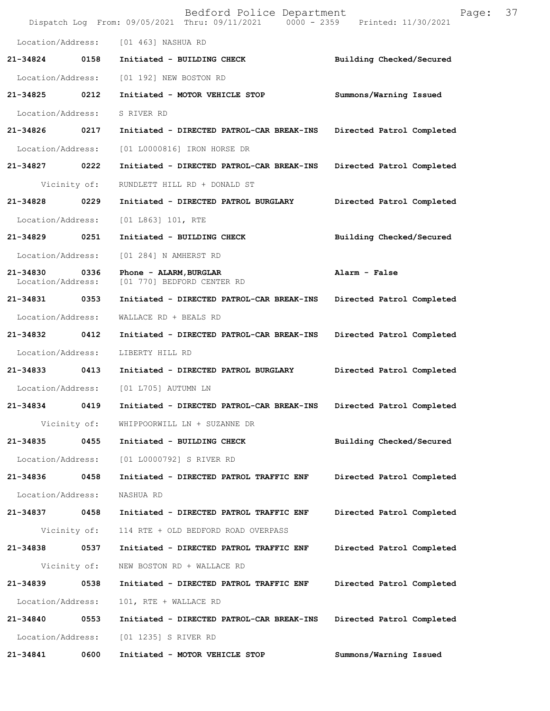|                               |      | Bedford Police Department<br>Dispatch Log From: 09/05/2021 Thru: 09/11/2021 0000 - 2359 Printed: 11/30/2021 | 37<br>Page:               |  |
|-------------------------------|------|-------------------------------------------------------------------------------------------------------------|---------------------------|--|
| Location/Address:             |      | [01 463] NASHUA RD                                                                                          |                           |  |
| 21-34824                      | 0158 | Initiated - BUILDING CHECK                                                                                  | Building Checked/Secured  |  |
| Location/Address:             |      | [01 192] NEW BOSTON RD                                                                                      |                           |  |
| 21-34825                      | 0212 | Initiated - MOTOR VEHICLE STOP                                                                              | Summons/Warning Issued    |  |
| Location/Address:             |      | S RIVER RD                                                                                                  |                           |  |
| 21-34826 0217                 |      | Initiated - DIRECTED PATROL-CAR BREAK-INS                                                                   | Directed Patrol Completed |  |
| Location/Address:             |      | [01 L0000816] IRON HORSE DR                                                                                 |                           |  |
| 21-34827                      | 0222 | Initiated - DIRECTED PATROL-CAR BREAK-INS                                                                   | Directed Patrol Completed |  |
| Vicinity of:                  |      | RUNDLETT HILL RD + DONALD ST                                                                                |                           |  |
| 21-34828                      | 0229 | Initiated - DIRECTED PATROL BURGLARY                                                                        | Directed Patrol Completed |  |
| Location/Address:             |      | [01 L863] 101, RTE                                                                                          |                           |  |
| 21-34829 0251                 |      | Initiated - BUILDING CHECK                                                                                  | Building Checked/Secured  |  |
| Location/Address:             |      | [01 284] N AMHERST RD                                                                                       |                           |  |
| 21-34830<br>Location/Address: | 0336 | Phone - ALARM, BURGLAR<br>[01 770] BEDFORD CENTER RD                                                        | Alarm - False             |  |
| 21-34831                      | 0353 | Initiated - DIRECTED PATROL-CAR BREAK-INS                                                                   | Directed Patrol Completed |  |
| Location/Address:             |      | WALLACE RD + BEALS RD                                                                                       |                           |  |
| 21-34832 0412                 |      | Initiated - DIRECTED PATROL-CAR BREAK-INS                                                                   | Directed Patrol Completed |  |
| Location/Address:             |      | LIBERTY HILL RD                                                                                             |                           |  |
| 21-34833                      | 0413 | Initiated - DIRECTED PATROL BURGLARY                                                                        | Directed Patrol Completed |  |
| Location/Address:             |      | [01 L705] AUTUMN LN                                                                                         |                           |  |
| 21-34834                      | 0419 | Initiated - DIRECTED PATROL-CAR BREAK-INS                                                                   | Directed Patrol Completed |  |
| Vicinity of:                  |      | WHIPPOORWILL LN + SUZANNE DR                                                                                |                           |  |
| 21-34835                      | 0455 | Initiated - BUILDING CHECK                                                                                  | Building Checked/Secured  |  |
| Location/Address:             |      | [01 L0000792] S RIVER RD                                                                                    |                           |  |
| 21-34836                      | 0458 | Initiated - DIRECTED PATROL TRAFFIC ENF                                                                     | Directed Patrol Completed |  |
| Location/Address:             |      | NASHUA RD                                                                                                   |                           |  |
| 21-34837                      | 0458 | Initiated - DIRECTED PATROL TRAFFIC ENF                                                                     | Directed Patrol Completed |  |
| Vicinity of:                  |      | 114 RTE + OLD BEDFORD ROAD OVERPASS                                                                         |                           |  |
| 21-34838                      | 0537 | Initiated - DIRECTED PATROL TRAFFIC ENF                                                                     | Directed Patrol Completed |  |
| Vicinity of:                  |      | NEW BOSTON RD + WALLACE RD                                                                                  |                           |  |
| 21-34839                      | 0538 | Initiated - DIRECTED PATROL TRAFFIC ENF                                                                     | Directed Patrol Completed |  |
| Location/Address:             |      | 101, RTE + WALLACE RD                                                                                       |                           |  |
| 21-34840                      | 0553 | Initiated - DIRECTED PATROL-CAR BREAK-INS                                                                   | Directed Patrol Completed |  |
| Location/Address:             |      | [01 1235] S RIVER RD                                                                                        |                           |  |
| 21-34841                      | 0600 | Initiated - MOTOR VEHICLE STOP                                                                              | Summons/Warning Issued    |  |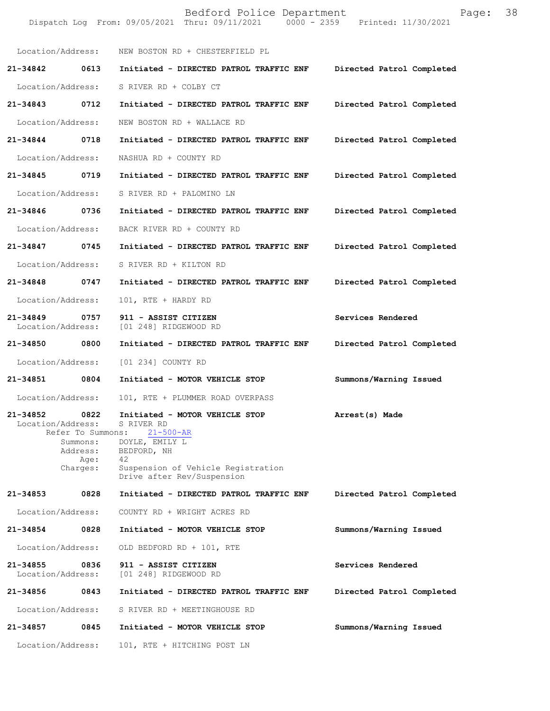|                               |                                                                       | Bedford Police Department<br>Dispatch Log From: 09/05/2021 Thru: 09/11/2021 0000 - 2359 Printed: 11/30/2021                                                                | Page:                     | 38 |
|-------------------------------|-----------------------------------------------------------------------|----------------------------------------------------------------------------------------------------------------------------------------------------------------------------|---------------------------|----|
|                               | Location/Address:                                                     | NEW BOSTON RD + CHESTERFIELD PL                                                                                                                                            |                           |    |
| 21-34842                      | 0613                                                                  | Initiated - DIRECTED PATROL TRAFFIC ENF                                                                                                                                    | Directed Patrol Completed |    |
| Location/Address:             |                                                                       | S RIVER RD + COLBY CT                                                                                                                                                      |                           |    |
| 21-34843                      | 0712                                                                  | Initiated - DIRECTED PATROL TRAFFIC ENF                                                                                                                                    | Directed Patrol Completed |    |
| Location/Address:             |                                                                       | NEW BOSTON RD + WALLACE RD                                                                                                                                                 |                           |    |
| 21-34844 0718                 |                                                                       | Initiated - DIRECTED PATROL TRAFFIC ENF                                                                                                                                    | Directed Patrol Completed |    |
| Location/Address:             |                                                                       | NASHUA RD + COUNTY RD                                                                                                                                                      |                           |    |
| 21-34845                      | 0719                                                                  | Initiated - DIRECTED PATROL TRAFFIC ENF                                                                                                                                    | Directed Patrol Completed |    |
| Location/Address:             |                                                                       | S RIVER RD + PALOMINO LN                                                                                                                                                   |                           |    |
| 21-34846                      | 0736                                                                  | Initiated - DIRECTED PATROL TRAFFIC ENF                                                                                                                                    | Directed Patrol Completed |    |
| Location/Address:             |                                                                       | BACK RIVER RD + COUNTY RD                                                                                                                                                  |                           |    |
| 21-34847                      | 0745                                                                  | Initiated - DIRECTED PATROL TRAFFIC ENF                                                                                                                                    | Directed Patrol Completed |    |
| Location/Address:             |                                                                       | S RIVER RD + KILTON RD                                                                                                                                                     |                           |    |
| 21-34848                      | 0747                                                                  | Initiated - DIRECTED PATROL TRAFFIC ENF                                                                                                                                    | Directed Patrol Completed |    |
| Location/Address:             |                                                                       | 101, RTE + HARDY RD                                                                                                                                                        |                           |    |
| 21-34849<br>Location/Address: | 0757                                                                  | 911 - ASSIST CITIZEN<br>[01 248] RIDGEWOOD RD                                                                                                                              | Services Rendered         |    |
| 21-34850                      | 0800                                                                  | Initiated - DIRECTED PATROL TRAFFIC ENF                                                                                                                                    | Directed Patrol Completed |    |
| Location/Address:             |                                                                       | [01 234] COUNTY RD                                                                                                                                                         |                           |    |
| 21-34851                      | 0804                                                                  | Initiated - MOTOR VEHICLE STOP                                                                                                                                             | Summons/Warning Issued    |    |
| Location/Address:             |                                                                       | 101, RTE + PLUMMER ROAD OVERPASS                                                                                                                                           |                           |    |
| 21-34852<br>Location/Address: | 0822<br>Refer To Summons:<br>Summons:<br>Address:<br>Age:<br>Charges: | Initiated - MOTOR VEHICLE STOP<br>S RIVER RD<br>$21 - 500 - AR$<br>DOYLE, EMILY L<br>BEDFORD, NH<br>42<br>Suspension of Vehicle Registration<br>Drive after Rev/Suspension | Arrest(s) Made            |    |
| 21-34853                      | 0828                                                                  | Initiated - DIRECTED PATROL TRAFFIC ENF                                                                                                                                    | Directed Patrol Completed |    |
| Location/Address:             |                                                                       | COUNTY RD + WRIGHT ACRES RD                                                                                                                                                |                           |    |
| 21-34854                      | 0828                                                                  | Initiated - MOTOR VEHICLE STOP                                                                                                                                             | Summons/Warning Issued    |    |
| Location/Address:             |                                                                       | OLD BEDFORD RD + 101, RTE                                                                                                                                                  |                           |    |
| 21-34855<br>Location/Address: | 0836                                                                  | 911 - ASSIST CITIZEN<br>[01 248] RIDGEWOOD RD                                                                                                                              | Services Rendered         |    |
| 21-34856                      | 0843                                                                  | Initiated - DIRECTED PATROL TRAFFIC ENF                                                                                                                                    | Directed Patrol Completed |    |
| Location/Address:             |                                                                       | S RIVER RD + MEETINGHOUSE RD                                                                                                                                               |                           |    |
| 21-34857                      | 0845                                                                  | Initiated - MOTOR VEHICLE STOP                                                                                                                                             | Summons/Warning Issued    |    |
| Location/Address:             |                                                                       | 101, RTE + HITCHING POST LN                                                                                                                                                |                           |    |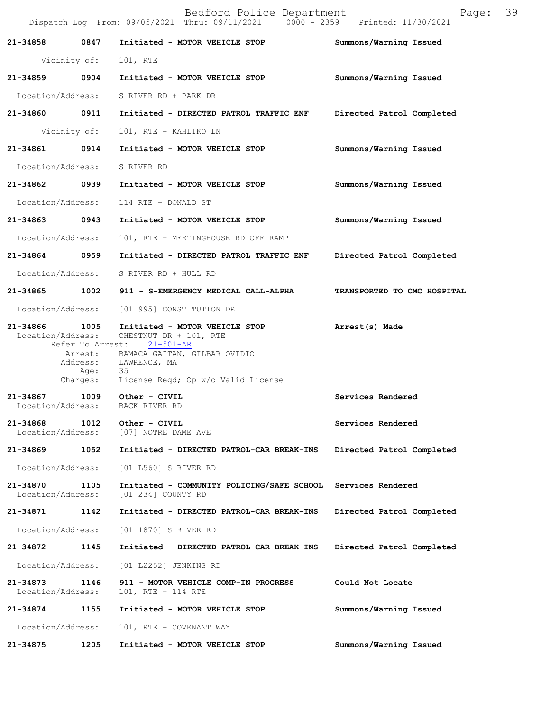|                               |                          | Bedford Police Department<br>Dispatch Log From: 09/05/2021 Thru: 09/11/2021   0000 - 2359   Printed: 11/30/2021                                          | Page: 39                    |  |
|-------------------------------|--------------------------|----------------------------------------------------------------------------------------------------------------------------------------------------------|-----------------------------|--|
| 21-34858 0847                 |                          | Initiated - MOTOR VEHICLE STOP                                                                                                                           | Summons/Warning Issued      |  |
|                               | Vicinity of:             | 101, RTE                                                                                                                                                 |                             |  |
|                               |                          | 21-34859 0904 Initiated - MOTOR VEHICLE STOP                                                                                                             | Summons/Warning Issued      |  |
|                               |                          | Location/Address: S RIVER RD + PARK DR                                                                                                                   |                             |  |
|                               |                          |                                                                                                                                                          | Directed Patrol Completed   |  |
|                               | Vicinity of:             | 101, RTE + KAHLIKO LN                                                                                                                                    |                             |  |
| 21-34861 0914                 |                          | Initiated - MOTOR VEHICLE STOP                                                                                                                           | Summons/Warning Issued      |  |
| Location/Address: S RIVER RD  |                          |                                                                                                                                                          |                             |  |
|                               |                          | 21-34862 0939 Initiated - MOTOR VEHICLE STOP                                                                                                             | Summons/Warning Issued      |  |
| Location/Address:             |                          | 114 RTE + DONALD ST                                                                                                                                      |                             |  |
| 21-34863 0943                 |                          | Initiated - MOTOR VEHICLE STOP                                                                                                                           | Summons/Warning Issued      |  |
| Location/Address:             |                          | 101, RTE + MEETINGHOUSE RD OFF RAMP                                                                                                                      |                             |  |
|                               |                          | 21-34864 0959 Initiated - DIRECTED PATROL TRAFFIC ENF                                                                                                    | Directed Patrol Completed   |  |
|                               |                          | Location/Address: S RIVER RD + HULL RD                                                                                                                   |                             |  |
|                               |                          | 21-34865 1002 911 - S-EMERGENCY MEDICAL CALL-ALPHA                                                                                                       | TRANSPORTED TO CMC HOSPITAL |  |
| Location/Address:             |                          | [01 995] CONSTITUTION DR                                                                                                                                 |                             |  |
| 21-34866                      | 1005<br>Refer To Arrest: | Initiated - MOTOR VEHICLE STOP<br>Location/Address: CHESTNUT DR + 101, RTE<br>21-501-AR<br>Arrest: BAMACA GAITAN, GILBAR OVIDIO<br>Address: LAWRENCE, MA | Arrest(s) Made              |  |
|                               | Age:                     | 35<br>Charges: License Reqd; Op w/o Valid License                                                                                                        |                             |  |
| 21-34867                      | 1009                     | Other - CIVIL<br>Location/Address: BACK RIVER RD                                                                                                         | Services Rendered           |  |
| 21-34868<br>Location/Address: | 1012                     | Other - CIVIL<br>[07] NOTRE DAME AVE                                                                                                                     | Services Rendered           |  |
| 21-34869                      | 1052                     | Initiated - DIRECTED PATROL-CAR BREAK-INS                                                                                                                | Directed Patrol Completed   |  |
| Location/Address:             |                          | [01 L560] S RIVER RD                                                                                                                                     |                             |  |
| 21-34870<br>Location/Address: | 1105                     | Initiated - COMMUNITY POLICING/SAFE SCHOOL Services Rendered<br>[01 234] COUNTY RD                                                                       |                             |  |
| 21-34871 1142                 |                          | Initiated - DIRECTED PATROL-CAR BREAK-INS                                                                                                                | Directed Patrol Completed   |  |
| Location/Address:             |                          | [01 1870] S RIVER RD                                                                                                                                     |                             |  |
| 21-34872                      | 1145                     | Initiated - DIRECTED PATROL-CAR BREAK-INS                                                                                                                | Directed Patrol Completed   |  |
| Location/Address:             |                          | [01 L2252] JENKINS RD                                                                                                                                    |                             |  |
| 21-34873<br>Location/Address: | 1146                     | 911 - MOTOR VEHICLE COMP-IN PROGRESS<br>101, RTE + 114 RTE                                                                                               | Could Not Locate            |  |
| 21-34874                      | 1155                     | Initiated - MOTOR VEHICLE STOP                                                                                                                           | Summons/Warning Issued      |  |
| Location/Address:             |                          | 101, RTE + COVENANT WAY                                                                                                                                  |                             |  |
| 21-34875                      | 1205                     | Initiated - MOTOR VEHICLE STOP                                                                                                                           | Summons/Warning Issued      |  |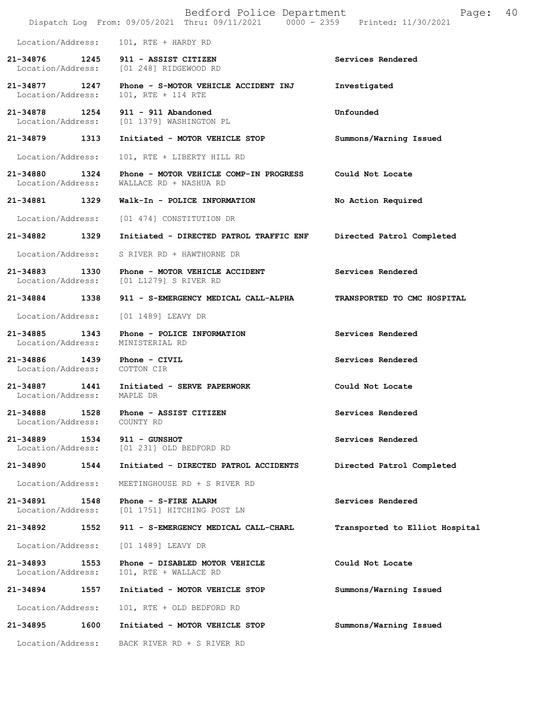|                                               |      | Bedford Police Department<br>Dispatch Log From: 09/05/2021 Thru: 09/11/2021 0000 - 2359 Printed: 11/30/2021 | 40<br>Page:                    |
|-----------------------------------------------|------|-------------------------------------------------------------------------------------------------------------|--------------------------------|
| Location/Address:                             |      | 101, RTE + HARDY RD                                                                                         |                                |
| 21-34876 1245                                 |      | 911 - ASSIST CITIZEN<br>Location/Address: [01 248] RIDGEWOOD RD                                             | Services Rendered              |
| 21-34877 1247<br>Location/Address:            |      | Phone - S-MOTOR VEHICLE ACCIDENT INJ<br>101, RTE + 114 RTE                                                  | Investigated                   |
| 21-34878 1254                                 |      | $911 - 911$ Abandoned<br>Location/Address: [01 1379] WASHINGTON PL                                          | Unfounded                      |
| 21-34879                                      | 1313 | Initiated - MOTOR VEHICLE STOP                                                                              | Summons/Warning Issued         |
| Location/Address:                             |      | 101, RTE + LIBERTY HILL RD                                                                                  |                                |
| 21-34880 1324<br>Location/Address:            |      | Phone - MOTOR VEHICLE COMP-IN PROGRESS<br>WALLACE RD + NASHUA RD                                            | Could Not Locate               |
| 21-34881                                      | 1329 | Walk-In - POLICE INFORMATION                                                                                | No Action Required             |
| Location/Address:                             |      | [01 474] CONSTITUTION DR                                                                                    |                                |
| 21-34882                                      | 1329 | Initiated - DIRECTED PATROL TRAFFIC ENF                                                                     | Directed Patrol Completed      |
| Location/Address:                             |      | S RIVER RD + HAWTHORNE DR                                                                                   |                                |
| 21-34883 1330                                 |      | Phone - MOTOR VEHICLE ACCIDENT<br>Location/Address: [01 L1279] S RIVER RD                                   | Services Rendered              |
| 21-34884                                      | 1338 | 911 - S-EMERGENCY MEDICAL CALL-ALPHA                                                                        | TRANSPORTED TO CMC HOSPITAL    |
| Location/Address:                             |      | [01 1489] LEAVY DR                                                                                          |                                |
| 21-34885<br>Location/Address:                 | 1343 | Phone - POLICE INFORMATION<br>MINISTERIAL RD                                                                | Services Rendered              |
| 21-34886 1439<br>Location/Address: COTTON CIR |      | Phone - CIVIL                                                                                               | Services Rendered              |
| 21-34887 1441<br>Location/Address: MAPLE DR   |      | Initiated - SERVE PAPERWORK                                                                                 | Could Not Locate               |
| 21-34888<br>Location/Address:                 | 1528 | Phone - ASSIST CITIZEN<br>COUNTY RD                                                                         | Services Rendered              |
| 21-34889<br>Location/Address:                 | 1534 | 911 - GUNSHOT<br>[01 231] OLD BEDFORD RD                                                                    | Services Rendered              |
| 21-34890                                      | 1544 | Initiated - DIRECTED PATROL ACCIDENTS                                                                       | Directed Patrol Completed      |
| Location/Address:                             |      | MEETINGHOUSE RD + S RIVER RD                                                                                |                                |
| $21 - 34891$<br>Location/Address:             | 1548 | Phone - S-FIRE ALARM<br>[01 1751] HITCHING POST LN                                                          | Services Rendered              |
| 21-34892                                      | 1552 | 911 - S-EMERGENCY MEDICAL CALL-CHARL                                                                        | Transported to Elliot Hospital |
| Location/Address:                             |      | [01 1489] LEAVY DR                                                                                          |                                |
| 21-34893<br>Location/Address:                 | 1553 | Phone - DISABLED MOTOR VEHICLE<br>101, RTE + WALLACE RD                                                     | Could Not Locate               |
| 21-34894                                      | 1557 | Initiated - MOTOR VEHICLE STOP                                                                              | Summons/Warning Issued         |
| Location/Address:                             |      | 101, RTE + OLD BEDFORD RD                                                                                   |                                |
| 21-34895                                      | 1600 | Initiated - MOTOR VEHICLE STOP                                                                              | Summons/Warning Issued         |
| Location/Address:                             |      | BACK RIVER RD + S RIVER RD                                                                                  |                                |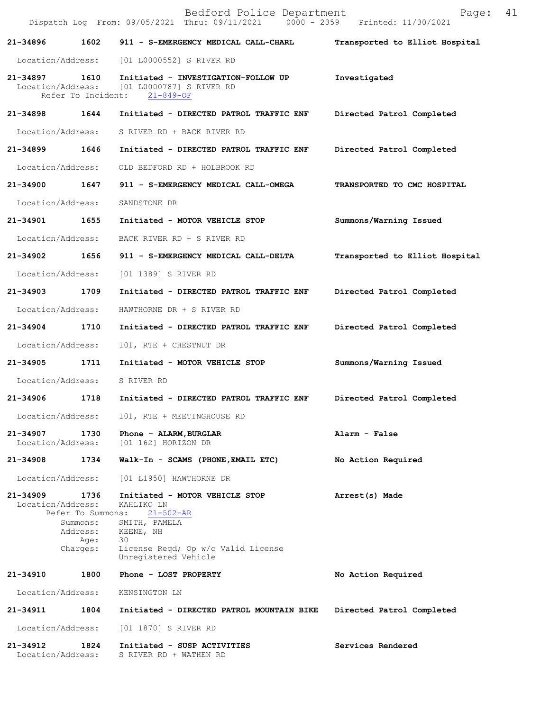|                               |                                                   | Bedford Police Department<br>Dispatch Log From: 09/05/2021 Thru: 09/11/2021 0000 - 2359 Printed: 11/30/2021 | 41<br>Page:                    |
|-------------------------------|---------------------------------------------------|-------------------------------------------------------------------------------------------------------------|--------------------------------|
| 21-34896                      | 1602                                              | 911 - S-EMERGENCY MEDICAL CALL-CHARL                                                                        | Transported to Elliot Hospital |
| Location/Address:             |                                                   | [01 L0000552] S RIVER RD                                                                                    |                                |
| 21-34897 1610                 | Refer To Incident:                                | Initiated - INVESTIGATION-FOLLOW UP<br>Location/Address: [01 L0000787] S RIVER RD<br>$21 - 849 - OF$        | Investigated                   |
| 21-34898                      | 1644                                              | Initiated - DIRECTED PATROL TRAFFIC ENF                                                                     | Directed Patrol Completed      |
| Location/Address:             |                                                   | S RIVER RD + BACK RIVER RD                                                                                  |                                |
| 21-34899                      | 1646                                              | Initiated - DIRECTED PATROL TRAFFIC ENF                                                                     | Directed Patrol Completed      |
| Location/Address:             |                                                   | OLD BEDFORD RD + HOLBROOK RD                                                                                |                                |
| 21-34900 1647                 |                                                   | 911 - S-EMERGENCY MEDICAL CALL-OMEGA                                                                        | TRANSPORTED TO CMC HOSPITAL    |
| Location/Address:             |                                                   | SANDSTONE DR                                                                                                |                                |
| 21-34901 1655                 |                                                   | Initiated - MOTOR VEHICLE STOP                                                                              | Summons/Warning Issued         |
| Location/Address:             |                                                   | BACK RIVER RD + S RIVER RD                                                                                  |                                |
| 21-34902                      | 1656                                              | 911 - S-EMERGENCY MEDICAL CALL-DELTA                                                                        | Transported to Elliot Hospital |
| Location/Address:             |                                                   | [01 1389] S RIVER RD                                                                                        |                                |
| 21-34903 1709                 |                                                   | Initiated - DIRECTED PATROL TRAFFIC ENF                                                                     | Directed Patrol Completed      |
| Location/Address:             |                                                   | HAWTHORNE DR + S RIVER RD                                                                                   |                                |
| 21-34904 1710                 |                                                   | Initiated - DIRECTED PATROL TRAFFIC ENF                                                                     | Directed Patrol Completed      |
| Location/Address:             |                                                   | 101, RTE + CHESTNUT DR                                                                                      |                                |
| 21-34905                      | 1711                                              | Initiated - MOTOR VEHICLE STOP                                                                              | Summons/Warning Issued         |
| Location/Address:             |                                                   | S RIVER RD                                                                                                  |                                |
| 21-34906                      | 1718                                              | Initiated - DIRECTED PATROL TRAFFIC ENF                                                                     | Directed Patrol Completed      |
| Location/Address:             |                                                   | 101, RTE + MEETINGHOUSE RD                                                                                  |                                |
| 21-34907<br>Location/Address: | 1730                                              | Phone - ALARM, BURGLAR<br>[01 162] HORIZON DR                                                               | Alarm - False                  |
| 21-34908                      | 1734                                              | Walk-In - SCAMS (PHONE, EMAIL ETC)                                                                          | No Action Required             |
| Location/Address:             |                                                   | [01 L1950] HAWTHORNE DR                                                                                     |                                |
| 21-34909<br>Location/Address: | 1736<br>Refer To Summons:<br>Summons:<br>Address: | Initiated - MOTOR VEHICLE STOP<br>KAHLIKO LN<br>$21 - 502 - AR$<br>SMITH, PAMELA                            | Arrest(s) Made                 |
|                               | Age:<br>Charges:                                  | KEENE, NH<br>30<br>License Reqd; Op w/o Valid License<br>Unregistered Vehicle                               |                                |
| 21-34910                      | 1800                                              | Phone - LOST PROPERTY                                                                                       | No Action Required             |
| Location/Address:             |                                                   | KENSINGTON LN                                                                                               |                                |
| 21-34911                      | 1804                                              | Initiated - DIRECTED PATROL MOUNTAIN BIKE                                                                   | Directed Patrol Completed      |
| Location/Address:             |                                                   | [01 1870] S RIVER RD                                                                                        |                                |
| 21-34912<br>Location/Address: | 1824                                              | Initiated - SUSP ACTIVITIES<br>S RIVER RD + WATHEN RD                                                       | Services Rendered              |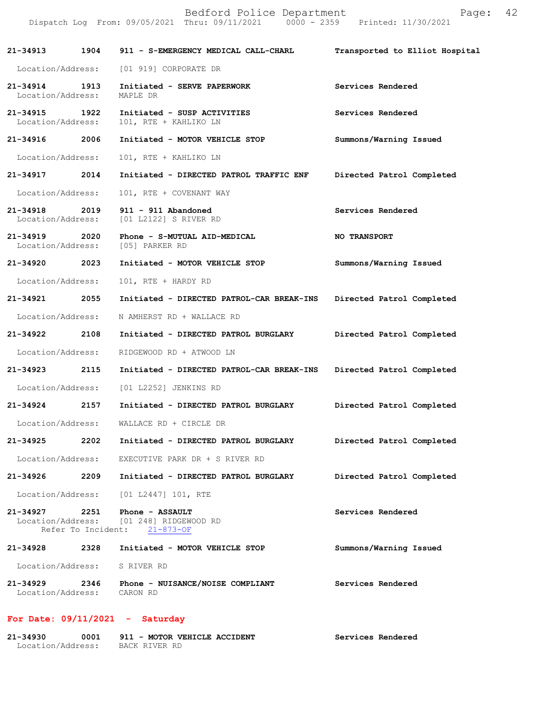|                               |                    | Bedford Police Department<br>Dispatch Log From: 09/05/2021 Thru: 09/11/2021 0000 - 2359 Printed: 11/30/2021 | Page:                          | 42 |
|-------------------------------|--------------------|-------------------------------------------------------------------------------------------------------------|--------------------------------|----|
| 21-34913                      | 1904               | 911 - S-EMERGENCY MEDICAL CALL-CHARL                                                                        | Transported to Elliot Hospital |    |
| Location/Address:             |                    | [01 919] CORPORATE DR                                                                                       |                                |    |
| 21-34914<br>Location/Address: | 1913               | Initiated - SERVE PAPERWORK<br>MAPLE DR                                                                     | Services Rendered              |    |
| 21-34915<br>Location/Address: | 1922               | Initiated - SUSP ACTIVITIES<br>101, RTE + KAHLIKO LN                                                        | Services Rendered              |    |
| 21-34916 2006                 |                    | Initiated - MOTOR VEHICLE STOP                                                                              | Summons/Warning Issued         |    |
| Location/Address:             |                    | 101, RTE + KAHLIKO LN                                                                                       |                                |    |
| 21-34917                      | 2014               | Initiated - DIRECTED PATROL TRAFFIC ENF                                                                     | Directed Patrol Completed      |    |
| Location/Address:             |                    | 101, RTE + COVENANT WAY                                                                                     |                                |    |
| 21-34918<br>Location/Address: | 2019               | 911 - 911 Abandoned<br>[01 L2122] S RIVER RD                                                                | Services Rendered              |    |
| 21-34919<br>Location/Address: | 2020               | Phone - S-MUTUAL AID-MEDICAL<br>[05] PARKER RD                                                              | NO TRANSPORT                   |    |
| 21-34920                      | 2023               | Initiated - MOTOR VEHICLE STOP                                                                              | Summons/Warning Issued         |    |
| Location/Address:             |                    | 101, RTE + HARDY RD                                                                                         |                                |    |
| 21-34921                      | 2055               | Initiated - DIRECTED PATROL-CAR BREAK-INS                                                                   | Directed Patrol Completed      |    |
| Location/Address:             |                    | N AMHERST RD + WALLACE RD                                                                                   |                                |    |
| 21-34922                      | 2108               | Initiated - DIRECTED PATROL BURGLARY                                                                        | Directed Patrol Completed      |    |
| Location/Address:             |                    | RIDGEWOOD RD + ATWOOD LN                                                                                    |                                |    |
| 21-34923                      | 2115               | Initiated - DIRECTED PATROL-CAR BREAK-INS                                                                   | Directed Patrol Completed      |    |
| Location/Address:             |                    | [01 L2252] JENKINS RD                                                                                       |                                |    |
| 21-34924                      | 2157               | Initiated - DIRECTED PATROL BURGLARY                                                                        | Directed Patrol Completed      |    |
| Location/Address:             |                    | WALLACE RD + CIRCLE DR                                                                                      |                                |    |
| 21-34925                      | 2202               | Initiated - DIRECTED PATROL BURGLARY                                                                        | Directed Patrol Completed      |    |
| Location/Address:             |                    | EXECUTIVE PARK DR + S RIVER RD                                                                              |                                |    |
| 21-34926                      | 2209               | Initiated - DIRECTED PATROL BURGLARY                                                                        | Directed Patrol Completed      |    |
| Location/Address:             |                    | [01 L2447] 101, RTE                                                                                         |                                |    |
| 21-34927 2251                 | Refer To Incident: | Phone - ASSAULT<br>Location/Address: [01 248] RIDGEWOOD RD<br>$21 - 873 - OF$                               | Services Rendered              |    |
| 21-34928                      | 2328               | Initiated - MOTOR VEHICLE STOP                                                                              | Summons/Warning Issued         |    |
| Location/Address:             |                    | S RIVER RD                                                                                                  |                                |    |
| 21-34929<br>Location/Address: | 2346               | Phone - NUISANCE/NOISE COMPLIANT<br>CARON RD                                                                | Services Rendered              |    |

## **For Date: 09/11/2021 - Saturday**

| 21-34930          | 0001 | 911 - MOTOR VEHICLE ACCIDENT | Services Rendered |
|-------------------|------|------------------------------|-------------------|
| Location/Address: |      | BACK RIVER RD                |                   |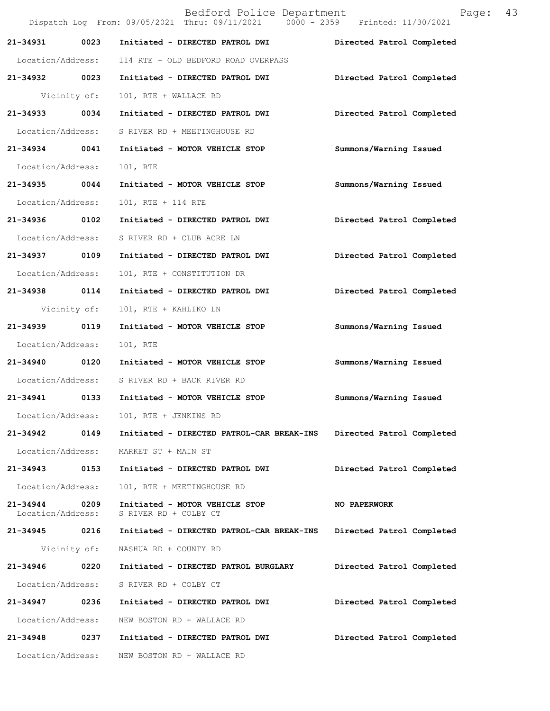|                               |              | Bedford Police Department<br>Dispatch Log From: 09/05/2021 Thru: 09/11/2021 0000 - 2359 Printed: 11/30/2021 |                           | Page: | 43 |
|-------------------------------|--------------|-------------------------------------------------------------------------------------------------------------|---------------------------|-------|----|
| 21-34931                      | 0023         | Initiated - DIRECTED PATROL DWI                                                                             | Directed Patrol Completed |       |    |
|                               |              | Location/Address: 114 RTE + OLD BEDFORD ROAD OVERPASS                                                       |                           |       |    |
| 21-34932 0023                 |              | Initiated - DIRECTED PATROL DWI                                                                             | Directed Patrol Completed |       |    |
|                               | Vicinity of: | 101, RTE + WALLACE RD                                                                                       |                           |       |    |
| 21-34933 0034                 |              | Initiated - DIRECTED PATROL DWI                                                                             | Directed Patrol Completed |       |    |
|                               |              | Location/Address: S RIVER RD + MEETINGHOUSE RD                                                              |                           |       |    |
| 21-34934 0041                 |              | Initiated - MOTOR VEHICLE STOP                                                                              | Summons/Warning Issued    |       |    |
| Location/Address:             |              | 101, RTE                                                                                                    |                           |       |    |
| 21-34935 0044                 |              | Initiated - MOTOR VEHICLE STOP                                                                              | Summons/Warning Issued    |       |    |
| Location/Address:             |              | 101, RTE + 114 RTE                                                                                          |                           |       |    |
| 21-34936 0102                 |              | Initiated - DIRECTED PATROL DWI                                                                             | Directed Patrol Completed |       |    |
| Location/Address:             |              | S RIVER RD + CLUB ACRE LN                                                                                   |                           |       |    |
| 21-34937 0109                 |              | Initiated - DIRECTED PATROL DWI                                                                             | Directed Patrol Completed |       |    |
| Location/Address:             |              | 101, RTE + CONSTITUTION DR                                                                                  |                           |       |    |
| 21-34938 0114                 |              | Initiated - DIRECTED PATROL DWI                                                                             | Directed Patrol Completed |       |    |
|                               | Vicinity of: | 101, RTE + KAHLIKO LN                                                                                       |                           |       |    |
| 21-34939 0119                 |              | Initiated - MOTOR VEHICLE STOP                                                                              | Summons/Warning Issued    |       |    |
| Location/Address:             |              | 101, RTE                                                                                                    |                           |       |    |
| 21-34940 0120                 |              | Initiated - MOTOR VEHICLE STOP                                                                              | Summons/Warning Issued    |       |    |
|                               |              | Location/Address: S RIVER RD + BACK RIVER RD                                                                |                           |       |    |
|                               |              |                                                                                                             | Summons/Warning Issued    |       |    |
| Location/Address:             |              | 101, RTE + JENKINS RD                                                                                       |                           |       |    |
| 21-34942                      | 0149         | Initiated - DIRECTED PATROL-CAR BREAK-INS                                                                   | Directed Patrol Completed |       |    |
| Location/Address:             |              | MARKET ST + MAIN ST                                                                                         |                           |       |    |
| 21-34943                      | 0153         | Initiated - DIRECTED PATROL DWI                                                                             | Directed Patrol Completed |       |    |
| Location/Address:             |              | 101, RTE + MEETINGHOUSE RD                                                                                  |                           |       |    |
| 21-34944<br>Location/Address: | 0209         | Initiated - MOTOR VEHICLE STOP<br>S RIVER RD + COLBY CT                                                     | NO PAPERWORK              |       |    |
| 21-34945 0216                 |              | Initiated - DIRECTED PATROL-CAR BREAK-INS                                                                   | Directed Patrol Completed |       |    |
|                               | Vicinity of: | NASHUA RD + COUNTY RD                                                                                       |                           |       |    |
| 21-34946                      | 0220         | Initiated - DIRECTED PATROL BURGLARY                                                                        | Directed Patrol Completed |       |    |
| Location/Address:             |              | S RIVER RD + COLBY CT                                                                                       |                           |       |    |
| 21-34947                      | 0236         | Initiated - DIRECTED PATROL DWI                                                                             | Directed Patrol Completed |       |    |
| Location/Address:             |              | NEW BOSTON RD + WALLACE RD                                                                                  |                           |       |    |
| 21-34948                      | 0237         | Initiated - DIRECTED PATROL DWI                                                                             | Directed Patrol Completed |       |    |
|                               |              | Location/Address: NEW BOSTON RD + WALLACE RD                                                                |                           |       |    |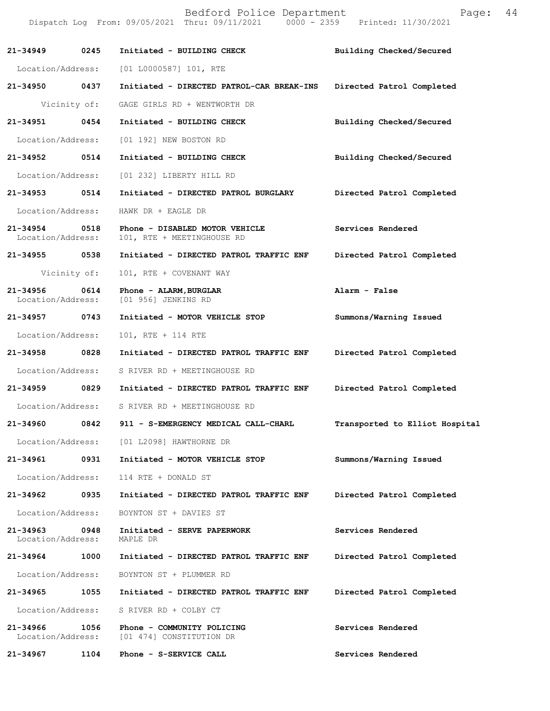Dispatch Log From: 09/05/2021 Thru: 09/11/2021 0000 - 2359 Printed: 11/30/2021 **21-34949 0245 Initiated - BUILDING CHECK Building Checked/Secured**  Location/Address: [01 L0000587] 101, RTE **21-34950 0437 Initiated - DIRECTED PATROL-CAR BREAK-INS Directed Patrol Completed**  Vicinity of: GAGE GIRLS RD + WENTWORTH DR **21-34951 0454 Initiated - BUILDING CHECK Building Checked/Secured**  Location/Address: [01 192] NEW BOSTON RD **21-34952 0514 Initiated - BUILDING CHECK Building Checked/Secured**  Location/Address: [01 232] LIBERTY HILL RD **21-34953 0514 Initiated - DIRECTED PATROL BURGLARY Directed Patrol Completed**  Location/Address: HAWK DR + EAGLE DR **21-34954 0518 Phone - DISABLED MOTOR VEHICLE Services Rendered**  Location/Address: 101, RTE + MEETINGHOUSE RD **21-34955 0538 Initiated - DIRECTED PATROL TRAFFIC ENF Directed Patrol Completed**  Vicinity of: 101, RTE + COVENANT WAY **21-34956 0614 Phone - ALARM,BURGLAR Alarm - False**  Location/Address: [01 956] JENKINS RD **21-34957 0743 Initiated - MOTOR VEHICLE STOP Summons/Warning Issued**  Location/Address: 101, RTE + 114 RTE **21-34958 0828 Initiated - DIRECTED PATROL TRAFFIC ENF Directed Patrol Completed**  Location/Address: S RIVER RD + MEETINGHOUSE RD **21-34959 0829 Initiated - DIRECTED PATROL TRAFFIC ENF Directed Patrol Completed**  Location/Address: S RIVER RD + MEETINGHOUSE RD **21-34960 0842 911 - S-EMERGENCY MEDICAL CALL-CHARL Transported to Elliot Hospital** Location/Address: [01 L2098] HAWTHORNE DR **21-34961 0931 Initiated - MOTOR VEHICLE STOP Summons/Warning Issued**  Location/Address: 114 RTE + DONALD ST **21-34962 0935 Initiated - DIRECTED PATROL TRAFFIC ENF Directed Patrol Completed**  Location/Address: BOYNTON ST + DAVIES ST **21-34963 0948 Initiated - SERVE PAPERWORK Services Rendered**  Location/Address: MAPLE DR **21-34964 1000 Initiated - DIRECTED PATROL TRAFFIC ENF Directed Patrol Completed**  Location/Address: BOYNTON ST + PLUMMER RD **21-34965 1055 Initiated - DIRECTED PATROL TRAFFIC ENF Directed Patrol Completed**  Location/Address: S RIVER RD + COLBY CT 21-34966 1056 Phone - COMMUNITY POLICING<br>
Location/Address: [01 474] CONSTITUTION DR [01 474] CONSTITUTION DR **21-34967 1104 Phone - S-SERVICE CALL Services Rendered** 

Bedford Police Department Page: 44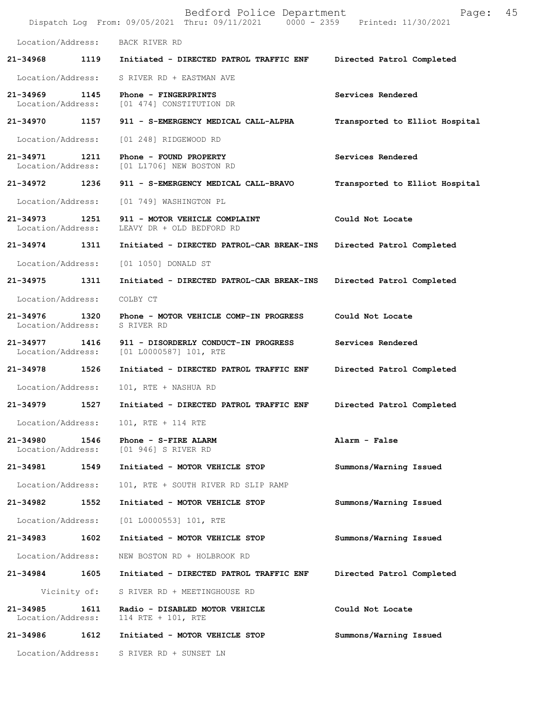|                                    |              | Bedford Police Department<br>Dispatch Log From: 09/05/2021 Thru: 09/11/2021 0000 - 2359 Printed: 11/30/2021 | 45<br>Page:                    |
|------------------------------------|--------------|-------------------------------------------------------------------------------------------------------------|--------------------------------|
| Location/Address:                  |              | BACK RIVER RD                                                                                               |                                |
| 21-34968                           | 1119         | Initiated - DIRECTED PATROL TRAFFIC ENF                                                                     | Directed Patrol Completed      |
| Location/Address:                  |              | S RIVER RD + EASTMAN AVE                                                                                    |                                |
| 21-34969<br>Location/Address:      | 1145         | Phone - FINGERPRINTS<br>[01 474] CONSTITUTION DR                                                            | Services Rendered              |
| 21-34970 1157                      |              | 911 - S-EMERGENCY MEDICAL CALL-ALPHA                                                                        | Transported to Elliot Hospital |
| Location/Address:                  |              | [01 248] RIDGEWOOD RD                                                                                       |                                |
| 21-34971<br>Location/Address:      | 1211         | Phone - FOUND PROPERTY<br>[01 L1706] NEW BOSTON RD                                                          | Services Rendered              |
| 21-34972                           | 1236         | 911 - S-EMERGENCY MEDICAL CALL-BRAVO                                                                        | Transported to Elliot Hospital |
| Location/Address:                  |              | [01 749] WASHINGTON PL                                                                                      |                                |
| 21-34973<br>Location/Address:      | 1251         | 911 - MOTOR VEHICLE COMPLAINT<br>LEAVY DR + OLD BEDFORD RD                                                  | Could Not Locate               |
| 21-34974                           | 1311         | Initiated - DIRECTED PATROL-CAR BREAK-INS                                                                   | Directed Patrol Completed      |
| Location/Address:                  |              | [01 1050] DONALD ST                                                                                         |                                |
| 21-34975                           | 1311         | Initiated - DIRECTED PATROL-CAR BREAK-INS                                                                   | Directed Patrol Completed      |
| Location/Address:                  |              | COLBY CT                                                                                                    |                                |
| 21-34976<br>Location/Address:      | 1320         | Phone - MOTOR VEHICLE COMP-IN PROGRESS<br>S RIVER RD                                                        | Could Not Locate               |
| 21-34977 1416<br>Location/Address: |              | 911 - DISORDERLY CONDUCT-IN PROGRESS<br>[01 L0000587] 101, RTE                                              | Services Rendered              |
| 21-34978                           | 1526         | Initiated - DIRECTED PATROL TRAFFIC ENF                                                                     | Directed Patrol Completed      |
| Location/Address:                  |              | 101, RTE + NASHUA RD                                                                                        |                                |
| 21-34979                           | 1527         | Initiated - DIRECTED PATROL TRAFFIC ENF                                                                     | Directed Patrol Completed      |
|                                    |              | Location/Address: 101, RTE + 114 RTE                                                                        |                                |
| 21-34980<br>Location/Address:      | 1546         | Phone - S-FIRE ALARM<br>[01 946] S RIVER RD                                                                 | Alarm - False                  |
| 21-34981                           | 1549         | Initiated - MOTOR VEHICLE STOP                                                                              | Summons/Warning Issued         |
| Location/Address:                  |              | 101, RTE + SOUTH RIVER RD SLIP RAMP                                                                         |                                |
| 21-34982                           | 1552         | Initiated - MOTOR VEHICLE STOP                                                                              | Summons/Warning Issued         |
| Location/Address:                  |              | $[01 L0000553] 101$ , RTE                                                                                   |                                |
| 21-34983                           | 1602         | Initiated - MOTOR VEHICLE STOP                                                                              | Summons/Warning Issued         |
| Location/Address:                  |              | NEW BOSTON RD + HOLBROOK RD                                                                                 |                                |
| 21-34984                           | 1605         | Initiated - DIRECTED PATROL TRAFFIC ENF                                                                     | Directed Patrol Completed      |
|                                    | Vicinity of: | S RIVER RD + MEETINGHOUSE RD                                                                                |                                |
| 21-34985<br>Location/Address:      | 1611         | Radio - DISABLED MOTOR VEHICLE<br>114 RTE + 101, RTE                                                        | Could Not Locate               |
| 21-34986                           | 1612         | Initiated - MOTOR VEHICLE STOP                                                                              | Summons/Warning Issued         |
| Location/Address:                  |              | S RIVER RD + SUNSET LN                                                                                      |                                |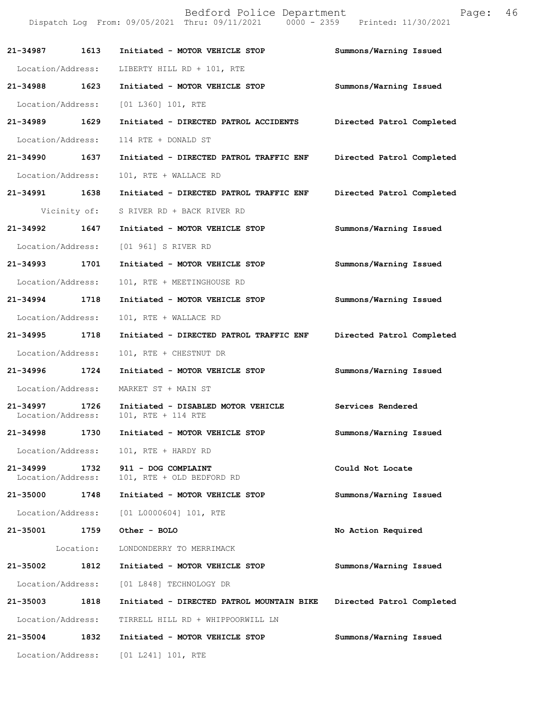|                               |              | Bedford Police Department<br>Dispatch Log From: 09/05/2021 Thru: 09/11/2021 0000 - 2359 Printed: 11/30/2021 | Page:                     | 46 |
|-------------------------------|--------------|-------------------------------------------------------------------------------------------------------------|---------------------------|----|
| 21-34987                      | 1613         | Initiated - MOTOR VEHICLE STOP                                                                              | Summons/Warning Issued    |    |
| Location/Address:             |              | LIBERTY HILL RD + 101, RTE                                                                                  |                           |    |
| 21-34988 1623                 |              | Initiated - MOTOR VEHICLE STOP                                                                              | Summons/Warning Issued    |    |
| Location/Address:             |              | [01 L360] 101, RTE                                                                                          |                           |    |
| 21-34989 1629                 |              | Initiated - DIRECTED PATROL ACCIDENTS                                                                       | Directed Patrol Completed |    |
| Location/Address:             |              | 114 RTE + DONALD ST                                                                                         |                           |    |
| 21-34990                      | 1637         | Initiated - DIRECTED PATROL TRAFFIC ENF                                                                     | Directed Patrol Completed |    |
| Location/Address:             |              | 101, RTE + WALLACE RD                                                                                       |                           |    |
| 21-34991 1638                 |              | Initiated - DIRECTED PATROL TRAFFIC ENF                                                                     | Directed Patrol Completed |    |
|                               | Vicinity of: | S RIVER RD + BACK RIVER RD                                                                                  |                           |    |
| 21-34992 1647                 |              | Initiated - MOTOR VEHICLE STOP                                                                              | Summons/Warning Issued    |    |
| Location/Address:             |              | [01 961] S RIVER RD                                                                                         |                           |    |
| 21-34993                      | 1701         | Initiated - MOTOR VEHICLE STOP                                                                              | Summons/Warning Issued    |    |
| Location/Address:             |              | 101, RTE + MEETINGHOUSE RD                                                                                  |                           |    |
| 21-34994                      | 1718         | Initiated - MOTOR VEHICLE STOP                                                                              | Summons/Warning Issued    |    |
| Location/Address:             |              | 101, RTE + WALLACE RD                                                                                       |                           |    |
| 21-34995 1718                 |              | Initiated - DIRECTED PATROL TRAFFIC ENF                                                                     | Directed Patrol Completed |    |
| Location/Address:             |              | 101, RTE + CHESTNUT DR                                                                                      |                           |    |
| 21-34996                      | 1724         | Initiated - MOTOR VEHICLE STOP                                                                              | Summons/Warning Issued    |    |
| Location/Address:             |              | MARKET ST + MAIN ST                                                                                         |                           |    |
| 21-34997<br>Location/Address: | 1726         | Initiated - DISABLED MOTOR VEHICLE<br>101, RTE + 114 RTE                                                    | Services Rendered         |    |
| 21-34998                      | 1730         | Initiated - MOTOR VEHICLE STOP                                                                              | Summons/Warning Issued    |    |
| Location/Address:             |              | 101, RTE + HARDY RD                                                                                         |                           |    |
| 21-34999<br>Location/Address: | 1732         | 911 - DOG COMPLAINT<br>101, RTE + OLD BEDFORD RD                                                            | Could Not Locate          |    |
| 21-35000                      | 1748         | Initiated - MOTOR VEHICLE STOP                                                                              | Summons/Warning Issued    |    |
| Location/Address:             |              | $[01 L0000604] 101$ , RTE                                                                                   |                           |    |
| 21-35001                      | 1759         | Other - BOLO                                                                                                | No Action Required        |    |
|                               | Location:    | LONDONDERRY TO MERRIMACK                                                                                    |                           |    |
| 21-35002                      | 1812         | Initiated - MOTOR VEHICLE STOP                                                                              | Summons/Warning Issued    |    |
| Location/Address:             |              | [01 L848] TECHNOLOGY DR                                                                                     |                           |    |
| 21-35003                      | 1818         | Initiated - DIRECTED PATROL MOUNTAIN BIKE                                                                   | Directed Patrol Completed |    |
| Location/Address:             |              | TIRRELL HILL RD + WHIPPOORWILL LN                                                                           |                           |    |
| 21-35004                      | 1832         | Initiated - MOTOR VEHICLE STOP                                                                              | Summons/Warning Issued    |    |
| Location/Address:             |              | [01 L241] 101, RTE                                                                                          |                           |    |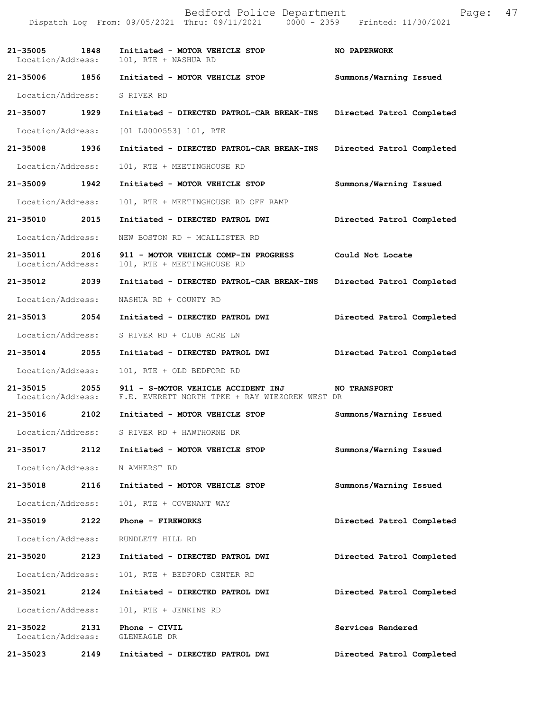|                                    |      | Bedford Police Department<br>Dispatch Log From: 09/05/2021 Thru: 09/11/2021 0000 - 2359 Printed: 11/30/2021          | Page:                     | 47 |
|------------------------------------|------|----------------------------------------------------------------------------------------------------------------------|---------------------------|----|
| Location/Address:                  |      | 21-35005 1848 Initiated - MOTOR VEHICLE STOP<br>101, RTE + NASHUA RD                                                 | <b>NO PAPERWORK</b>       |    |
| 21-35006 1856                      |      | Initiated - MOTOR VEHICLE STOP                                                                                       | Summons/Warning Issued    |    |
| Location/Address: S RIVER RD       |      |                                                                                                                      |                           |    |
| 21-35007 1929                      |      | Initiated - DIRECTED PATROL-CAR BREAK-INS Directed Patrol Completed                                                  |                           |    |
| Location/Address:                  |      | [01 L0000553] 101, RTE                                                                                               |                           |    |
| 21-35008 1936                      |      | Initiated - DIRECTED PATROL-CAR BREAK-INS Directed Patrol Completed                                                  |                           |    |
| Location/Address:                  |      | 101, RTE + MEETINGHOUSE RD                                                                                           |                           |    |
| 21-35009 1942                      |      | Initiated - MOTOR VEHICLE STOP                                                                                       | Summons/Warning Issued    |    |
| Location/Address:                  |      | 101, RTE + MEETINGHOUSE RD OFF RAMP                                                                                  |                           |    |
| 21-35010 2015                      |      | Initiated - DIRECTED PATROL DWI                                                                                      | Directed Patrol Completed |    |
| Location/Address:                  |      | NEW BOSTON RD + MCALLISTER RD                                                                                        |                           |    |
| 21-35011 2016<br>Location/Address: |      | 911 - MOTOR VEHICLE COMP-IN PROGRESS<br>101, RTE + MEETINGHOUSE RD                                                   | Could Not Locate          |    |
| 21-35012 2039                      |      | Initiated - DIRECTED PATROL-CAR BREAK-INS                                                                            | Directed Patrol Completed |    |
| Location/Address:                  |      | NASHUA RD + COUNTY RD                                                                                                |                           |    |
| 21-35013 2054                      |      | Initiated - DIRECTED PATROL DWI                                                                                      | Directed Patrol Completed |    |
| Location/Address:                  |      | S RIVER RD + CLUB ACRE LN                                                                                            |                           |    |
| 21-35014 2055                      |      | Initiated - DIRECTED PATROL DWI                                                                                      | Directed Patrol Completed |    |
| Location/Address:                  |      | 101, RTE + OLD BEDFORD RD                                                                                            |                           |    |
|                                    |      | 21-35015 2055 911 - S-MOTOR VEHICLE ACCIDENT INJ<br>Location/Address: F.E. EVERETT NORTH TPKE + RAY WIEZOREK WEST DR | <b>NO TRANSPORT</b>       |    |
| 21-35016                           | 2102 | Initiated - MOTOR VEHICLE STOP                                                                                       | Summons/Warning Issued    |    |
| Location/Address:                  |      | S RIVER RD + HAWTHORNE DR                                                                                            |                           |    |
| 21-35017                           | 2112 | Initiated - MOTOR VEHICLE STOP                                                                                       | Summons/Warning Issued    |    |
| Location/Address:                  |      | N AMHERST RD                                                                                                         |                           |    |
| 21-35018                           | 2116 | Initiated - MOTOR VEHICLE STOP                                                                                       | Summons/Warning Issued    |    |
| Location/Address:                  |      | 101, RTE + COVENANT WAY                                                                                              |                           |    |
| 21-35019 2122                      |      | Phone - FIREWORKS                                                                                                    | Directed Patrol Completed |    |
| Location/Address:                  |      | RUNDLETT HILL RD                                                                                                     |                           |    |
| 21-35020                           | 2123 | Initiated - DIRECTED PATROL DWI                                                                                      | Directed Patrol Completed |    |
| Location/Address:                  |      | 101, RTE + BEDFORD CENTER RD                                                                                         |                           |    |
| 21-35021                           | 2124 | Initiated - DIRECTED PATROL DWI                                                                                      | Directed Patrol Completed |    |
| Location/Address:                  |      | 101, RTE + JENKINS RD                                                                                                |                           |    |
| 21-35022<br>Location/Address:      | 2131 | Phone - CIVIL<br>GLENEAGLE DR                                                                                        | Services Rendered         |    |
| 21-35023                           | 2149 | Initiated - DIRECTED PATROL DWI                                                                                      | Directed Patrol Completed |    |